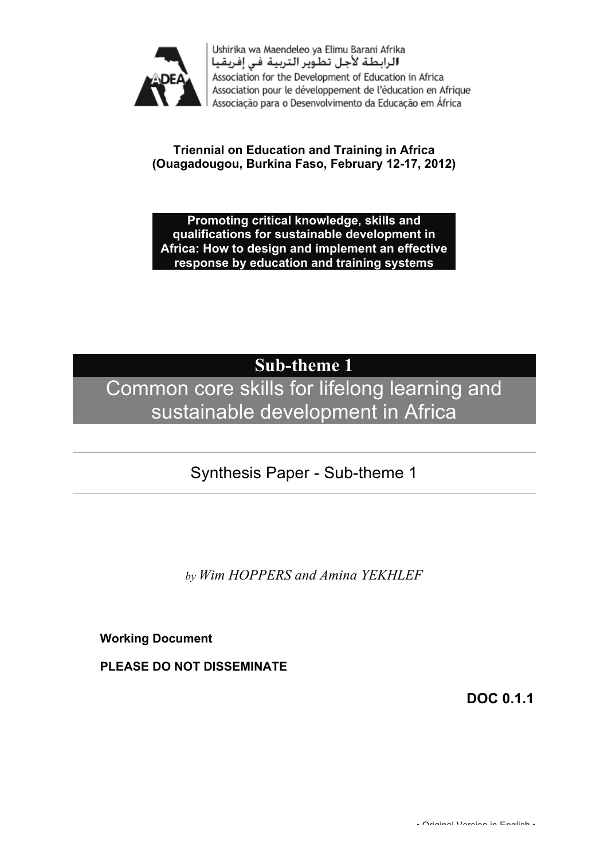

Ushirika wa Maendeleo ya Elimu Barani Afrika الرابطة لأجل تطوير التربية في إفريقيا Association for the Development of Education in Africa Association pour le développement de l'éducation en Afrique Associação para o Desenvolvimento da Educação em África

#### **Triennial on Education and Training in Africa (Ouagadougou, Burkina Faso, February 12-17, 2012)**

#### **Promoting critical knowledge, skills and qualifications for sustainable development in Africa: How to design and implement an effective response by education and training systems**

# **Sub-theme 1**

# Common core skills for lifelong learning and sustainable development in Africa

# Synthesis Paper - Sub-theme 1

*by Wim HOPPERS and Amina YEKHLEF*

**Working Document**

**PLEASE DO NOT DISSEMINATE**

**DOC 0.1.1**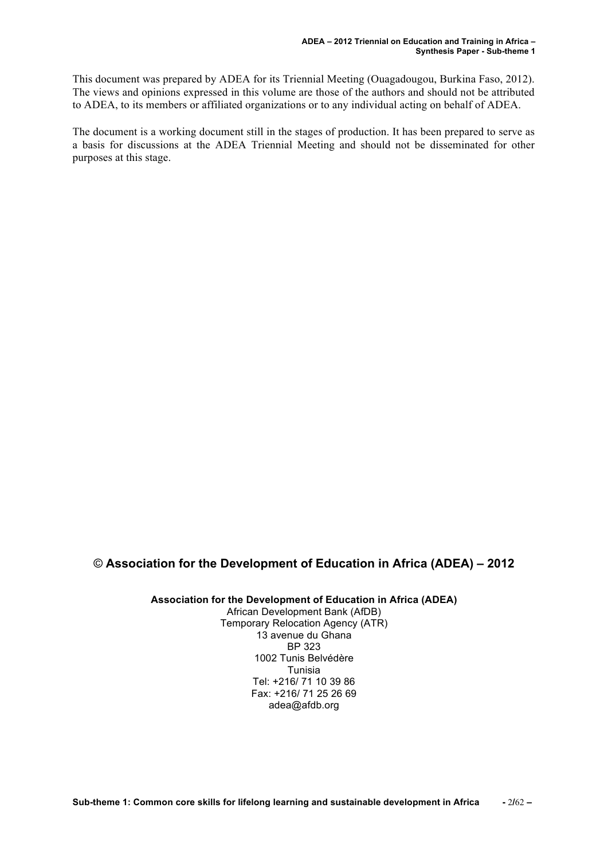This document was prepared by ADEA for its Triennial Meeting (Ouagadougou, Burkina Faso, 2012). The views and opinions expressed in this volume are those of the authors and should not be attributed to ADEA, to its members or affiliated organizations or to any individual acting on behalf of ADEA.

The document is a working document still in the stages of production. It has been prepared to serve as a basis for discussions at the ADEA Triennial Meeting and should not be disseminated for other purposes at this stage.

#### © **Association for the Development of Education in Africa (ADEA) – 2012**

**Association for the Development of Education in Africa (ADEA)** African Development Bank (AfDB) Temporary Relocation Agency (ATR) 13 avenue du Ghana BP 323 1002 Tunis Belvédère Tunisia Tel: +216/ 71 10 39 86 Fax: +216/ 71 25 26 69 adea@afdb.org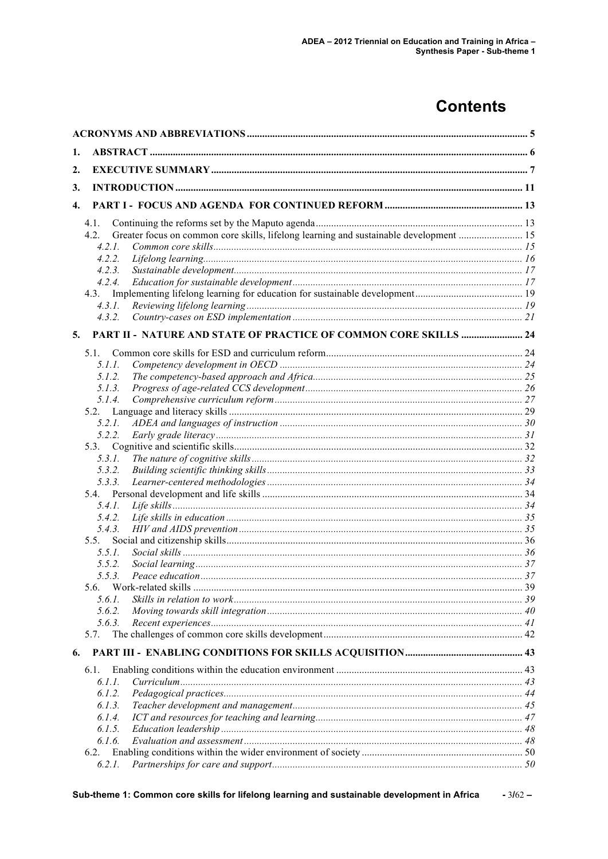# **Contents**

| 1.               |                                                                                                |  |
|------------------|------------------------------------------------------------------------------------------------|--|
| 2.               |                                                                                                |  |
| 3.               |                                                                                                |  |
| $\overline{4}$ . |                                                                                                |  |
|                  |                                                                                                |  |
|                  | 4.1.                                                                                           |  |
|                  | Greater focus on common core skills, lifelong learning and sustainable development  15<br>4.2. |  |
|                  | 4.2.1.<br>4.2.2.                                                                               |  |
|                  | 4.2.3.                                                                                         |  |
|                  | 4.2.4.                                                                                         |  |
|                  | 4.3.                                                                                           |  |
|                  | 4.3.1.                                                                                         |  |
|                  | 4.3.2.                                                                                         |  |
| 5.               | PART II - NATURE AND STATE OF PRACTICE OF COMMON CORE SKILLS  24                               |  |
|                  |                                                                                                |  |
|                  | $5.1$ .                                                                                        |  |
|                  | 5.1.1.                                                                                         |  |
|                  | 5.1.2.                                                                                         |  |
|                  | 5.1.3.<br>5.1.4.                                                                               |  |
|                  | 5.2.                                                                                           |  |
|                  | 5.2.1.                                                                                         |  |
|                  | 5.2.2.                                                                                         |  |
|                  | 5.3.                                                                                           |  |
|                  | 5.3.1.                                                                                         |  |
|                  | 5.3.2.                                                                                         |  |
|                  | 5.3.3.                                                                                         |  |
|                  | 5.4.                                                                                           |  |
|                  | 5.4.1.                                                                                         |  |
|                  | 5.4.2.                                                                                         |  |
|                  | 5.4.3.                                                                                         |  |
|                  | 5.5.                                                                                           |  |
|                  | 5.5.1.                                                                                         |  |
|                  | 5.5.2.                                                                                         |  |
|                  | 5.5.3.                                                                                         |  |
|                  |                                                                                                |  |
|                  | 5.6.1.<br>5.6.2.                                                                               |  |
|                  | 5.6.3.                                                                                         |  |
|                  | 5.7.                                                                                           |  |
|                  |                                                                                                |  |
| 6.               |                                                                                                |  |
|                  | 6.1.                                                                                           |  |
|                  | 6.I.I.<br>6.1.2.                                                                               |  |
|                  | 6.1.3.                                                                                         |  |
|                  | 6.1.4.                                                                                         |  |
|                  | 6.1.5.                                                                                         |  |
|                  | 6.1.6.                                                                                         |  |
|                  | 6.2.                                                                                           |  |
|                  | 6.2.1.                                                                                         |  |
|                  |                                                                                                |  |

Sub-theme 1: Common core skills for lifelong learning and sustainable development in Africa  $-3162-$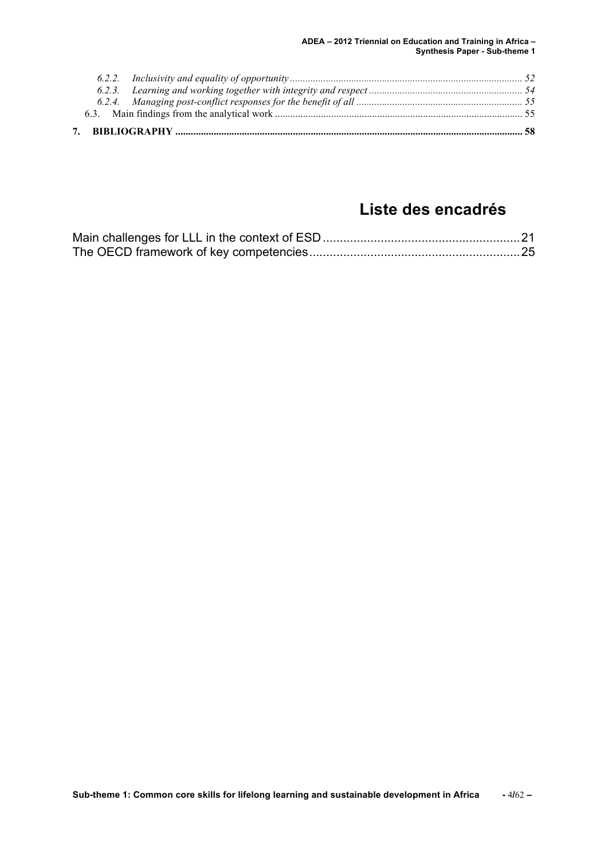**ADEA – 2012 Triennial on Education and Training in Africa – Synthesis Paper - Sub-theme 1** 

## **Liste des encadrés**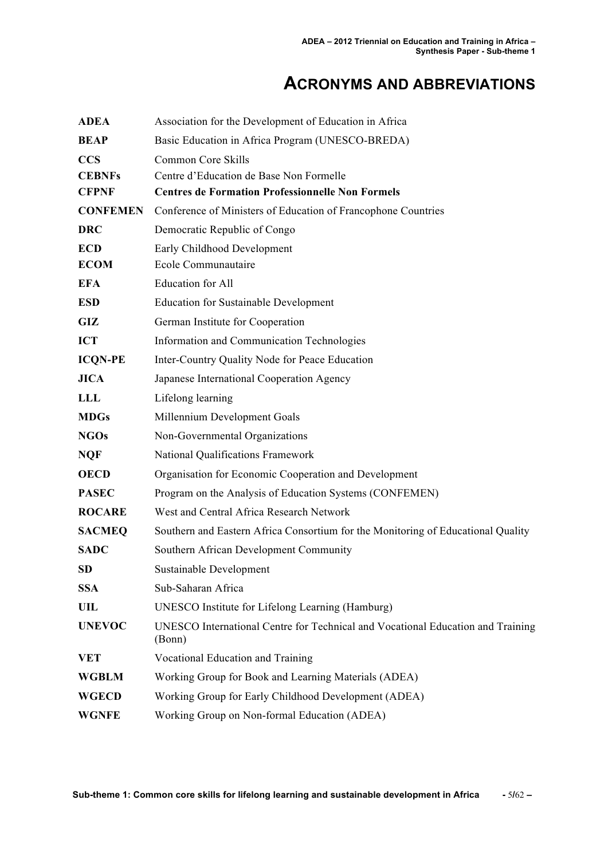# **ACRONYMS AND ABBREVIATIONS**

| <b>ADEA</b>     | Association for the Development of Education in Africa                                    |
|-----------------|-------------------------------------------------------------------------------------------|
| <b>BEAP</b>     | Basic Education in Africa Program (UNESCO-BREDA)                                          |
| <b>CCS</b>      | Common Core Skills                                                                        |
| <b>CEBNFs</b>   | Centre d'Education de Base Non Formelle                                                   |
| <b>CFPNF</b>    | <b>Centres de Formation Professionnelle Non Formels</b>                                   |
| <b>CONFEMEN</b> | Conference of Ministers of Education of Francophone Countries                             |
| <b>DRC</b>      | Democratic Republic of Congo                                                              |
| <b>ECD</b>      | Early Childhood Development                                                               |
| <b>ECOM</b>     | Ecole Communautaire                                                                       |
| <b>EFA</b>      | Education for All                                                                         |
| <b>ESD</b>      | <b>Education for Sustainable Development</b>                                              |
| GIZ             | German Institute for Cooperation                                                          |
| <b>ICT</b>      | Information and Communication Technologies                                                |
| <b>ICQN-PE</b>  | Inter-Country Quality Node for Peace Education                                            |
| <b>JICA</b>     | Japanese International Cooperation Agency                                                 |
| LLL             | Lifelong learning                                                                         |
| <b>MDGs</b>     | Millennium Development Goals                                                              |
| <b>NGOs</b>     | Non-Governmental Organizations                                                            |
| <b>NQF</b>      | National Qualifications Framework                                                         |
| <b>OECD</b>     | Organisation for Economic Cooperation and Development                                     |
| <b>PASEC</b>    | Program on the Analysis of Education Systems (CONFEMEN)                                   |
| <b>ROCARE</b>   | West and Central Africa Research Network                                                  |
| <b>SACMEQ</b>   | Southern and Eastern Africa Consortium for the Monitoring of Educational Quality          |
| <b>SADC</b>     | Southern African Development Community                                                    |
| SD              | Sustainable Development                                                                   |
| <b>SSA</b>      | Sub-Saharan Africa                                                                        |
| UIL             | UNESCO Institute for Lifelong Learning (Hamburg)                                          |
| <b>UNEVOC</b>   | UNESCO International Centre for Technical and Vocational Education and Training<br>(Bonn) |
| <b>VET</b>      | Vocational Education and Training                                                         |
| <b>WGBLM</b>    | Working Group for Book and Learning Materials (ADEA)                                      |
| <b>WGECD</b>    | Working Group for Early Childhood Development (ADEA)                                      |
| <b>WGNFE</b>    | Working Group on Non-formal Education (ADEA)                                              |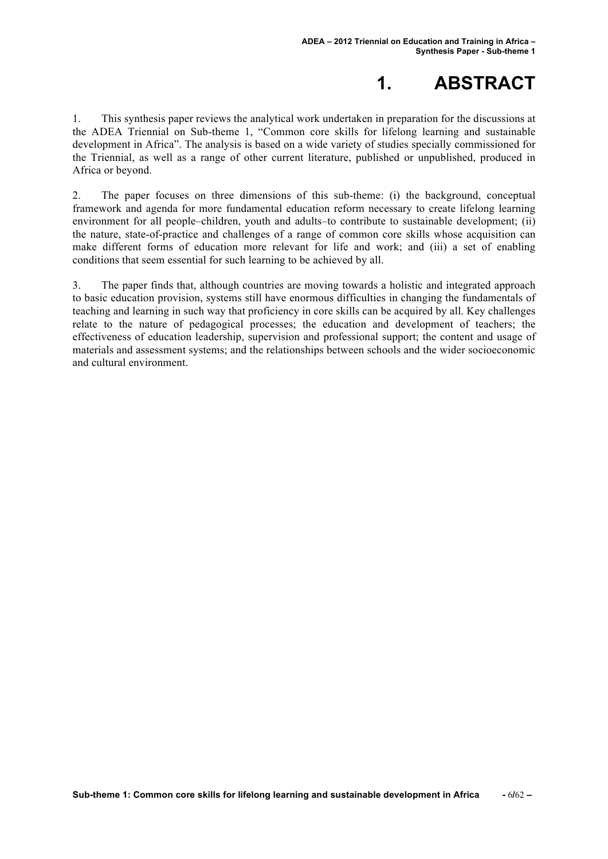# **1. ABSTRACT**

1. This synthesis paper reviews the analytical work undertaken in preparation for the discussions at the ADEA Triennial on Sub-theme 1, "Common core skills for lifelong learning and sustainable development in Africa". The analysis is based on a wide variety of studies specially commissioned for the Triennial, as well as a range of other current literature, published or unpublished, produced in Africa or beyond.

2. The paper focuses on three dimensions of this sub-theme: (i) the background, conceptual framework and agenda for more fundamental education reform necessary to create lifelong learning environment for all people–children, youth and adults–to contribute to sustainable development; (ii) the nature, state-of-practice and challenges of a range of common core skills whose acquisition can make different forms of education more relevant for life and work; and (iii) a set of enabling conditions that seem essential for such learning to be achieved by all.

3. The paper finds that, although countries are moving towards a holistic and integrated approach to basic education provision, systems still have enormous difficulties in changing the fundamentals of teaching and learning in such way that proficiency in core skills can be acquired by all. Key challenges relate to the nature of pedagogical processes; the education and development of teachers; the effectiveness of education leadership, supervision and professional support; the content and usage of materials and assessment systems; and the relationships between schools and the wider socioeconomic and cultural environment.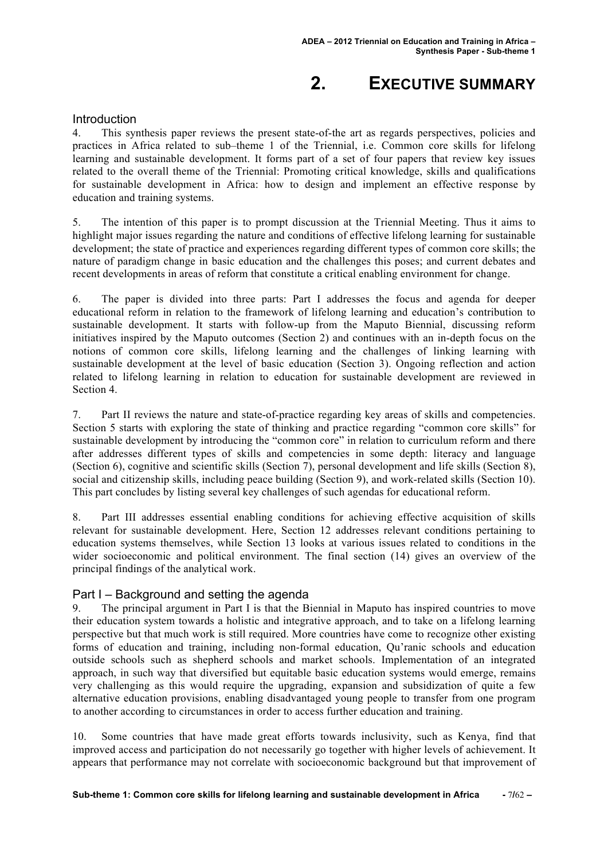# **2. EXECUTIVE SUMMARY**

#### **Introduction**

4. This synthesis paper reviews the present state-of-the art as regards perspectives, policies and practices in Africa related to sub–theme 1 of the Triennial, i.e. Common core skills for lifelong learning and sustainable development. It forms part of a set of four papers that review key issues related to the overall theme of the Triennial: Promoting critical knowledge, skills and qualifications for sustainable development in Africa: how to design and implement an effective response by education and training systems.

5. The intention of this paper is to prompt discussion at the Triennial Meeting. Thus it aims to highlight major issues regarding the nature and conditions of effective lifelong learning for sustainable development; the state of practice and experiences regarding different types of common core skills; the nature of paradigm change in basic education and the challenges this poses; and current debates and recent developments in areas of reform that constitute a critical enabling environment for change.

6. The paper is divided into three parts: Part I addresses the focus and agenda for deeper educational reform in relation to the framework of lifelong learning and education's contribution to sustainable development. It starts with follow-up from the Maputo Biennial, discussing reform initiatives inspired by the Maputo outcomes (Section 2) and continues with an in-depth focus on the notions of common core skills, lifelong learning and the challenges of linking learning with sustainable development at the level of basic education (Section 3). Ongoing reflection and action related to lifelong learning in relation to education for sustainable development are reviewed in Section 4.

7. Part II reviews the nature and state-of-practice regarding key areas of skills and competencies. Section 5 starts with exploring the state of thinking and practice regarding "common core skills" for sustainable development by introducing the "common core" in relation to curriculum reform and there after addresses different types of skills and competencies in some depth: literacy and language (Section 6), cognitive and scientific skills (Section 7), personal development and life skills (Section 8), social and citizenship skills, including peace building (Section 9), and work-related skills (Section 10). This part concludes by listing several key challenges of such agendas for educational reform.

8. Part III addresses essential enabling conditions for achieving effective acquisition of skills relevant for sustainable development. Here, Section 12 addresses relevant conditions pertaining to education systems themselves, while Section 13 looks at various issues related to conditions in the wider socioeconomic and political environment. The final section (14) gives an overview of the principal findings of the analytical work.

#### Part I – Background and setting the agenda

9. The principal argument in Part I is that the Biennial in Maputo has inspired countries to move their education system towards a holistic and integrative approach, and to take on a lifelong learning perspective but that much work is still required. More countries have come to recognize other existing forms of education and training, including non-formal education, Qu'ranic schools and education outside schools such as shepherd schools and market schools. Implementation of an integrated approach, in such way that diversified but equitable basic education systems would emerge, remains very challenging as this would require the upgrading, expansion and subsidization of quite a few alternative education provisions, enabling disadvantaged young people to transfer from one program to another according to circumstances in order to access further education and training.

10. Some countries that have made great efforts towards inclusivity, such as Kenya, find that improved access and participation do not necessarily go together with higher levels of achievement. It appears that performance may not correlate with socioeconomic background but that improvement of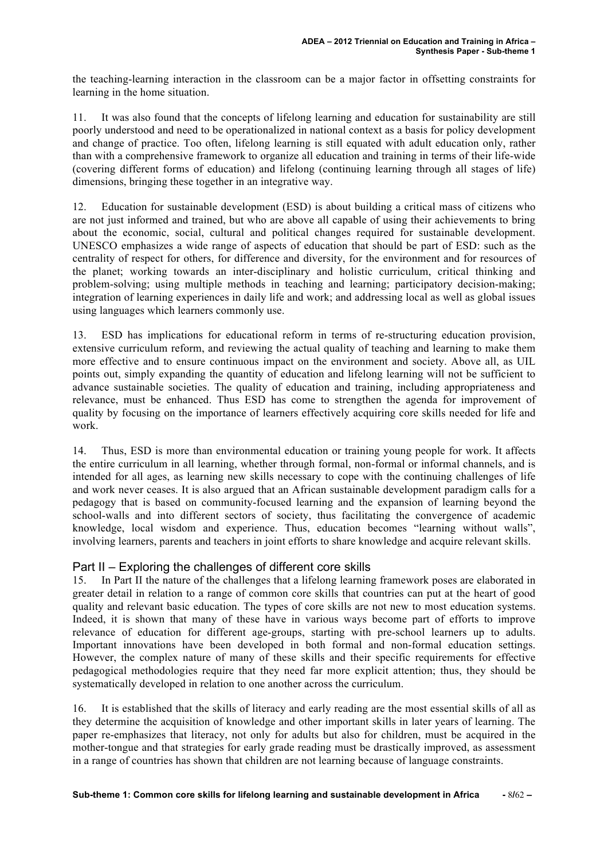the teaching-learning interaction in the classroom can be a major factor in offsetting constraints for learning in the home situation.

11. It was also found that the concepts of lifelong learning and education for sustainability are still poorly understood and need to be operationalized in national context as a basis for policy development and change of practice. Too often, lifelong learning is still equated with adult education only, rather than with a comprehensive framework to organize all education and training in terms of their life-wide (covering different forms of education) and lifelong (continuing learning through all stages of life) dimensions, bringing these together in an integrative way.

12. Education for sustainable development (ESD) is about building a critical mass of citizens who are not just informed and trained, but who are above all capable of using their achievements to bring about the economic, social, cultural and political changes required for sustainable development. UNESCO emphasizes a wide range of aspects of education that should be part of ESD: such as the centrality of respect for others, for difference and diversity, for the environment and for resources of the planet; working towards an inter-disciplinary and holistic curriculum, critical thinking and problem-solving; using multiple methods in teaching and learning; participatory decision-making; integration of learning experiences in daily life and work; and addressing local as well as global issues using languages which learners commonly use.

13. ESD has implications for educational reform in terms of re-structuring education provision, extensive curriculum reform, and reviewing the actual quality of teaching and learning to make them more effective and to ensure continuous impact on the environment and society. Above all, as UIL points out, simply expanding the quantity of education and lifelong learning will not be sufficient to advance sustainable societies. The quality of education and training, including appropriateness and relevance, must be enhanced. Thus ESD has come to strengthen the agenda for improvement of quality by focusing on the importance of learners effectively acquiring core skills needed for life and work.

14. Thus, ESD is more than environmental education or training young people for work. It affects the entire curriculum in all learning, whether through formal, non-formal or informal channels, and is intended for all ages, as learning new skills necessary to cope with the continuing challenges of life and work never ceases. It is also argued that an African sustainable development paradigm calls for a pedagogy that is based on community-focused learning and the expansion of learning beyond the school-walls and into different sectors of society, thus facilitating the convergence of academic knowledge, local wisdom and experience. Thus, education becomes "learning without walls", involving learners, parents and teachers in joint efforts to share knowledge and acquire relevant skills.

#### Part II – Exploring the challenges of different core skills

15. In Part II the nature of the challenges that a lifelong learning framework poses are elaborated in greater detail in relation to a range of common core skills that countries can put at the heart of good quality and relevant basic education. The types of core skills are not new to most education systems. Indeed, it is shown that many of these have in various ways become part of efforts to improve relevance of education for different age-groups, starting with pre-school learners up to adults. Important innovations have been developed in both formal and non-formal education settings. However, the complex nature of many of these skills and their specific requirements for effective pedagogical methodologies require that they need far more explicit attention; thus, they should be systematically developed in relation to one another across the curriculum.

16. It is established that the skills of literacy and early reading are the most essential skills of all as they determine the acquisition of knowledge and other important skills in later years of learning. The paper re-emphasizes that literacy, not only for adults but also for children, must be acquired in the mother-tongue and that strategies for early grade reading must be drastically improved, as assessment in a range of countries has shown that children are not learning because of language constraints.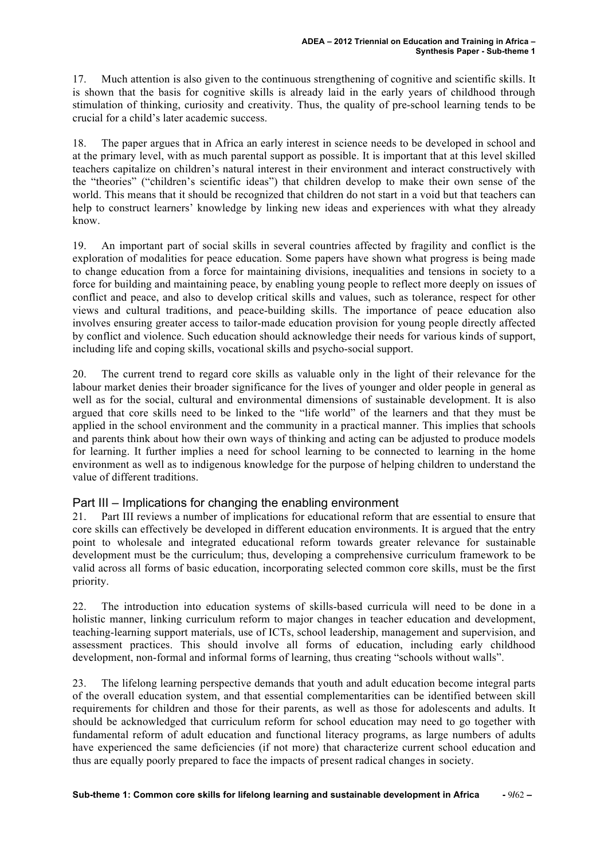17. Much attention is also given to the continuous strengthening of cognitive and scientific skills. It is shown that the basis for cognitive skills is already laid in the early years of childhood through stimulation of thinking, curiosity and creativity. Thus, the quality of pre-school learning tends to be crucial for a child's later academic success.

18. The paper argues that in Africa an early interest in science needs to be developed in school and at the primary level, with as much parental support as possible. It is important that at this level skilled teachers capitalize on children's natural interest in their environment and interact constructively with the "theories" ("children's scientific ideas") that children develop to make their own sense of the world. This means that it should be recognized that children do not start in a void but that teachers can help to construct learners' knowledge by linking new ideas and experiences with what they already know.

19. An important part of social skills in several countries affected by fragility and conflict is the exploration of modalities for peace education. Some papers have shown what progress is being made to change education from a force for maintaining divisions, inequalities and tensions in society to a force for building and maintaining peace, by enabling young people to reflect more deeply on issues of conflict and peace, and also to develop critical skills and values, such as tolerance, respect for other views and cultural traditions, and peace-building skills. The importance of peace education also involves ensuring greater access to tailor-made education provision for young people directly affected by conflict and violence. Such education should acknowledge their needs for various kinds of support, including life and coping skills, vocational skills and psycho-social support.

20. The current trend to regard core skills as valuable only in the light of their relevance for the labour market denies their broader significance for the lives of younger and older people in general as well as for the social, cultural and environmental dimensions of sustainable development. It is also argued that core skills need to be linked to the "life world" of the learners and that they must be applied in the school environment and the community in a practical manner. This implies that schools and parents think about how their own ways of thinking and acting can be adjusted to produce models for learning. It further implies a need for school learning to be connected to learning in the home environment as well as to indigenous knowledge for the purpose of helping children to understand the value of different traditions.

#### Part III – Implications for changing the enabling environment

21. Part III reviews a number of implications for educational reform that are essential to ensure that core skills can effectively be developed in different education environments. It is argued that the entry point to wholesale and integrated educational reform towards greater relevance for sustainable development must be the curriculum; thus, developing a comprehensive curriculum framework to be valid across all forms of basic education, incorporating selected common core skills, must be the first priority.

22. The introduction into education systems of skills-based curricula will need to be done in a holistic manner, linking curriculum reform to major changes in teacher education and development, teaching-learning support materials, use of ICTs, school leadership, management and supervision, and assessment practices. This should involve all forms of education, including early childhood development, non-formal and informal forms of learning, thus creating "schools without walls".

23. The lifelong learning perspective demands that youth and adult education become integral parts of the overall education system, and that essential complementarities can be identified between skill requirements for children and those for their parents, as well as those for adolescents and adults. It should be acknowledged that curriculum reform for school education may need to go together with fundamental reform of adult education and functional literacy programs, as large numbers of adults have experienced the same deficiencies (if not more) that characterize current school education and thus are equally poorly prepared to face the impacts of present radical changes in society.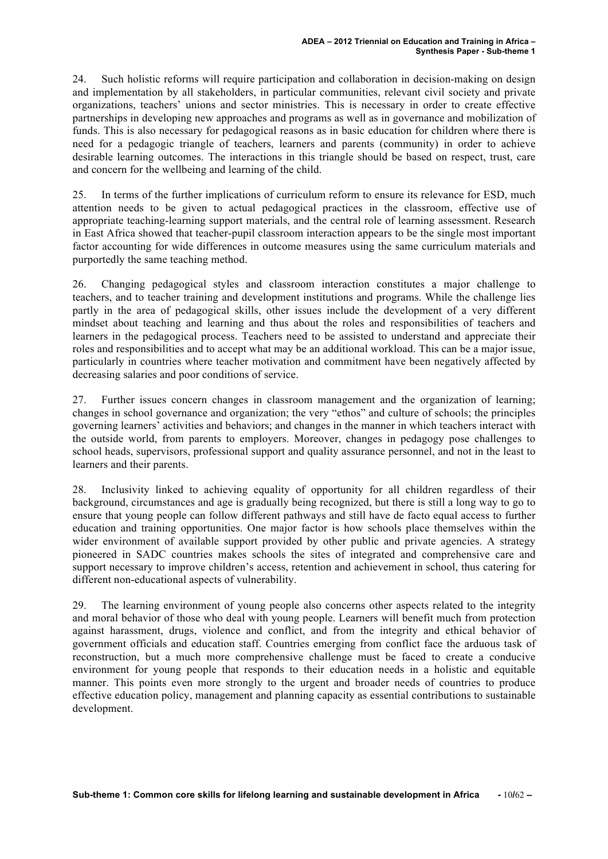24. Such holistic reforms will require participation and collaboration in decision-making on design and implementation by all stakeholders, in particular communities, relevant civil society and private organizations, teachers' unions and sector ministries. This is necessary in order to create effective partnerships in developing new approaches and programs as well as in governance and mobilization of funds. This is also necessary for pedagogical reasons as in basic education for children where there is need for a pedagogic triangle of teachers, learners and parents (community) in order to achieve desirable learning outcomes. The interactions in this triangle should be based on respect, trust, care and concern for the wellbeing and learning of the child.

25. In terms of the further implications of curriculum reform to ensure its relevance for ESD, much attention needs to be given to actual pedagogical practices in the classroom, effective use of appropriate teaching-learning support materials, and the central role of learning assessment. Research in East Africa showed that teacher-pupil classroom interaction appears to be the single most important factor accounting for wide differences in outcome measures using the same curriculum materials and purportedly the same teaching method.

26. Changing pedagogical styles and classroom interaction constitutes a major challenge to teachers, and to teacher training and development institutions and programs. While the challenge lies partly in the area of pedagogical skills, other issues include the development of a very different mindset about teaching and learning and thus about the roles and responsibilities of teachers and learners in the pedagogical process. Teachers need to be assisted to understand and appreciate their roles and responsibilities and to accept what may be an additional workload. This can be a major issue, particularly in countries where teacher motivation and commitment have been negatively affected by decreasing salaries and poor conditions of service.

27. Further issues concern changes in classroom management and the organization of learning; changes in school governance and organization; the very "ethos" and culture of schools; the principles governing learners' activities and behaviors; and changes in the manner in which teachers interact with the outside world, from parents to employers. Moreover, changes in pedagogy pose challenges to school heads, supervisors, professional support and quality assurance personnel, and not in the least to learners and their parents.

28. Inclusivity linked to achieving equality of opportunity for all children regardless of their background, circumstances and age is gradually being recognized, but there is still a long way to go to ensure that young people can follow different pathways and still have de facto equal access to further education and training opportunities. One major factor is how schools place themselves within the wider environment of available support provided by other public and private agencies. A strategy pioneered in SADC countries makes schools the sites of integrated and comprehensive care and support necessary to improve children's access, retention and achievement in school, thus catering for different non-educational aspects of vulnerability.

29. The learning environment of young people also concerns other aspects related to the integrity and moral behavior of those who deal with young people. Learners will benefit much from protection against harassment, drugs, violence and conflict, and from the integrity and ethical behavior of government officials and education staff. Countries emerging from conflict face the arduous task of reconstruction, but a much more comprehensive challenge must be faced to create a conducive environment for young people that responds to their education needs in a holistic and equitable manner. This points even more strongly to the urgent and broader needs of countries to produce effective education policy, management and planning capacity as essential contributions to sustainable development.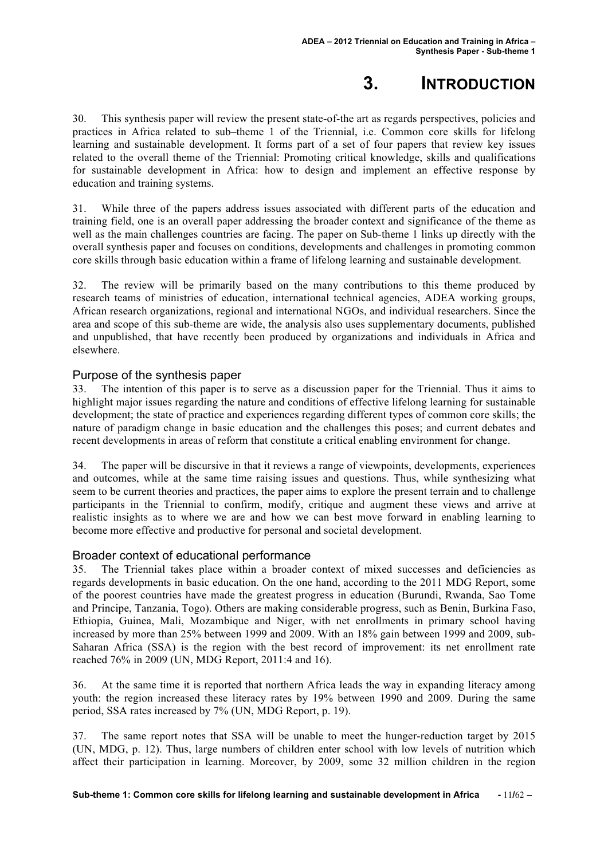# **3. INTRODUCTION**

30. This synthesis paper will review the present state-of-the art as regards perspectives, policies and practices in Africa related to sub–theme 1 of the Triennial, i.e. Common core skills for lifelong learning and sustainable development. It forms part of a set of four papers that review key issues related to the overall theme of the Triennial: Promoting critical knowledge, skills and qualifications for sustainable development in Africa: how to design and implement an effective response by education and training systems.

31. While three of the papers address issues associated with different parts of the education and training field, one is an overall paper addressing the broader context and significance of the theme as well as the main challenges countries are facing. The paper on Sub-theme 1 links up directly with the overall synthesis paper and focuses on conditions, developments and challenges in promoting common core skills through basic education within a frame of lifelong learning and sustainable development.

32. The review will be primarily based on the many contributions to this theme produced by research teams of ministries of education, international technical agencies, ADEA working groups, African research organizations, regional and international NGOs, and individual researchers. Since the area and scope of this sub-theme are wide, the analysis also uses supplementary documents, published and unpublished, that have recently been produced by organizations and individuals in Africa and elsewhere.

#### Purpose of the synthesis paper

33. The intention of this paper is to serve as a discussion paper for the Triennial. Thus it aims to highlight major issues regarding the nature and conditions of effective lifelong learning for sustainable development; the state of practice and experiences regarding different types of common core skills; the nature of paradigm change in basic education and the challenges this poses; and current debates and recent developments in areas of reform that constitute a critical enabling environment for change.

34. The paper will be discursive in that it reviews a range of viewpoints, developments, experiences and outcomes, while at the same time raising issues and questions. Thus, while synthesizing what seem to be current theories and practices, the paper aims to explore the present terrain and to challenge participants in the Triennial to confirm, modify, critique and augment these views and arrive at realistic insights as to where we are and how we can best move forward in enabling learning to become more effective and productive for personal and societal development.

#### Broader context of educational performance

35. The Triennial takes place within a broader context of mixed successes and deficiencies as regards developments in basic education. On the one hand, according to the 2011 MDG Report, some of the poorest countries have made the greatest progress in education (Burundi, Rwanda, Sao Tome and Principe, Tanzania, Togo). Others are making considerable progress, such as Benin, Burkina Faso, Ethiopia, Guinea, Mali, Mozambique and Niger, with net enrollments in primary school having increased by more than 25% between 1999 and 2009. With an 18% gain between 1999 and 2009, sub-Saharan Africa (SSA) is the region with the best record of improvement: its net enrollment rate reached 76% in 2009 (UN, MDG Report, 2011:4 and 16).

36. At the same time it is reported that northern Africa leads the way in expanding literacy among youth: the region increased these literacy rates by 19% between 1990 and 2009. During the same period, SSA rates increased by 7% (UN, MDG Report, p. 19).

37. The same report notes that SSA will be unable to meet the hunger-reduction target by 2015 (UN, MDG, p. 12). Thus, large numbers of children enter school with low levels of nutrition which affect their participation in learning. Moreover, by 2009, some 32 million children in the region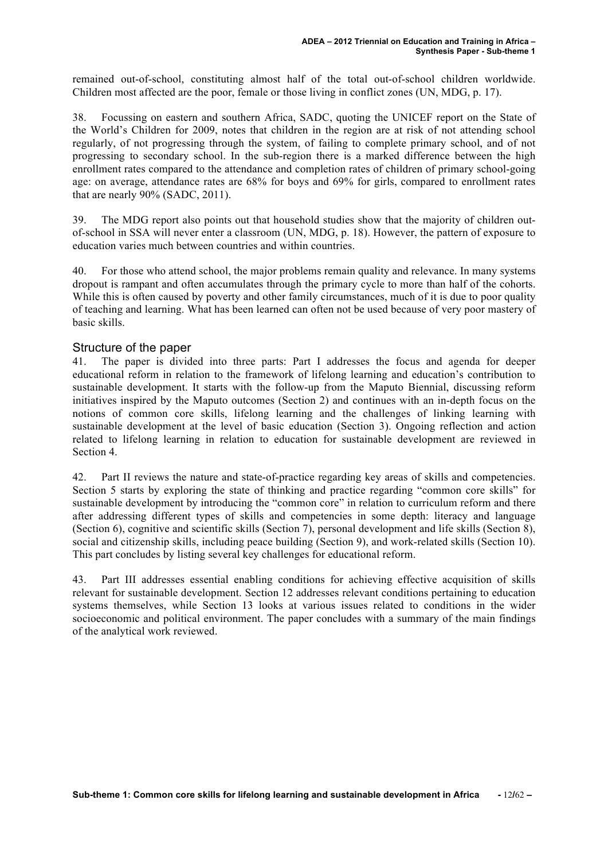remained out-of-school, constituting almost half of the total out-of-school children worldwide. Children most affected are the poor, female or those living in conflict zones (UN, MDG, p. 17).

38. Focussing on eastern and southern Africa, SADC, quoting the UNICEF report on the State of the World's Children for 2009, notes that children in the region are at risk of not attending school regularly, of not progressing through the system, of failing to complete primary school, and of not progressing to secondary school. In the sub-region there is a marked difference between the high enrollment rates compared to the attendance and completion rates of children of primary school-going age: on average, attendance rates are 68% for boys and 69% for girls, compared to enrollment rates that are nearly 90% (SADC, 2011).

39. The MDG report also points out that household studies show that the majority of children outof-school in SSA will never enter a classroom (UN, MDG, p. 18). However, the pattern of exposure to education varies much between countries and within countries.

40. For those who attend school, the major problems remain quality and relevance. In many systems dropout is rampant and often accumulates through the primary cycle to more than half of the cohorts. While this is often caused by poverty and other family circumstances, much of it is due to poor quality of teaching and learning. What has been learned can often not be used because of very poor mastery of basic skills.

#### Structure of the paper

41. The paper is divided into three parts: Part I addresses the focus and agenda for deeper educational reform in relation to the framework of lifelong learning and education's contribution to sustainable development. It starts with the follow-up from the Maputo Biennial, discussing reform initiatives inspired by the Maputo outcomes (Section 2) and continues with an in-depth focus on the notions of common core skills, lifelong learning and the challenges of linking learning with sustainable development at the level of basic education (Section 3). Ongoing reflection and action related to lifelong learning in relation to education for sustainable development are reviewed in Section 4.

42. Part II reviews the nature and state-of-practice regarding key areas of skills and competencies. Section 5 starts by exploring the state of thinking and practice regarding "common core skills" for sustainable development by introducing the "common core" in relation to curriculum reform and there after addressing different types of skills and competencies in some depth: literacy and language (Section 6), cognitive and scientific skills (Section 7), personal development and life skills (Section 8), social and citizenship skills, including peace building (Section 9), and work-related skills (Section 10). This part concludes by listing several key challenges for educational reform.

43. Part III addresses essential enabling conditions for achieving effective acquisition of skills relevant for sustainable development. Section 12 addresses relevant conditions pertaining to education systems themselves, while Section 13 looks at various issues related to conditions in the wider socioeconomic and political environment. The paper concludes with a summary of the main findings of the analytical work reviewed.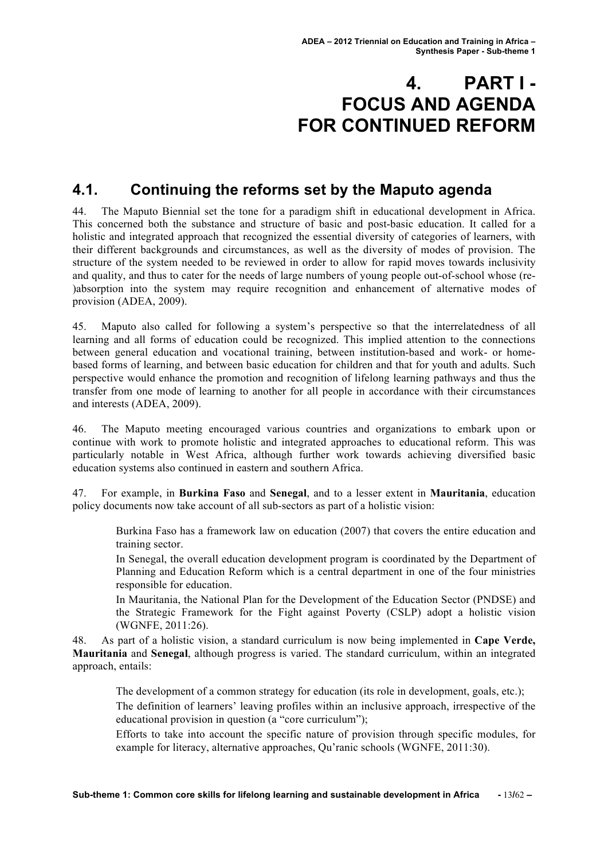# **4. PART I - FOCUS AND AGENDA FOR CONTINUED REFORM**

## **4.1. Continuing the reforms set by the Maputo agenda**

44. The Maputo Biennial set the tone for a paradigm shift in educational development in Africa. This concerned both the substance and structure of basic and post-basic education. It called for a holistic and integrated approach that recognized the essential diversity of categories of learners, with their different backgrounds and circumstances, as well as the diversity of modes of provision. The structure of the system needed to be reviewed in order to allow for rapid moves towards inclusivity and quality, and thus to cater for the needs of large numbers of young people out-of-school whose (re- )absorption into the system may require recognition and enhancement of alternative modes of provision (ADEA, 2009).

45. Maputo also called for following a system's perspective so that the interrelatedness of all learning and all forms of education could be recognized. This implied attention to the connections between general education and vocational training, between institution-based and work- or homebased forms of learning, and between basic education for children and that for youth and adults. Such perspective would enhance the promotion and recognition of lifelong learning pathways and thus the transfer from one mode of learning to another for all people in accordance with their circumstances and interests (ADEA, 2009).

46. The Maputo meeting encouraged various countries and organizations to embark upon or continue with work to promote holistic and integrated approaches to educational reform. This was particularly notable in West Africa, although further work towards achieving diversified basic education systems also continued in eastern and southern Africa.

47. For example, in **Burkina Faso** and **Senegal**, and to a lesser extent in **Mauritania**, education policy documents now take account of all sub-sectors as part of a holistic vision:

Burkina Faso has a framework law on education (2007) that covers the entire education and training sector.

In Senegal, the overall education development program is coordinated by the Department of Planning and Education Reform which is a central department in one of the four ministries responsible for education.

In Mauritania, the National Plan for the Development of the Education Sector (PNDSE) and the Strategic Framework for the Fight against Poverty (CSLP) adopt a holistic vision (WGNFE, 2011:26).

48. As part of a holistic vision, a standard curriculum is now being implemented in **Cape Verde, Mauritania** and **Senegal**, although progress is varied. The standard curriculum, within an integrated approach, entails:

The development of a common strategy for education (its role in development, goals, etc.);

The definition of learners' leaving profiles within an inclusive approach, irrespective of the educational provision in question (a "core curriculum");

Efforts to take into account the specific nature of provision through specific modules, for example for literacy, alternative approaches, Qu'ranic schools (WGNFE, 2011:30).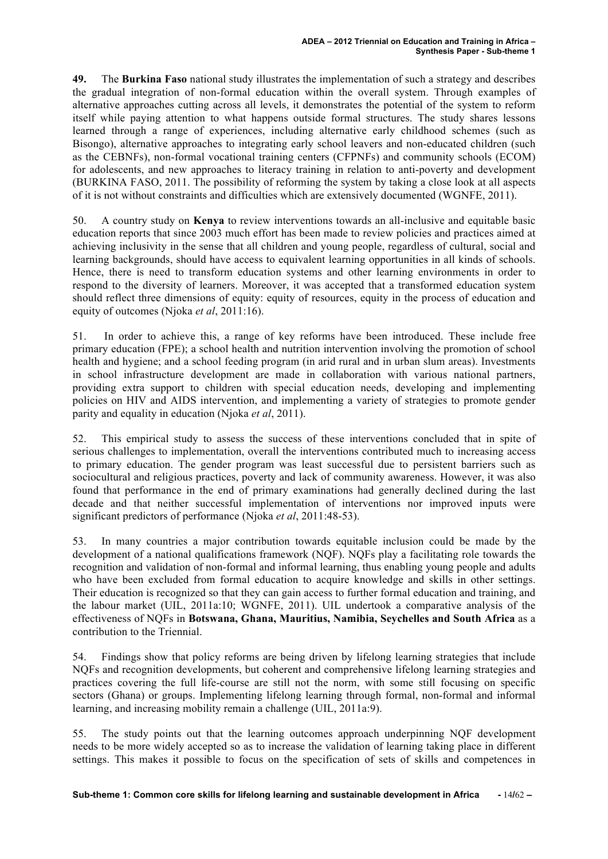**49.** The **Burkina Faso** national study illustrates the implementation of such a strategy and describes the gradual integration of non-formal education within the overall system. Through examples of alternative approaches cutting across all levels, it demonstrates the potential of the system to reform itself while paying attention to what happens outside formal structures. The study shares lessons learned through a range of experiences, including alternative early childhood schemes (such as Bisongo), alternative approaches to integrating early school leavers and non-educated children (such as the CEBNFs), non-formal vocational training centers (CFPNFs) and community schools (ECOM) for adolescents, and new approaches to literacy training in relation to anti-poverty and development (BURKINA FASO, 2011. The possibility of reforming the system by taking a close look at all aspects of it is not without constraints and difficulties which are extensively documented (WGNFE, 2011).

50. A country study on **Kenya** to review interventions towards an all-inclusive and equitable basic education reports that since 2003 much effort has been made to review policies and practices aimed at achieving inclusivity in the sense that all children and young people, regardless of cultural, social and learning backgrounds, should have access to equivalent learning opportunities in all kinds of schools. Hence, there is need to transform education systems and other learning environments in order to respond to the diversity of learners. Moreover, it was accepted that a transformed education system should reflect three dimensions of equity: equity of resources, equity in the process of education and equity of outcomes (Njoka *et al*, 2011:16).

51. In order to achieve this, a range of key reforms have been introduced. These include free primary education (FPE); a school health and nutrition intervention involving the promotion of school health and hygiene; and a school feeding program (in arid rural and in urban slum areas). Investments in school infrastructure development are made in collaboration with various national partners, providing extra support to children with special education needs, developing and implementing policies on HIV and AIDS intervention, and implementing a variety of strategies to promote gender parity and equality in education (Njoka *et al*, 2011).

52. This empirical study to assess the success of these interventions concluded that in spite of serious challenges to implementation, overall the interventions contributed much to increasing access to primary education. The gender program was least successful due to persistent barriers such as sociocultural and religious practices, poverty and lack of community awareness. However, it was also found that performance in the end of primary examinations had generally declined during the last decade and that neither successful implementation of interventions nor improved inputs were significant predictors of performance (Njoka *et al*, 2011:48-53).

53. In many countries a major contribution towards equitable inclusion could be made by the development of a national qualifications framework (NQF). NQFs play a facilitating role towards the recognition and validation of non-formal and informal learning, thus enabling young people and adults who have been excluded from formal education to acquire knowledge and skills in other settings. Their education is recognized so that they can gain access to further formal education and training, and the labour market (UIL, 2011a:10; WGNFE, 2011). UIL undertook a comparative analysis of the effectiveness of NQFs in **Botswana, Ghana, Mauritius, Namibia, Seychelles and South Africa** as a contribution to the Triennial.

54. Findings show that policy reforms are being driven by lifelong learning strategies that include NQFs and recognition developments, but coherent and comprehensive lifelong learning strategies and practices covering the full life-course are still not the norm, with some still focusing on specific sectors (Ghana) or groups. Implementing lifelong learning through formal, non-formal and informal learning, and increasing mobility remain a challenge (UIL, 2011a:9).

55. The study points out that the learning outcomes approach underpinning NQF development needs to be more widely accepted so as to increase the validation of learning taking place in different settings. This makes it possible to focus on the specification of sets of skills and competences in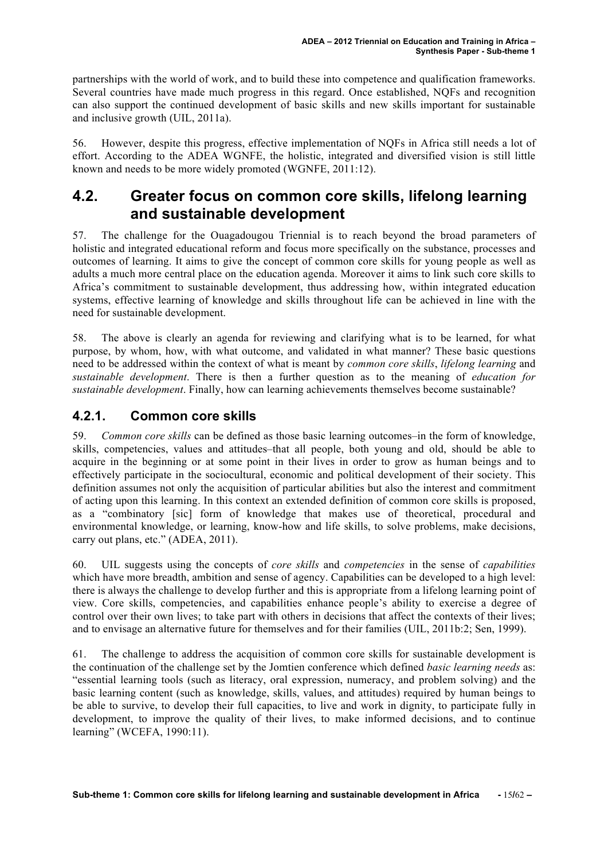partnerships with the world of work, and to build these into competence and qualification frameworks. Several countries have made much progress in this regard. Once established, NQFs and recognition can also support the continued development of basic skills and new skills important for sustainable and inclusive growth (UIL, 2011a).

56. However, despite this progress, effective implementation of NQFs in Africa still needs a lot of effort. According to the ADEA WGNFE, the holistic, integrated and diversified vision is still little known and needs to be more widely promoted (WGNFE, 2011:12).

## **4.2. Greater focus on common core skills, lifelong learning and sustainable development**

57. The challenge for the Ouagadougou Triennial is to reach beyond the broad parameters of holistic and integrated educational reform and focus more specifically on the substance, processes and outcomes of learning. It aims to give the concept of common core skills for young people as well as adults a much more central place on the education agenda. Moreover it aims to link such core skills to Africa's commitment to sustainable development, thus addressing how, within integrated education systems, effective learning of knowledge and skills throughout life can be achieved in line with the need for sustainable development.

58. The above is clearly an agenda for reviewing and clarifying what is to be learned, for what purpose, by whom, how, with what outcome, and validated in what manner? These basic questions need to be addressed within the context of what is meant by *common core skills*, *lifelong learning* and *sustainable development*. There is then a further question as to the meaning of *education for sustainable development*. Finally, how can learning achievements themselves become sustainable?

#### **4.2.1. Common core skills**

59. *Common core skills* can be defined as those basic learning outcomes–in the form of knowledge, skills, competencies, values and attitudes–that all people, both young and old, should be able to acquire in the beginning or at some point in their lives in order to grow as human beings and to effectively participate in the sociocultural, economic and political development of their society. This definition assumes not only the acquisition of particular abilities but also the interest and commitment of acting upon this learning. In this context an extended definition of common core skills is proposed, as a "combinatory [sic] form of knowledge that makes use of theoretical, procedural and environmental knowledge, or learning, know-how and life skills, to solve problems, make decisions, carry out plans, etc." (ADEA, 2011).

60. UIL suggests using the concepts of *core skills* and *competencies* in the sense of *capabilities* which have more breadth, ambition and sense of agency. Capabilities can be developed to a high level: there is always the challenge to develop further and this is appropriate from a lifelong learning point of view. Core skills, competencies, and capabilities enhance people's ability to exercise a degree of control over their own lives; to take part with others in decisions that affect the contexts of their lives; and to envisage an alternative future for themselves and for their families (UIL, 2011b:2; Sen, 1999).

61. The challenge to address the acquisition of common core skills for sustainable development is the continuation of the challenge set by the Jomtien conference which defined *basic learning needs* as: "essential learning tools (such as literacy, oral expression, numeracy, and problem solving) and the basic learning content (such as knowledge, skills, values, and attitudes) required by human beings to be able to survive, to develop their full capacities, to live and work in dignity, to participate fully in development, to improve the quality of their lives, to make informed decisions, and to continue learning" (WCEFA, 1990:11).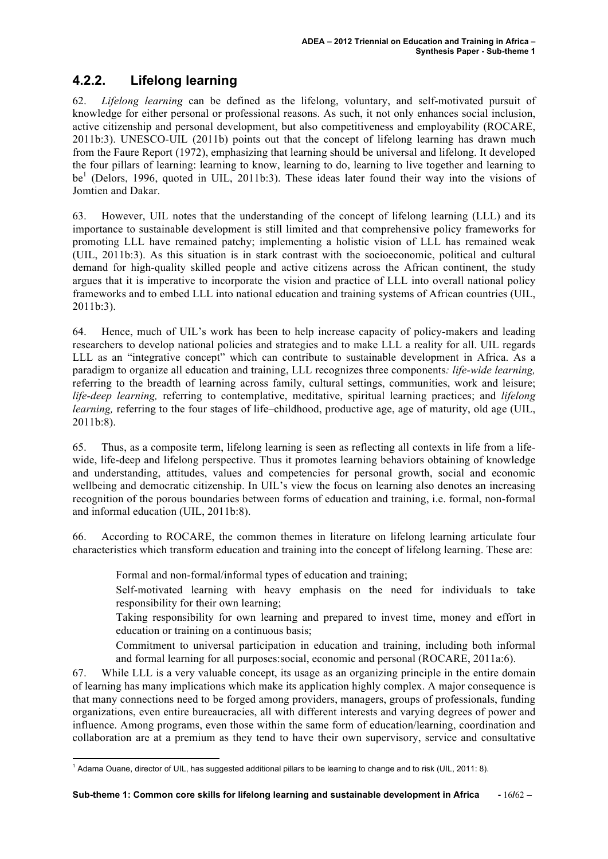### **4.2.2. Lifelong learning**

62. *Lifelong learning* can be defined as the lifelong, voluntary, and self-motivated pursuit of knowledge for either personal or professional reasons. As such, it not only enhances social inclusion, active citizenship and personal development, but also competitiveness and employability (ROCARE, 2011b:3). UNESCO-UIL (2011b) points out that the concept of lifelong learning has drawn much from the Faure Report (1972), emphasizing that learning should be universal and lifelong. It developed the four pillars of learning: learning to know, learning to do, learning to live together and learning to be<sup>1</sup> (Delors, 1996, quoted in UIL, 2011b:3). These ideas later found their way into the visions of Jomtien and Dakar.

63. However, UIL notes that the understanding of the concept of lifelong learning (LLL) and its importance to sustainable development is still limited and that comprehensive policy frameworks for promoting LLL have remained patchy; implementing a holistic vision of LLL has remained weak (UIL, 2011b:3). As this situation is in stark contrast with the socioeconomic, political and cultural demand for high-quality skilled people and active citizens across the African continent, the study argues that it is imperative to incorporate the vision and practice of LLL into overall national policy frameworks and to embed LLL into national education and training systems of African countries (UIL, 2011b:3).

64. Hence, much of UIL's work has been to help increase capacity of policy-makers and leading researchers to develop national policies and strategies and to make LLL a reality for all. UIL regards LLL as an "integrative concept" which can contribute to sustainable development in Africa. As a paradigm to organize all education and training, LLL recognizes three components*: life-wide learning,* referring to the breadth of learning across family, cultural settings, communities, work and leisure; *life-deep learning,* referring to contemplative, meditative, spiritual learning practices; and *lifelong learning*, referring to the four stages of life–childhood, productive age, age of maturity, old age (UIL,  $2011b.8$ 

65. Thus, as a composite term, lifelong learning is seen as reflecting all contexts in life from a lifewide, life-deep and lifelong perspective. Thus it promotes learning behaviors obtaining of knowledge and understanding, attitudes, values and competencies for personal growth, social and economic wellbeing and democratic citizenship. In UIL's view the focus on learning also denotes an increasing recognition of the porous boundaries between forms of education and training, i.e. formal, non-formal and informal education (UIL, 2011b:8).

66. According to ROCARE, the common themes in literature on lifelong learning articulate four characteristics which transform education and training into the concept of lifelong learning. These are:

Formal and non-formal/informal types of education and training;

Self-motivated learning with heavy emphasis on the need for individuals to take responsibility for their own learning;

Taking responsibility for own learning and prepared to invest time, money and effort in education or training on a continuous basis;

Commitment to universal participation in education and training, including both informal and formal learning for all purposes:social, economic and personal (ROCARE, 2011a:6).

67. While LLL is a very valuable concept, its usage as an organizing principle in the entire domain of learning has many implications which make its application highly complex. A major consequence is that many connections need to be forged among providers, managers, groups of professionals, funding organizations, even entire bureaucracies, all with different interests and varying degrees of power and influence. Among programs, even those within the same form of education/learning, coordination and collaboration are at a premium as they tend to have their own supervisory, service and consultative

 <sup>1</sup> Adama Ouane, director of UIL, has suggested additional pillars to be learning to change and to risk (UIL, 2011: 8).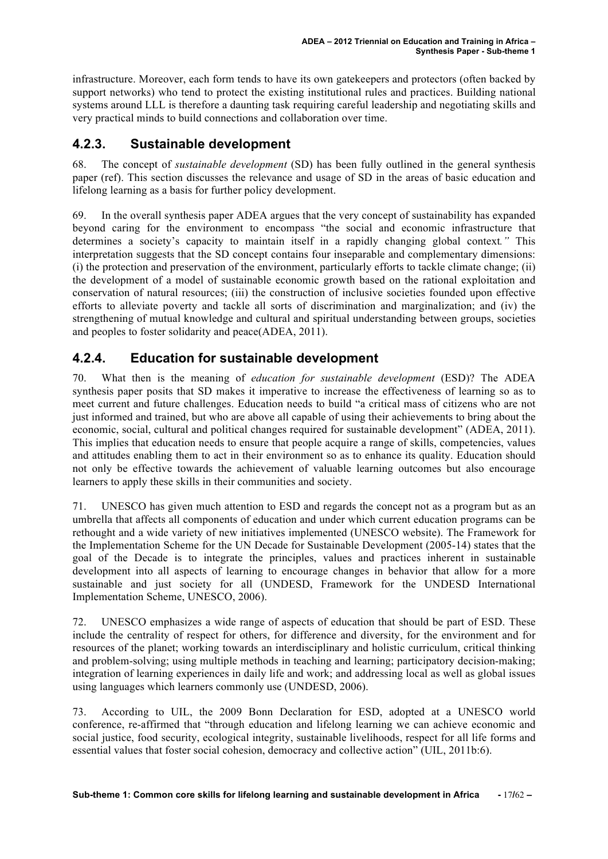infrastructure. Moreover, each form tends to have its own gatekeepers and protectors (often backed by support networks) who tend to protect the existing institutional rules and practices. Building national systems around LLL is therefore a daunting task requiring careful leadership and negotiating skills and very practical minds to build connections and collaboration over time.

#### **4.2.3. Sustainable development**

68. The concept of *sustainable development* (SD) has been fully outlined in the general synthesis paper (ref). This section discusses the relevance and usage of SD in the areas of basic education and lifelong learning as a basis for further policy development.

69. In the overall synthesis paper ADEA argues that the very concept of sustainability has expanded beyond caring for the environment to encompass "the social and economic infrastructure that determines a society's capacity to maintain itself in a rapidly changing global context*."* This interpretation suggests that the SD concept contains four inseparable and complementary dimensions: (i) the protection and preservation of the environment, particularly efforts to tackle climate change; (ii) the development of a model of sustainable economic growth based on the rational exploitation and conservation of natural resources; (iii) the construction of inclusive societies founded upon effective efforts to alleviate poverty and tackle all sorts of discrimination and marginalization; and (iv) the strengthening of mutual knowledge and cultural and spiritual understanding between groups, societies and peoples to foster solidarity and peace(ADEA, 2011).

#### **4.2.4. Education for sustainable development**

70. What then is the meaning of *education for sustainable development* (ESD)? The ADEA synthesis paper posits that SD makes it imperative to increase the effectiveness of learning so as to meet current and future challenges. Education needs to build "a critical mass of citizens who are not just informed and trained, but who are above all capable of using their achievements to bring about the economic, social, cultural and political changes required for sustainable development" (ADEA, 2011). This implies that education needs to ensure that people acquire a range of skills, competencies, values and attitudes enabling them to act in their environment so as to enhance its quality. Education should not only be effective towards the achievement of valuable learning outcomes but also encourage learners to apply these skills in their communities and society.

71. UNESCO has given much attention to ESD and regards the concept not as a program but as an umbrella that affects all components of education and under which current education programs can be rethought and a wide variety of new initiatives implemented (UNESCO website). The Framework for the Implementation Scheme for the UN Decade for Sustainable Development (2005-14) states that the goal of the Decade is to integrate the principles, values and practices inherent in sustainable development into all aspects of learning to encourage changes in behavior that allow for a more sustainable and just society for all (UNDESD, Framework for the UNDESD International Implementation Scheme, UNESCO, 2006).

72. UNESCO emphasizes a wide range of aspects of education that should be part of ESD. These include the centrality of respect for others, for difference and diversity, for the environment and for resources of the planet; working towards an interdisciplinary and holistic curriculum, critical thinking and problem-solving; using multiple methods in teaching and learning; participatory decision-making; integration of learning experiences in daily life and work; and addressing local as well as global issues using languages which learners commonly use (UNDESD, 2006).

73. According to UIL, the 2009 Bonn Declaration for ESD, adopted at a UNESCO world conference, re-affirmed that "through education and lifelong learning we can achieve economic and social justice, food security, ecological integrity, sustainable livelihoods, respect for all life forms and essential values that foster social cohesion, democracy and collective action" (UIL, 2011b:6).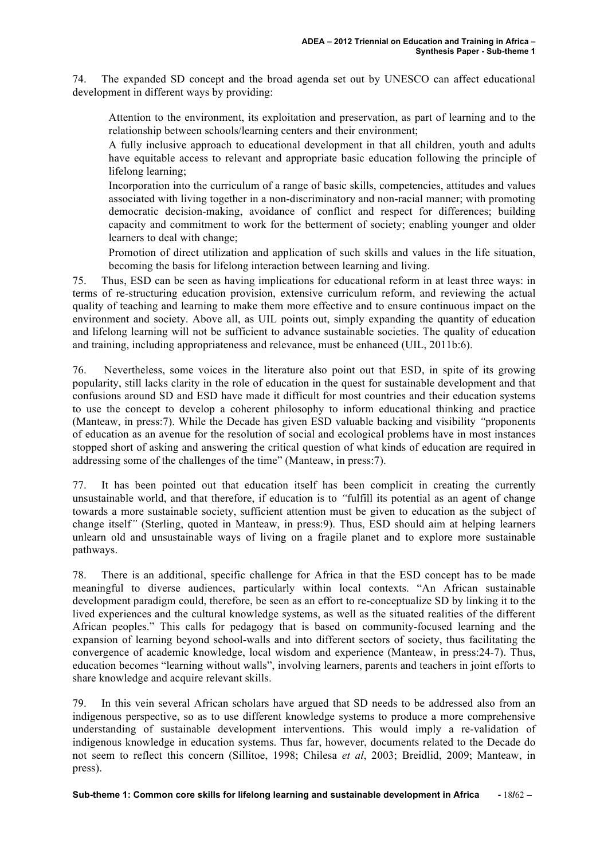74. The expanded SD concept and the broad agenda set out by UNESCO can affect educational development in different ways by providing:

Attention to the environment, its exploitation and preservation, as part of learning and to the relationship between schools/learning centers and their environment;

A fully inclusive approach to educational development in that all children, youth and adults have equitable access to relevant and appropriate basic education following the principle of lifelong learning;

Incorporation into the curriculum of a range of basic skills, competencies, attitudes and values associated with living together in a non-discriminatory and non-racial manner; with promoting democratic decision-making, avoidance of conflict and respect for differences; building capacity and commitment to work for the betterment of society; enabling younger and older learners to deal with change;

Promotion of direct utilization and application of such skills and values in the life situation, becoming the basis for lifelong interaction between learning and living.

75. Thus, ESD can be seen as having implications for educational reform in at least three ways: in terms of re-structuring education provision, extensive curriculum reform, and reviewing the actual quality of teaching and learning to make them more effective and to ensure continuous impact on the environment and society. Above all, as UIL points out, simply expanding the quantity of education and lifelong learning will not be sufficient to advance sustainable societies. The quality of education and training, including appropriateness and relevance, must be enhanced (UIL, 2011b:6).

76. Nevertheless, some voices in the literature also point out that ESD, in spite of its growing popularity, still lacks clarity in the role of education in the quest for sustainable development and that confusions around SD and ESD have made it difficult for most countries and their education systems to use the concept to develop a coherent philosophy to inform educational thinking and practice (Manteaw, in press:7). While the Decade has given ESD valuable backing and visibility *"*proponents of education as an avenue for the resolution of social and ecological problems have in most instances stopped short of asking and answering the critical question of what kinds of education are required in addressing some of the challenges of the time" (Manteaw, in press:7).

77. It has been pointed out that education itself has been complicit in creating the currently unsustainable world, and that therefore, if education is to *"*fulfill its potential as an agent of change towards a more sustainable society, sufficient attention must be given to education as the subject of change itself*"* (Sterling, quoted in Manteaw, in press:9). Thus, ESD should aim at helping learners unlearn old and unsustainable ways of living on a fragile planet and to explore more sustainable pathways.

78. There is an additional, specific challenge for Africa in that the ESD concept has to be made meaningful to diverse audiences, particularly within local contexts. "An African sustainable development paradigm could, therefore, be seen as an effort to re-conceptualize SD by linking it to the lived experiences and the cultural knowledge systems, as well as the situated realities of the different African peoples." This calls for pedagogy that is based on community-focused learning and the expansion of learning beyond school-walls and into different sectors of society, thus facilitating the convergence of academic knowledge, local wisdom and experience (Manteaw, in press:24-7). Thus, education becomes "learning without walls", involving learners, parents and teachers in joint efforts to share knowledge and acquire relevant skills.

79. In this vein several African scholars have argued that SD needs to be addressed also from an indigenous perspective, so as to use different knowledge systems to produce a more comprehensive understanding of sustainable development interventions. This would imply a re-validation of indigenous knowledge in education systems. Thus far, however, documents related to the Decade do not seem to reflect this concern (Sillitoe, 1998; Chilesa *et al*, 2003; Breidlid, 2009; Manteaw, in press).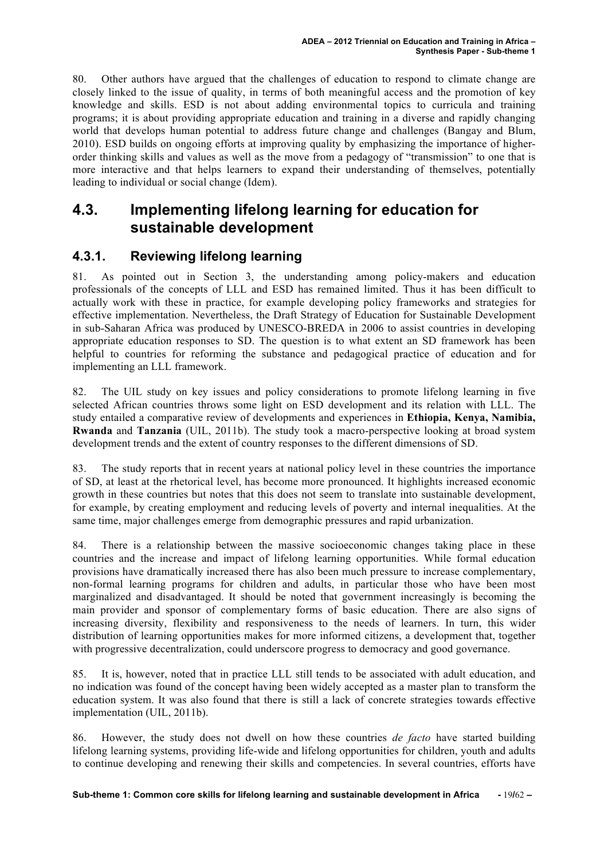80. Other authors have argued that the challenges of education to respond to climate change are closely linked to the issue of quality, in terms of both meaningful access and the promotion of key knowledge and skills. ESD is not about adding environmental topics to curricula and training programs; it is about providing appropriate education and training in a diverse and rapidly changing world that develops human potential to address future change and challenges (Bangay and Blum, 2010). ESD builds on ongoing efforts at improving quality by emphasizing the importance of higherorder thinking skills and values as well as the move from a pedagogy of "transmission" to one that is more interactive and that helps learners to expand their understanding of themselves, potentially leading to individual or social change (Idem).

## **4.3. Implementing lifelong learning for education for sustainable development**

#### **4.3.1. Reviewing lifelong learning**

81. As pointed out in Section 3, the understanding among policy-makers and education professionals of the concepts of LLL and ESD has remained limited. Thus it has been difficult to actually work with these in practice, for example developing policy frameworks and strategies for effective implementation. Nevertheless, the Draft Strategy of Education for Sustainable Development in sub-Saharan Africa was produced by UNESCO-BREDA in 2006 to assist countries in developing appropriate education responses to SD. The question is to what extent an SD framework has been helpful to countries for reforming the substance and pedagogical practice of education and for implementing an LLL framework.

82. The UIL study on key issues and policy considerations to promote lifelong learning in five selected African countries throws some light on ESD development and its relation with LLL. The study entailed a comparative review of developments and experiences in **Ethiopia, Kenya, Namibia, Rwanda** and **Tanzania** (UIL, 2011b). The study took a macro-perspective looking at broad system development trends and the extent of country responses to the different dimensions of SD.

83. The study reports that in recent years at national policy level in these countries the importance of SD, at least at the rhetorical level, has become more pronounced. It highlights increased economic growth in these countries but notes that this does not seem to translate into sustainable development, for example, by creating employment and reducing levels of poverty and internal inequalities. At the same time, major challenges emerge from demographic pressures and rapid urbanization.

84. There is a relationship between the massive socioeconomic changes taking place in these countries and the increase and impact of lifelong learning opportunities. While formal education provisions have dramatically increased there has also been much pressure to increase complementary, non-formal learning programs for children and adults, in particular those who have been most marginalized and disadvantaged. It should be noted that government increasingly is becoming the main provider and sponsor of complementary forms of basic education. There are also signs of increasing diversity, flexibility and responsiveness to the needs of learners. In turn, this wider distribution of learning opportunities makes for more informed citizens, a development that, together with progressive decentralization, could underscore progress to democracy and good governance.

85. It is, however, noted that in practice LLL still tends to be associated with adult education, and no indication was found of the concept having been widely accepted as a master plan to transform the education system. It was also found that there is still a lack of concrete strategies towards effective implementation (UIL, 2011b).

86. However, the study does not dwell on how these countries *de facto* have started building lifelong learning systems, providing life-wide and lifelong opportunities for children, youth and adults to continue developing and renewing their skills and competencies. In several countries, efforts have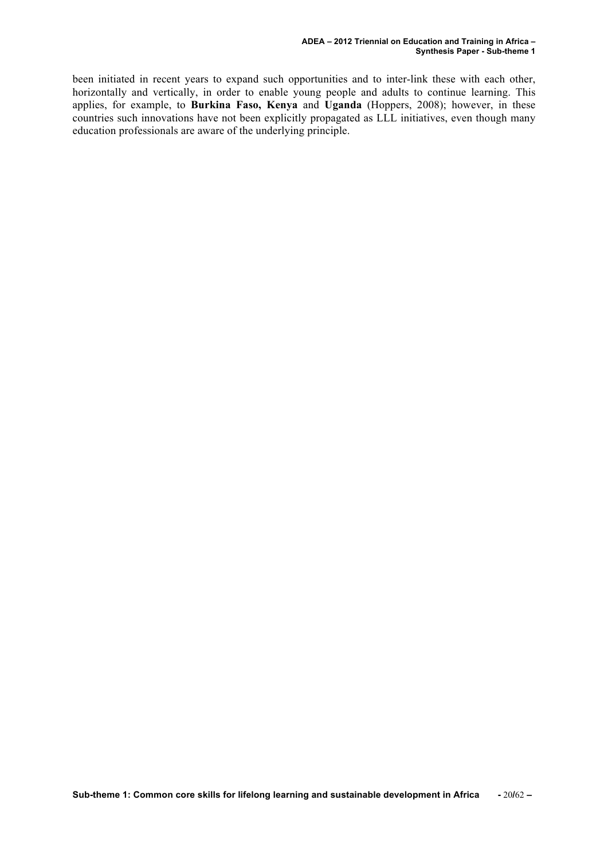been initiated in recent years to expand such opportunities and to inter-link these with each other, horizontally and vertically, in order to enable young people and adults to continue learning. This applies, for example, to **Burkina Faso, Kenya** and **Uganda** (Hoppers, 2008); however, in these countries such innovations have not been explicitly propagated as LLL initiatives, even though many education professionals are aware of the underlying principle.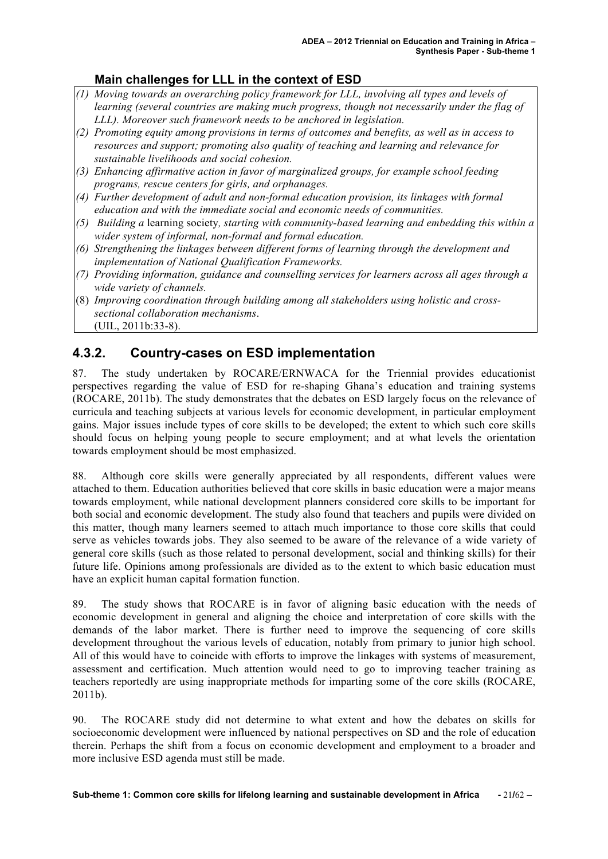#### **Main challenges for LLL in the context of ESD**

- *(1) Moving towards an overarching policy framework for LLL, involving all types and levels of learning (several countries are making much progress, though not necessarily under the flag of LLL). Moreover such framework needs to be anchored in legislation.*
- *(2) Promoting equity among provisions in terms of outcomes and benefits, as well as in access to resources and support; promoting also quality of teaching and learning and relevance for sustainable livelihoods and social cohesion.*
- *(3) Enhancing affirmative action in favor of marginalized groups, for example school feeding programs, rescue centers for girls, and orphanages.*
- *(4) Further development of adult and non-formal education provision, its linkages with formal education and with the immediate social and economic needs of communities.*
- *(5) Building a* learning society*, starting with community-based learning and embedding this within a wider system of informal, non-formal and formal education.*
- *(6) Strengthening the linkages between different forms of learning through the development and implementation of National Qualification Frameworks.*
- *(7) Providing information, guidance and counselling services for learners across all ages through a wide variety of channels.*
- (8) *Improving coordination through building among all stakeholders using holistic and crosssectional collaboration mechanisms*.
	- (UIL, 2011b:33-8).

#### **4.3.2. Country-cases on ESD implementation**

87. The study undertaken by ROCARE/ERNWACA for the Triennial provides educationist perspectives regarding the value of ESD for re-shaping Ghana's education and training systems (ROCARE, 2011b). The study demonstrates that the debates on ESD largely focus on the relevance of curricula and teaching subjects at various levels for economic development, in particular employment gains. Major issues include types of core skills to be developed; the extent to which such core skills should focus on helping young people to secure employment; and at what levels the orientation towards employment should be most emphasized.

88. Although core skills were generally appreciated by all respondents, different values were attached to them. Education authorities believed that core skills in basic education were a major means towards employment, while national development planners considered core skills to be important for both social and economic development. The study also found that teachers and pupils were divided on this matter, though many learners seemed to attach much importance to those core skills that could serve as vehicles towards jobs. They also seemed to be aware of the relevance of a wide variety of general core skills (such as those related to personal development, social and thinking skills) for their future life. Opinions among professionals are divided as to the extent to which basic education must have an explicit human capital formation function.

89. The study shows that ROCARE is in favor of aligning basic education with the needs of economic development in general and aligning the choice and interpretation of core skills with the demands of the labor market. There is further need to improve the sequencing of core skills development throughout the various levels of education, notably from primary to junior high school. All of this would have to coincide with efforts to improve the linkages with systems of measurement, assessment and certification. Much attention would need to go to improving teacher training as teachers reportedly are using inappropriate methods for imparting some of the core skills (ROCARE, 2011b).

90. The ROCARE study did not determine to what extent and how the debates on skills for socioeconomic development were influenced by national perspectives on SD and the role of education therein. Perhaps the shift from a focus on economic development and employment to a broader and more inclusive ESD agenda must still be made.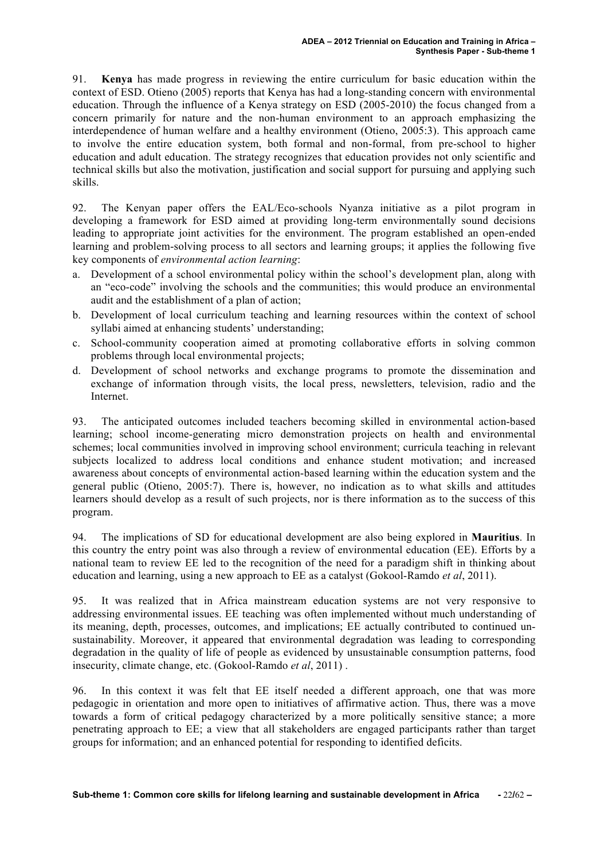91. **Kenya** has made progress in reviewing the entire curriculum for basic education within the context of ESD. Otieno (2005) reports that Kenya has had a long-standing concern with environmental education. Through the influence of a Kenya strategy on ESD (2005-2010) the focus changed from a concern primarily for nature and the non-human environment to an approach emphasizing the interdependence of human welfare and a healthy environment (Otieno, 2005:3). This approach came to involve the entire education system, both formal and non-formal, from pre-school to higher education and adult education. The strategy recognizes that education provides not only scientific and technical skills but also the motivation, justification and social support for pursuing and applying such skills.

92. The Kenyan paper offers the EAL/Eco-schools Nyanza initiative as a pilot program in developing a framework for ESD aimed at providing long-term environmentally sound decisions leading to appropriate joint activities for the environment. The program established an open-ended learning and problem-solving process to all sectors and learning groups; it applies the following five key components of *environmental action learning*:

- a. Development of a school environmental policy within the school's development plan, along with an "eco-code" involving the schools and the communities; this would produce an environmental audit and the establishment of a plan of action;
- b. Development of local curriculum teaching and learning resources within the context of school syllabi aimed at enhancing students' understanding;
- c. School-community cooperation aimed at promoting collaborative efforts in solving common problems through local environmental projects;
- d. Development of school networks and exchange programs to promote the dissemination and exchange of information through visits, the local press, newsletters, television, radio and the Internet.

93. The anticipated outcomes included teachers becoming skilled in environmental action-based learning; school income-generating micro demonstration projects on health and environmental schemes; local communities involved in improving school environment; curricula teaching in relevant subjects localized to address local conditions and enhance student motivation; and increased awareness about concepts of environmental action-based learning within the education system and the general public (Otieno, 2005:7). There is, however, no indication as to what skills and attitudes learners should develop as a result of such projects, nor is there information as to the success of this program.

94. The implications of SD for educational development are also being explored in **Mauritius**. In this country the entry point was also through a review of environmental education (EE). Efforts by a national team to review EE led to the recognition of the need for a paradigm shift in thinking about education and learning, using a new approach to EE as a catalyst (Gokool-Ramdo *et al*, 2011).

95. It was realized that in Africa mainstream education systems are not very responsive to addressing environmental issues. EE teaching was often implemented without much understanding of its meaning, depth, processes, outcomes, and implications; EE actually contributed to continued unsustainability. Moreover, it appeared that environmental degradation was leading to corresponding degradation in the quality of life of people as evidenced by unsustainable consumption patterns, food insecurity, climate change, etc. (Gokool-Ramdo *et al*, 2011) .

96. In this context it was felt that EE itself needed a different approach, one that was more pedagogic in orientation and more open to initiatives of affirmative action. Thus, there was a move towards a form of critical pedagogy characterized by a more politically sensitive stance; a more penetrating approach to EE; a view that all stakeholders are engaged participants rather than target groups for information; and an enhanced potential for responding to identified deficits.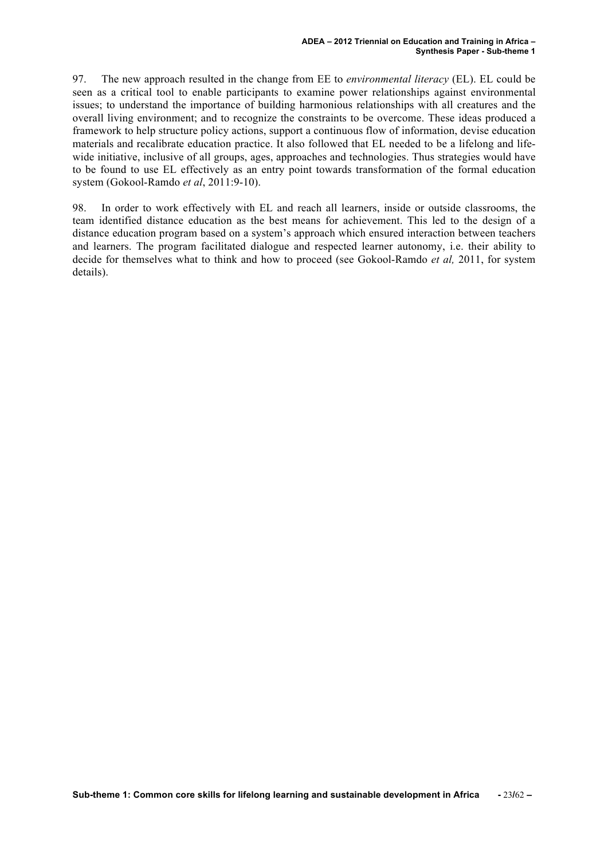97. The new approach resulted in the change from EE to *environmental literacy* (EL). EL could be seen as a critical tool to enable participants to examine power relationships against environmental issues; to understand the importance of building harmonious relationships with all creatures and the overall living environment; and to recognize the constraints to be overcome. These ideas produced a framework to help structure policy actions, support a continuous flow of information, devise education materials and recalibrate education practice. It also followed that EL needed to be a lifelong and lifewide initiative, inclusive of all groups, ages, approaches and technologies. Thus strategies would have to be found to use EL effectively as an entry point towards transformation of the formal education system (Gokool-Ramdo *et al*, 2011:9-10).

98. In order to work effectively with EL and reach all learners, inside or outside classrooms, the team identified distance education as the best means for achievement. This led to the design of a distance education program based on a system's approach which ensured interaction between teachers and learners. The program facilitated dialogue and respected learner autonomy, i.e. their ability to decide for themselves what to think and how to proceed (see Gokool-Ramdo *et al,* 2011, for system details).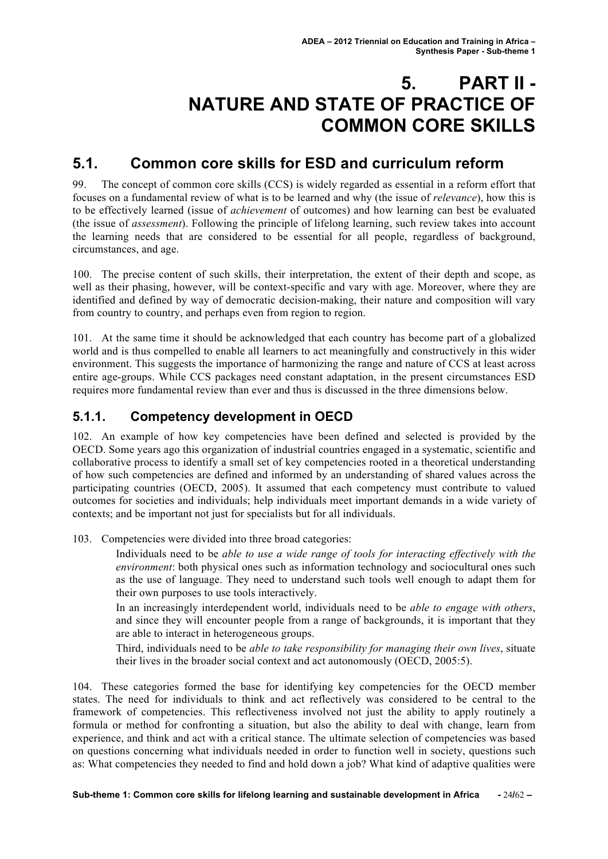# **5. PART II - NATURE AND STATE OF PRACTICE OF COMMON CORE SKILLS**

## **5.1. Common core skills for ESD and curriculum reform**

99. The concept of common core skills (CCS) is widely regarded as essential in a reform effort that focuses on a fundamental review of what is to be learned and why (the issue of *relevance*), how this is to be effectively learned (issue of *achievement* of outcomes) and how learning can best be evaluated (the issue of *assessment*). Following the principle of lifelong learning, such review takes into account the learning needs that are considered to be essential for all people, regardless of background, circumstances, and age.

100. The precise content of such skills, their interpretation, the extent of their depth and scope, as well as their phasing, however, will be context-specific and vary with age. Moreover, where they are identified and defined by way of democratic decision-making, their nature and composition will vary from country to country, and perhaps even from region to region.

101. At the same time it should be acknowledged that each country has become part of a globalized world and is thus compelled to enable all learners to act meaningfully and constructively in this wider environment. This suggests the importance of harmonizing the range and nature of CCS at least across entire age-groups. While CCS packages need constant adaptation, in the present circumstances ESD requires more fundamental review than ever and thus is discussed in the three dimensions below.

#### **5.1.1. Competency development in OECD**

102. An example of how key competencies have been defined and selected is provided by the OECD. Some years ago this organization of industrial countries engaged in a systematic, scientific and collaborative process to identify a small set of key competencies rooted in a theoretical understanding of how such competencies are defined and informed by an understanding of shared values across the participating countries (OECD, 2005). It assumed that each competency must contribute to valued outcomes for societies and individuals; help individuals meet important demands in a wide variety of contexts; and be important not just for specialists but for all individuals.

103. Competencies were divided into three broad categories:

Individuals need to be *able to use a wide range of tools for interacting effectively with the environment*: both physical ones such as information technology and sociocultural ones such as the use of language. They need to understand such tools well enough to adapt them for their own purposes to use tools interactively.

In an increasingly interdependent world, individuals need to be *able to engage with others*, and since they will encounter people from a range of backgrounds, it is important that they are able to interact in heterogeneous groups.

Third, individuals need to be *able to take responsibility for managing their own lives*, situate their lives in the broader social context and act autonomously (OECD, 2005:5).

104. These categories formed the base for identifying key competencies for the OECD member states. The need for individuals to think and act reflectively was considered to be central to the framework of competencies. This reflectiveness involved not just the ability to apply routinely a formula or method for confronting a situation, but also the ability to deal with change, learn from experience, and think and act with a critical stance. The ultimate selection of competencies was based on questions concerning what individuals needed in order to function well in society, questions such as: What competencies they needed to find and hold down a job? What kind of adaptive qualities were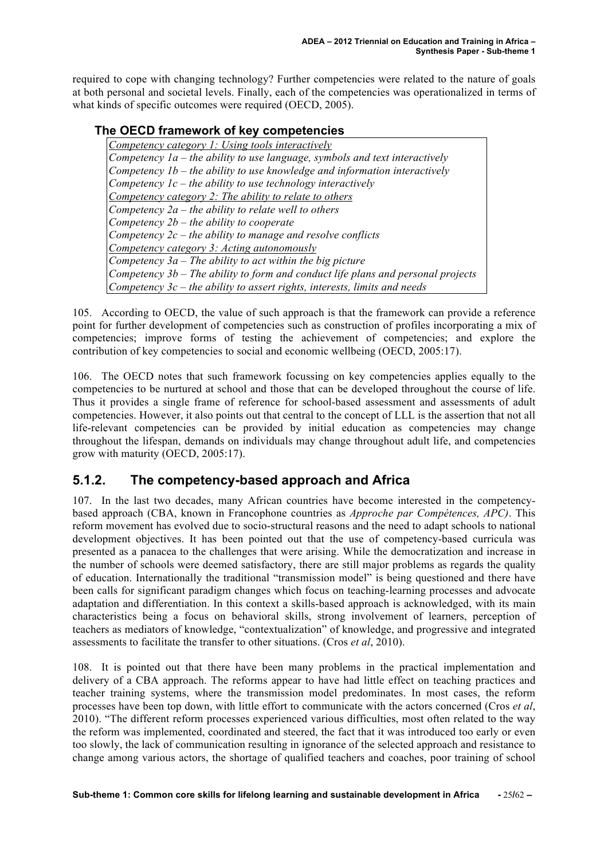required to cope with changing technology? Further competencies were related to the nature of goals at both personal and societal levels. Finally, each of the competencies was operationalized in terms of what kinds of specific outcomes were required (OECD, 2005).

#### **The OECD framework of key competencies**

*Competency category 1: Using tools interactively Competency 1a – the ability to use language, symbols and text interactively Competency 1b – the ability to use knowledge and information interactively Competency 1c – the ability to use technology interactively Competency category 2: The ability to relate to others Competency 2a – the ability to relate well to others Competency 2b – the ability to cooperate Competency 2c – the ability to manage and resolve conflicts Competency category 3: Acting autonomously Competency 3a – The ability to act within the big picture Competency 3b – The ability to form and conduct life plans and personal projects Competency 3c – the ability to assert rights, interests, limits and needs*

105. According to OECD, the value of such approach is that the framework can provide a reference point for further development of competencies such as construction of profiles incorporating a mix of competencies; improve forms of testing the achievement of competencies; and explore the contribution of key competencies to social and economic wellbeing (OECD, 2005:17).

106. The OECD notes that such framework focussing on key competencies applies equally to the competencies to be nurtured at school and those that can be developed throughout the course of life. Thus it provides a single frame of reference for school-based assessment and assessments of adult competencies. However, it also points out that central to the concept of LLL is the assertion that not all life-relevant competencies can be provided by initial education as competencies may change throughout the lifespan, demands on individuals may change throughout adult life, and competencies grow with maturity (OECD, 2005:17).

#### **5.1.2. The competency-based approach and Africa**

107. In the last two decades, many African countries have become interested in the competencybased approach (CBA, known in Francophone countries as *Approche par Compétences, APC)*. This reform movement has evolved due to socio-structural reasons and the need to adapt schools to national development objectives. It has been pointed out that the use of competency-based curricula was presented as a panacea to the challenges that were arising. While the democratization and increase in the number of schools were deemed satisfactory, there are still major problems as regards the quality of education. Internationally the traditional "transmission model" is being questioned and there have been calls for significant paradigm changes which focus on teaching-learning processes and advocate adaptation and differentiation. In this context a skills-based approach is acknowledged, with its main characteristics being a focus on behavioral skills, strong involvement of learners, perception of teachers as mediators of knowledge, "contextualization" of knowledge, and progressive and integrated assessments to facilitate the transfer to other situations. (Cros *et al*, 2010).

108. It is pointed out that there have been many problems in the practical implementation and delivery of a CBA approach. The reforms appear to have had little effect on teaching practices and teacher training systems, where the transmission model predominates. In most cases, the reform processes have been top down, with little effort to communicate with the actors concerned (Cros *et al*, 2010). "The different reform processes experienced various difficulties, most often related to the way the reform was implemented, coordinated and steered, the fact that it was introduced too early or even too slowly, the lack of communication resulting in ignorance of the selected approach and resistance to change among various actors, the shortage of qualified teachers and coaches, poor training of school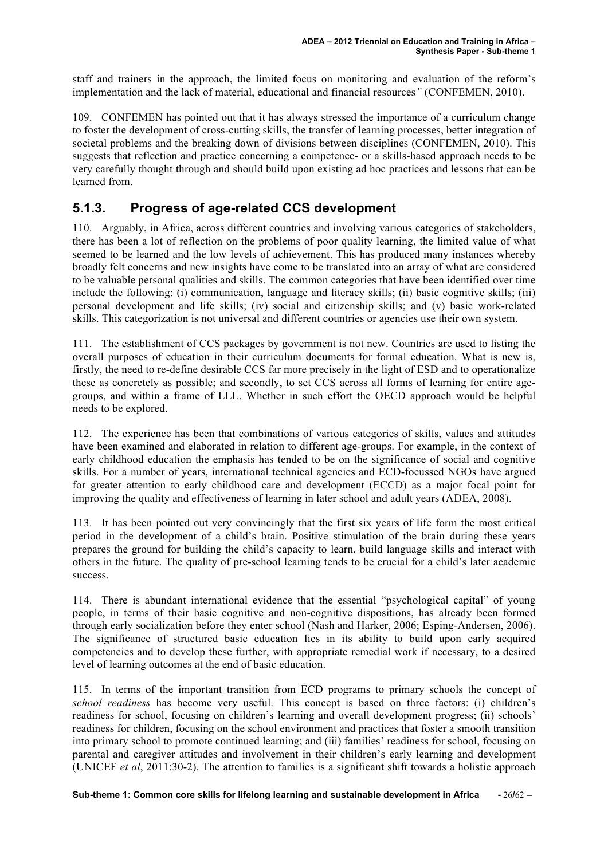staff and trainers in the approach, the limited focus on monitoring and evaluation of the reform's implementation and the lack of material, educational and financial resources*"* (CONFEMEN, 2010).

109. CONFEMEN has pointed out that it has always stressed the importance of a curriculum change to foster the development of cross-cutting skills, the transfer of learning processes, better integration of societal problems and the breaking down of divisions between disciplines (CONFEMEN, 2010). This suggests that reflection and practice concerning a competence- or a skills-based approach needs to be very carefully thought through and should build upon existing ad hoc practices and lessons that can be learned from.

### **5.1.3. Progress of age-related CCS development**

110. Arguably, in Africa, across different countries and involving various categories of stakeholders, there has been a lot of reflection on the problems of poor quality learning, the limited value of what seemed to be learned and the low levels of achievement. This has produced many instances whereby broadly felt concerns and new insights have come to be translated into an array of what are considered to be valuable personal qualities and skills. The common categories that have been identified over time include the following: (i) communication, language and literacy skills; (ii) basic cognitive skills; (iii) personal development and life skills; (iv) social and citizenship skills; and (v) basic work-related skills. This categorization is not universal and different countries or agencies use their own system.

111. The establishment of CCS packages by government is not new. Countries are used to listing the overall purposes of education in their curriculum documents for formal education. What is new is, firstly, the need to re-define desirable CCS far more precisely in the light of ESD and to operationalize these as concretely as possible; and secondly, to set CCS across all forms of learning for entire agegroups, and within a frame of LLL. Whether in such effort the OECD approach would be helpful needs to be explored.

112. The experience has been that combinations of various categories of skills, values and attitudes have been examined and elaborated in relation to different age-groups. For example, in the context of early childhood education the emphasis has tended to be on the significance of social and cognitive skills. For a number of years, international technical agencies and ECD-focussed NGOs have argued for greater attention to early childhood care and development (ECCD) as a major focal point for improving the quality and effectiveness of learning in later school and adult years (ADEA, 2008).

113. It has been pointed out very convincingly that the first six years of life form the most critical period in the development of a child's brain. Positive stimulation of the brain during these years prepares the ground for building the child's capacity to learn, build language skills and interact with others in the future. The quality of pre-school learning tends to be crucial for a child's later academic success.

114. There is abundant international evidence that the essential "psychological capital" of young people, in terms of their basic cognitive and non-cognitive dispositions, has already been formed through early socialization before they enter school (Nash and Harker, 2006; Esping-Andersen, 2006). The significance of structured basic education lies in its ability to build upon early acquired competencies and to develop these further, with appropriate remedial work if necessary, to a desired level of learning outcomes at the end of basic education.

115. In terms of the important transition from ECD programs to primary schools the concept of *school readiness* has become very useful. This concept is based on three factors: (i) children's readiness for school, focusing on children's learning and overall development progress; (ii) schools' readiness for children, focusing on the school environment and practices that foster a smooth transition into primary school to promote continued learning; and (iii) families' readiness for school, focusing on parental and caregiver attitudes and involvement in their children's early learning and development (UNICEF *et al*, 2011:30-2). The attention to families is a significant shift towards a holistic approach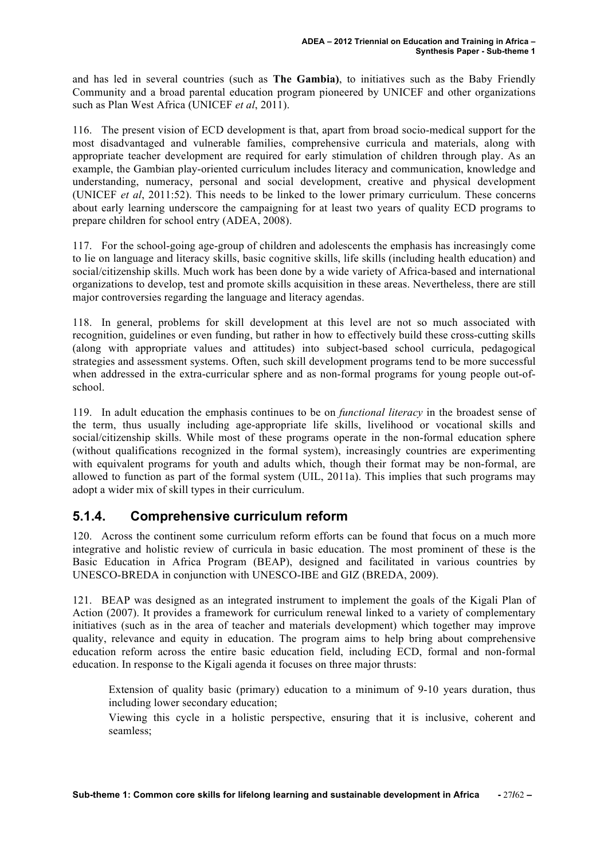and has led in several countries (such as **The Gambia)**, to initiatives such as the Baby Friendly Community and a broad parental education program pioneered by UNICEF and other organizations such as Plan West Africa (UNICEF *et al*, 2011).

116. The present vision of ECD development is that, apart from broad socio-medical support for the most disadvantaged and vulnerable families, comprehensive curricula and materials, along with appropriate teacher development are required for early stimulation of children through play. As an example, the Gambian play-oriented curriculum includes literacy and communication, knowledge and understanding, numeracy, personal and social development, creative and physical development (UNICEF *et al*, 2011:52). This needs to be linked to the lower primary curriculum. These concerns about early learning underscore the campaigning for at least two years of quality ECD programs to prepare children for school entry (ADEA, 2008).

117. For the school-going age-group of children and adolescents the emphasis has increasingly come to lie on language and literacy skills, basic cognitive skills, life skills (including health education) and social/citizenship skills. Much work has been done by a wide variety of Africa-based and international organizations to develop, test and promote skills acquisition in these areas. Nevertheless, there are still major controversies regarding the language and literacy agendas.

118. In general, problems for skill development at this level are not so much associated with recognition, guidelines or even funding, but rather in how to effectively build these cross-cutting skills (along with appropriate values and attitudes) into subject-based school curricula, pedagogical strategies and assessment systems. Often, such skill development programs tend to be more successful when addressed in the extra-curricular sphere and as non-formal programs for young people out-ofschool.

119. In adult education the emphasis continues to be on *functional literacy* in the broadest sense of the term, thus usually including age-appropriate life skills, livelihood or vocational skills and social/citizenship skills. While most of these programs operate in the non-formal education sphere (without qualifications recognized in the formal system), increasingly countries are experimenting with equivalent programs for youth and adults which, though their format may be non-formal, are allowed to function as part of the formal system (UIL, 2011a). This implies that such programs may adopt a wider mix of skill types in their curriculum.

#### **5.1.4. Comprehensive curriculum reform**

120. Across the continent some curriculum reform efforts can be found that focus on a much more integrative and holistic review of curricula in basic education. The most prominent of these is the Basic Education in Africa Program (BEAP), designed and facilitated in various countries by UNESCO-BREDA in conjunction with UNESCO-IBE and GIZ (BREDA, 2009).

121. BEAP was designed as an integrated instrument to implement the goals of the Kigali Plan of Action (2007). It provides a framework for curriculum renewal linked to a variety of complementary initiatives (such as in the area of teacher and materials development) which together may improve quality, relevance and equity in education. The program aims to help bring about comprehensive education reform across the entire basic education field, including ECD, formal and non-formal education. In response to the Kigali agenda it focuses on three major thrusts:

Extension of quality basic (primary) education to a minimum of 9-10 years duration, thus including lower secondary education;

Viewing this cycle in a holistic perspective, ensuring that it is inclusive, coherent and seamless;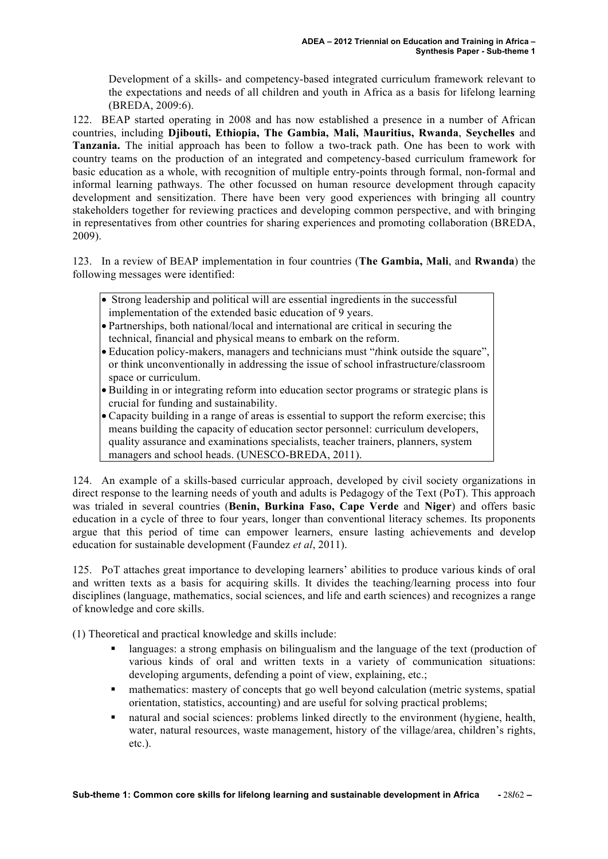Development of a skills- and competency-based integrated curriculum framework relevant to the expectations and needs of all children and youth in Africa as a basis for lifelong learning (BREDA, 2009:6).

122. BEAP started operating in 2008 and has now established a presence in a number of African countries, including **Djibouti, Ethiopia, The Gambia, Mali, Mauritius, Rwanda**, **Seychelles** and **Tanzania.** The initial approach has been to follow a two-track path. One has been to work with country teams on the production of an integrated and competency-based curriculum framework for basic education as a whole, with recognition of multiple entry-points through formal, non-formal and informal learning pathways. The other focussed on human resource development through capacity development and sensitization. There have been very good experiences with bringing all country stakeholders together for reviewing practices and developing common perspective, and with bringing in representatives from other countries for sharing experiences and promoting collaboration (BREDA, 2009).

123. In a review of BEAP implementation in four countries (**The Gambia, Mali**, and **Rwanda**) the following messages were identified:

- Strong leadership and political will are essential ingredients in the successful implementation of the extended basic education of 9 years.
- Partnerships, both national/local and international are critical in securing the technical, financial and physical means to embark on the reform.
- Education policy-makers, managers and technicians must "*t*hink outside the square", or think unconventionally in addressing the issue of school infrastructure/classroom space or curriculum.
- Building in or integrating reform into education sector programs or strategic plans is crucial for funding and sustainability.
- Capacity building in a range of areas is essential to support the reform exercise; this means building the capacity of education sector personnel: curriculum developers, quality assurance and examinations specialists, teacher trainers, planners, system managers and school heads. (UNESCO-BREDA, 2011).

124. An example of a skills-based curricular approach, developed by civil society organizations in direct response to the learning needs of youth and adults is Pedagogy of the Text (PoT). This approach was trialed in several countries (**Benin, Burkina Faso, Cape Verde** and **Niger**) and offers basic education in a cycle of three to four years, longer than conventional literacy schemes. Its proponents argue that this period of time can empower learners, ensure lasting achievements and develop education for sustainable development (Faundez *et al*, 2011).

125. PoT attaches great importance to developing learners' abilities to produce various kinds of oral and written texts as a basis for acquiring skills. It divides the teaching/learning process into four disciplines (language, mathematics, social sciences, and life and earth sciences) and recognizes a range of knowledge and core skills.

(1) Theoretical and practical knowledge and skills include:

- languages: a strong emphasis on bilingualism and the language of the text (production of various kinds of oral and written texts in a variety of communication situations: developing arguments, defending a point of view, explaining, etc.;
- mathematics: mastery of concepts that go well beyond calculation (metric systems, spatial orientation, statistics, accounting) and are useful for solving practical problems;
- natural and social sciences: problems linked directly to the environment (hygiene, health, water, natural resources, waste management, history of the village/area, children's rights, etc.).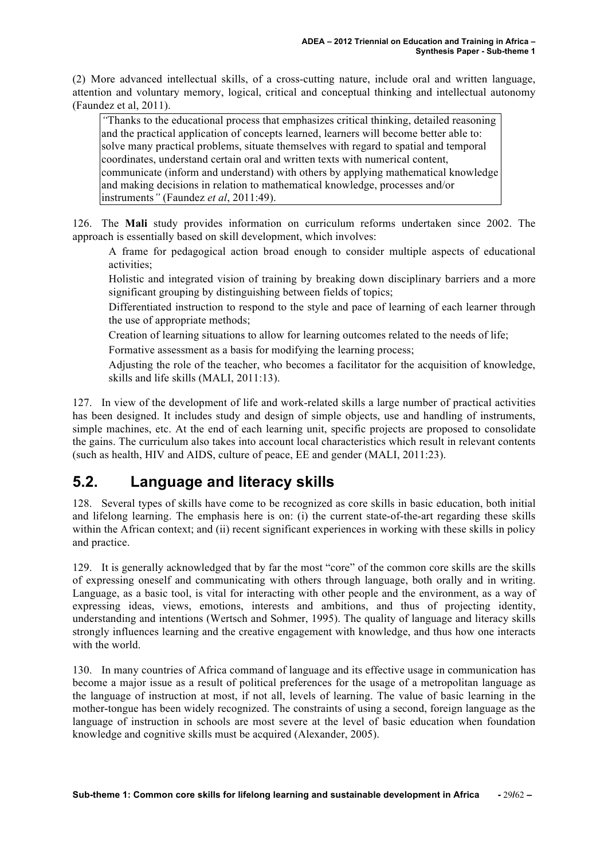(2) More advanced intellectual skills, of a cross-cutting nature, include oral and written language, attention and voluntary memory, logical, critical and conceptual thinking and intellectual autonomy (Faundez et al, 2011).

*"*Thanks to the educational process that emphasizes critical thinking, detailed reasoning and the practical application of concepts learned, learners will become better able to: solve many practical problems, situate themselves with regard to spatial and temporal coordinates, understand certain oral and written texts with numerical content, communicate (inform and understand) with others by applying mathematical knowledge and making decisions in relation to mathematical knowledge, processes and/or instruments*"* (Faundez *et al*, 2011:49).

126. The **Mali** study provides information on curriculum reforms undertaken since 2002. The approach is essentially based on skill development, which involves:

A frame for pedagogical action broad enough to consider multiple aspects of educational activities;

Holistic and integrated vision of training by breaking down disciplinary barriers and a more significant grouping by distinguishing between fields of topics;

Differentiated instruction to respond to the style and pace of learning of each learner through the use of appropriate methods;

Creation of learning situations to allow for learning outcomes related to the needs of life;

Formative assessment as a basis for modifying the learning process;

Adjusting the role of the teacher, who becomes a facilitator for the acquisition of knowledge, skills and life skills (MALI, 2011:13).

127. In view of the development of life and work-related skills a large number of practical activities has been designed. It includes study and design of simple objects, use and handling of instruments, simple machines, etc. At the end of each learning unit, specific projects are proposed to consolidate the gains. The curriculum also takes into account local characteristics which result in relevant contents (such as health, HIV and AIDS, culture of peace, EE and gender (MALI, 2011:23).

## **5.2. Language and literacy skills**

128. Several types of skills have come to be recognized as core skills in basic education, both initial and lifelong learning. The emphasis here is on: (i) the current state-of-the-art regarding these skills within the African context; and (ii) recent significant experiences in working with these skills in policy and practice.

129. It is generally acknowledged that by far the most "core" of the common core skills are the skills of expressing oneself and communicating with others through language, both orally and in writing. Language, as a basic tool, is vital for interacting with other people and the environment, as a way of expressing ideas, views, emotions, interests and ambitions, and thus of projecting identity, understanding and intentions (Wertsch and Sohmer, 1995). The quality of language and literacy skills strongly influences learning and the creative engagement with knowledge, and thus how one interacts with the world.

130. In many countries of Africa command of language and its effective usage in communication has become a major issue as a result of political preferences for the usage of a metropolitan language as the language of instruction at most, if not all, levels of learning. The value of basic learning in the mother-tongue has been widely recognized. The constraints of using a second, foreign language as the language of instruction in schools are most severe at the level of basic education when foundation knowledge and cognitive skills must be acquired (Alexander, 2005).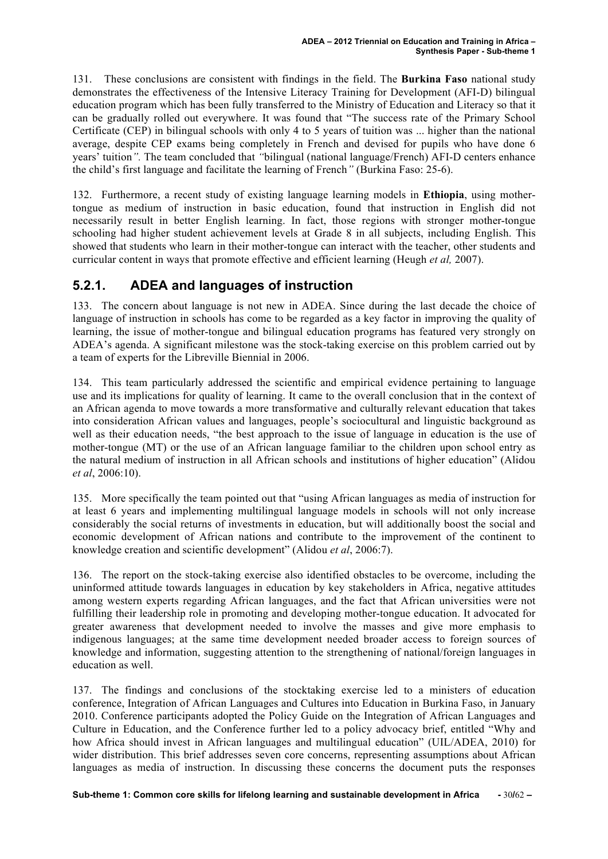131. These conclusions are consistent with findings in the field. The **Burkina Faso** national study demonstrates the effectiveness of the Intensive Literacy Training for Development (AFI-D) bilingual education program which has been fully transferred to the Ministry of Education and Literacy so that it can be gradually rolled out everywhere. It was found that "The success rate of the Primary School Certificate (CEP) in bilingual schools with only 4 to 5 years of tuition was ... higher than the national average, despite CEP exams being completely in French and devised for pupils who have done 6 years' tuition*".* The team concluded that *"*bilingual (national language/French) AFI-D centers enhance the child's first language and facilitate the learning of French*"* (Burkina Faso: 25-6).

132. Furthermore, a recent study of existing language learning models in **Ethiopia**, using mothertongue as medium of instruction in basic education, found that instruction in English did not necessarily result in better English learning. In fact, those regions with stronger mother-tongue schooling had higher student achievement levels at Grade 8 in all subjects, including English. This showed that students who learn in their mother-tongue can interact with the teacher, other students and curricular content in ways that promote effective and efficient learning (Heugh *et al,* 2007).

### **5.2.1. ADEA and languages of instruction**

133. The concern about language is not new in ADEA. Since during the last decade the choice of language of instruction in schools has come to be regarded as a key factor in improving the quality of learning, the issue of mother-tongue and bilingual education programs has featured very strongly on ADEA's agenda. A significant milestone was the stock-taking exercise on this problem carried out by a team of experts for the Libreville Biennial in 2006.

134. This team particularly addressed the scientific and empirical evidence pertaining to language use and its implications for quality of learning. It came to the overall conclusion that in the context of an African agenda to move towards a more transformative and culturally relevant education that takes into consideration African values and languages, people's sociocultural and linguistic background as well as their education needs, "the best approach to the issue of language in education is the use of mother-tongue (MT) or the use of an African language familiar to the children upon school entry as the natural medium of instruction in all African schools and institutions of higher education" (Alidou *et al*, 2006:10).

135. More specifically the team pointed out that "using African languages as media of instruction for at least 6 years and implementing multilingual language models in schools will not only increase considerably the social returns of investments in education, but will additionally boost the social and economic development of African nations and contribute to the improvement of the continent to knowledge creation and scientific development" (Alidou *et al*, 2006:7).

136. The report on the stock-taking exercise also identified obstacles to be overcome, including the uninformed attitude towards languages in education by key stakeholders in Africa, negative attitudes among western experts regarding African languages, and the fact that African universities were not fulfilling their leadership role in promoting and developing mother-tongue education. It advocated for greater awareness that development needed to involve the masses and give more emphasis to indigenous languages; at the same time development needed broader access to foreign sources of knowledge and information, suggesting attention to the strengthening of national/foreign languages in education as well.

137. The findings and conclusions of the stocktaking exercise led to a ministers of education conference, Integration of African Languages and Cultures into Education in Burkina Faso, in January 2010. Conference participants adopted the Policy Guide on the Integration of African Languages and Culture in Education, and the Conference further led to a policy advocacy brief, entitled "Why and how Africa should invest in African languages and multilingual education" (UIL/ADEA, 2010) for wider distribution. This brief addresses seven core concerns, representing assumptions about African languages as media of instruction. In discussing these concerns the document puts the responses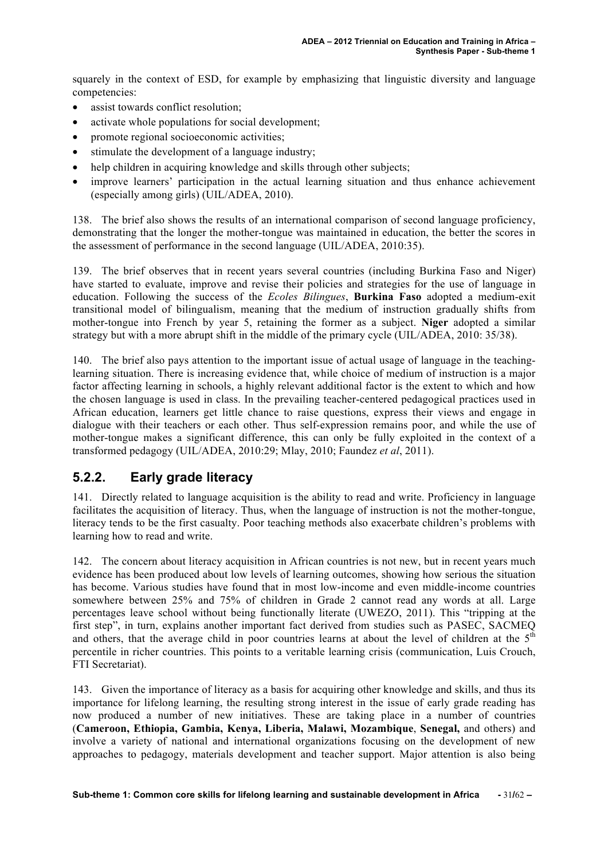squarely in the context of ESD, for example by emphasizing that linguistic diversity and language competencies:

- assist towards conflict resolution;
- activate whole populations for social development;
- promote regional socioeconomic activities;
- stimulate the development of a language industry;
- help children in acquiring knowledge and skills through other subjects;
- improve learners' participation in the actual learning situation and thus enhance achievement (especially among girls) (UIL/ADEA, 2010).

138. The brief also shows the results of an international comparison of second language proficiency, demonstrating that the longer the mother-tongue was maintained in education, the better the scores in the assessment of performance in the second language (UIL/ADEA, 2010:35).

139. The brief observes that in recent years several countries (including Burkina Faso and Niger) have started to evaluate, improve and revise their policies and strategies for the use of language in education. Following the success of the *Ecoles Bilingues*, **Burkina Faso** adopted a medium-exit transitional model of bilingualism, meaning that the medium of instruction gradually shifts from mother-tongue into French by year 5, retaining the former as a subject. **Niger** adopted a similar strategy but with a more abrupt shift in the middle of the primary cycle (UIL/ADEA, 2010: 35/38).

140. The brief also pays attention to the important issue of actual usage of language in the teachinglearning situation. There is increasing evidence that, while choice of medium of instruction is a major factor affecting learning in schools, a highly relevant additional factor is the extent to which and how the chosen language is used in class. In the prevailing teacher-centered pedagogical practices used in African education, learners get little chance to raise questions, express their views and engage in dialogue with their teachers or each other. Thus self-expression remains poor, and while the use of mother-tongue makes a significant difference, this can only be fully exploited in the context of a transformed pedagogy (UIL/ADEA, 2010:29; Mlay, 2010; Faundez *et al*, 2011).

#### **5.2.2. Early grade literacy**

141. Directly related to language acquisition is the ability to read and write. Proficiency in language facilitates the acquisition of literacy. Thus, when the language of instruction is not the mother-tongue, literacy tends to be the first casualty. Poor teaching methods also exacerbate children's problems with learning how to read and write.

142. The concern about literacy acquisition in African countries is not new, but in recent years much evidence has been produced about low levels of learning outcomes, showing how serious the situation has become. Various studies have found that in most low-income and even middle-income countries somewhere between 25% and 75% of children in Grade 2 cannot read any words at all. Large percentages leave school without being functionally literate (UWEZO, 2011). This "tripping at the first step", in turn, explains another important fact derived from studies such as PASEC, SACMEQ and others, that the average child in poor countries learns at about the level of children at the  $5<sup>th</sup>$ percentile in richer countries. This points to a veritable learning crisis (communication, Luis Crouch, FTI Secretariat).

143. Given the importance of literacy as a basis for acquiring other knowledge and skills, and thus its importance for lifelong learning, the resulting strong interest in the issue of early grade reading has now produced a number of new initiatives. These are taking place in a number of countries (**Cameroon, Ethiopia, Gambia, Kenya, Liberia, Malawi, Mozambique**, **Senegal,** and others) and involve a variety of national and international organizations focusing on the development of new approaches to pedagogy, materials development and teacher support. Major attention is also being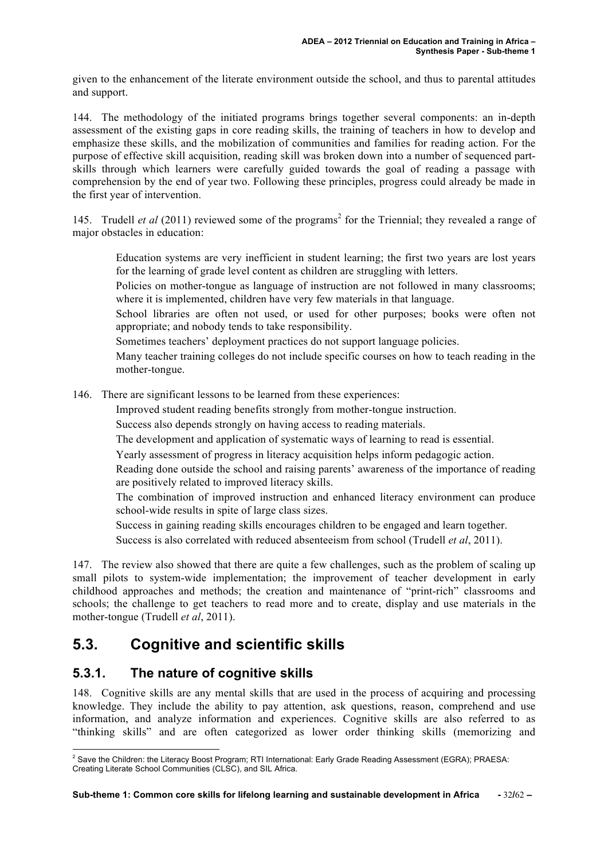given to the enhancement of the literate environment outside the school, and thus to parental attitudes and support.

144. The methodology of the initiated programs brings together several components: an in-depth assessment of the existing gaps in core reading skills, the training of teachers in how to develop and emphasize these skills, and the mobilization of communities and families for reading action. For the purpose of effective skill acquisition, reading skill was broken down into a number of sequenced partskills through which learners were carefully guided towards the goal of reading a passage with comprehension by the end of year two. Following these principles, progress could already be made in the first year of intervention.

145. Trudell *et al* (2011) reviewed some of the programs<sup>2</sup> for the Triennial; they revealed a range of major obstacles in education:

Education systems are very inefficient in student learning; the first two years are lost years for the learning of grade level content as children are struggling with letters.

Policies on mother-tongue as language of instruction are not followed in many classrooms; where it is implemented, children have very few materials in that language.

School libraries are often not used, or used for other purposes; books were often not appropriate; and nobody tends to take responsibility.

Sometimes teachers' deployment practices do not support language policies.

Many teacher training colleges do not include specific courses on how to teach reading in the mother-tongue.

146. There are significant lessons to be learned from these experiences:

Improved student reading benefits strongly from mother-tongue instruction.

Success also depends strongly on having access to reading materials.

The development and application of systematic ways of learning to read is essential.

Yearly assessment of progress in literacy acquisition helps inform pedagogic action.

Reading done outside the school and raising parents' awareness of the importance of reading are positively related to improved literacy skills.

The combination of improved instruction and enhanced literacy environment can produce school-wide results in spite of large class sizes.

Success in gaining reading skills encourages children to be engaged and learn together.

Success is also correlated with reduced absenteeism from school (Trudell *et al*, 2011).

147. The review also showed that there are quite a few challenges, such as the problem of scaling up small pilots to system-wide implementation; the improvement of teacher development in early childhood approaches and methods; the creation and maintenance of "print-rich" classrooms and schools; the challenge to get teachers to read more and to create, display and use materials in the mother-tongue (Trudell *et al*, 2011).

## **5.3. Cognitive and scientific skills**

#### **5.3.1. The nature of cognitive skills**

148. Cognitive skills are any mental skills that are used in the process of acquiring and processing knowledge. They include the ability to pay attention, ask questions, reason, comprehend and use information, and analyze information and experiences. Cognitive skills are also referred to as "thinking skills" and are often categorized as lower order thinking skills (memorizing and

 <sup>2</sup> Save the Children: the Literacy Boost Program; RTI International: Early Grade Reading Assessment (EGRA); PRAESA: Creating Literate School Communities (CLSC), and SIL Africa.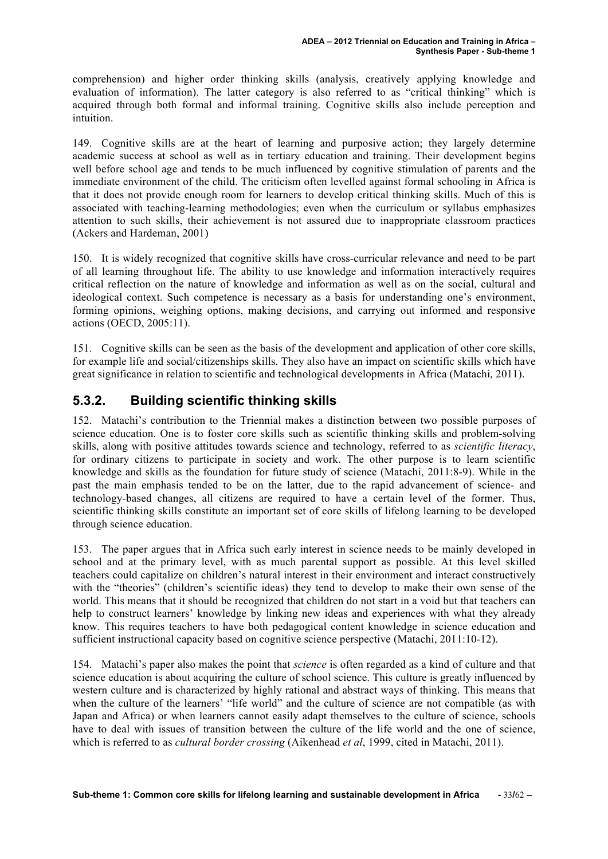comprehension) and higher order thinking skills (analysis, creatively applying knowledge and evaluation of information). The latter category is also referred to as "critical thinking" which is acquired through both formal and informal training. Cognitive skills also include perception and intuition.

149. Cognitive skills are at the heart of learning and purposive action; they largely determine academic success at school as well as in tertiary education and training. Their development begins well before school age and tends to be much influenced by cognitive stimulation of parents and the immediate environment of the child. The criticism often levelled against formal schooling in Africa is that it does not provide enough room for learners to develop critical thinking skills. Much of this is associated with teaching-learning methodologies; even when the curriculum or syllabus emphasizes attention to such skills, their achievement is not assured due to inappropriate classroom practices (Ackers and Hardeman, 2001)

150. It is widely recognized that cognitive skills have cross-curricular relevance and need to be part of all learning throughout life. The ability to use knowledge and information interactively requires critical reflection on the nature of knowledge and information as well as on the social, cultural and ideological context. Such competence is necessary as a basis for understanding one's environment, forming opinions, weighing options, making decisions, and carrying out informed and responsive actions (OECD, 2005:11).

151. Cognitive skills can be seen as the basis of the development and application of other core skills, for example life and social/citizenships skills. They also have an impact on scientific skills which have great significance in relation to scientific and technological developments in Africa (Matachi, 2011).

### **5.3.2. Building scientific thinking skills**

152. Matachi's contribution to the Triennial makes a distinction between two possible purposes of science education. One is to foster core skills such as scientific thinking skills and problem-solving skills, along with positive attitudes towards science and technology, referred to as *scientific literacy*, for ordinary citizens to participate in society and work. The other purpose is to learn scientific knowledge and skills as the foundation for future study of science (Matachi, 2011:8-9). While in the past the main emphasis tended to be on the latter, due to the rapid advancement of science- and technology-based changes, all citizens are required to have a certain level of the former. Thus, scientific thinking skills constitute an important set of core skills of lifelong learning to be developed through science education.

153. The paper argues that in Africa such early interest in science needs to be mainly developed in school and at the primary level, with as much parental support as possible. At this level skilled teachers could capitalize on children's natural interest in their environment and interact constructively with the "theories" (children's scientific ideas) they tend to develop to make their own sense of the world. This means that it should be recognized that children do not start in a void but that teachers can help to construct learners' knowledge by linking new ideas and experiences with what they already know. This requires teachers to have both pedagogical content knowledge in science education and sufficient instructional capacity based on cognitive science perspective (Matachi, 2011:10-12).

154. Matachi's paper also makes the point that *science* is often regarded as a kind of culture and that science education is about acquiring the culture of school science. This culture is greatly influenced by western culture and is characterized by highly rational and abstract ways of thinking. This means that when the culture of the learners' "life world" and the culture of science are not compatible (as with Japan and Africa) or when learners cannot easily adapt themselves to the culture of science, schools have to deal with issues of transition between the culture of the life world and the one of science, which is referred to as *cultural border crossing* (Aikenhead *et al*, 1999, cited in Matachi, 2011).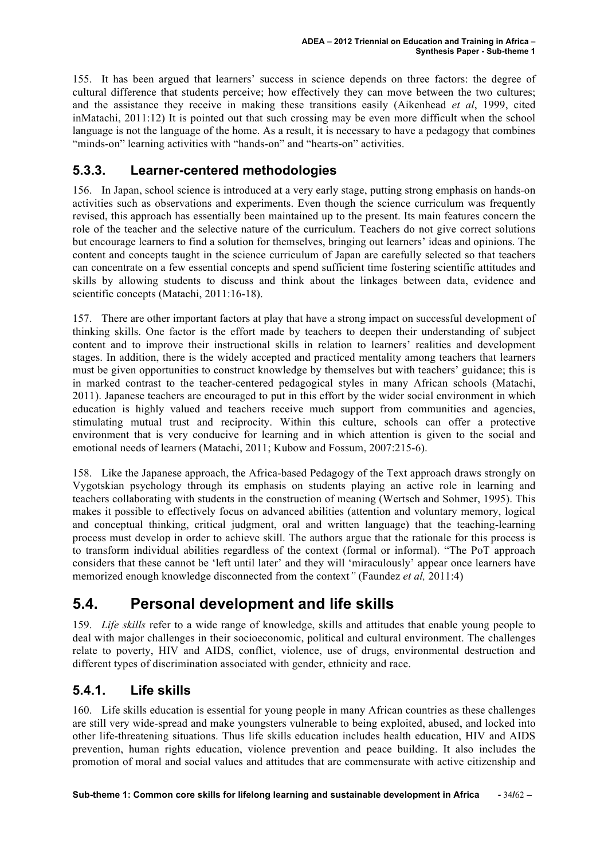155. It has been argued that learners' success in science depends on three factors: the degree of cultural difference that students perceive; how effectively they can move between the two cultures; and the assistance they receive in making these transitions easily (Aikenhead *et al*, 1999, cited inMatachi, 2011:12) It is pointed out that such crossing may be even more difficult when the school language is not the language of the home. As a result, it is necessary to have a pedagogy that combines "minds-on" learning activities with "hands-on" and "hearts-on" activities.

### **5.3.3. Learner-centered methodologies**

156. In Japan, school science is introduced at a very early stage, putting strong emphasis on hands-on activities such as observations and experiments. Even though the science curriculum was frequently revised, this approach has essentially been maintained up to the present. Its main features concern the role of the teacher and the selective nature of the curriculum. Teachers do not give correct solutions but encourage learners to find a solution for themselves, bringing out learners' ideas and opinions. The content and concepts taught in the science curriculum of Japan are carefully selected so that teachers can concentrate on a few essential concepts and spend sufficient time fostering scientific attitudes and skills by allowing students to discuss and think about the linkages between data, evidence and scientific concepts (Matachi, 2011:16-18).

157. There are other important factors at play that have a strong impact on successful development of thinking skills. One factor is the effort made by teachers to deepen their understanding of subject content and to improve their instructional skills in relation to learners' realities and development stages. In addition, there is the widely accepted and practiced mentality among teachers that learners must be given opportunities to construct knowledge by themselves but with teachers' guidance; this is in marked contrast to the teacher-centered pedagogical styles in many African schools (Matachi, 2011). Japanese teachers are encouraged to put in this effort by the wider social environment in which education is highly valued and teachers receive much support from communities and agencies, stimulating mutual trust and reciprocity. Within this culture, schools can offer a protective environment that is very conducive for learning and in which attention is given to the social and emotional needs of learners (Matachi, 2011; Kubow and Fossum, 2007:215-6).

158. Like the Japanese approach, the Africa-based Pedagogy of the Text approach draws strongly on Vygotskian psychology through its emphasis on students playing an active role in learning and teachers collaborating with students in the construction of meaning (Wertsch and Sohmer, 1995). This makes it possible to effectively focus on advanced abilities (attention and voluntary memory, logical and conceptual thinking, critical judgment, oral and written language) that the teaching-learning process must develop in order to achieve skill. The authors argue that the rationale for this process is to transform individual abilities regardless of the context (formal or informal). "The PoT approach considers that these cannot be 'left until later' and they will 'miraculously' appear once learners have memorized enough knowledge disconnected from the context*"* (Faundez *et al,* 2011:4)

# **5.4. Personal development and life skills**

159. *Life skills* refer to a wide range of knowledge, skills and attitudes that enable young people to deal with major challenges in their socioeconomic, political and cultural environment. The challenges relate to poverty, HIV and AIDS, conflict, violence, use of drugs, environmental destruction and different types of discrimination associated with gender, ethnicity and race.

#### **5.4.1. Life skills**

160. Life skills education is essential for young people in many African countries as these challenges are still very wide-spread and make youngsters vulnerable to being exploited, abused, and locked into other life-threatening situations. Thus life skills education includes health education, HIV and AIDS prevention, human rights education, violence prevention and peace building. It also includes the promotion of moral and social values and attitudes that are commensurate with active citizenship and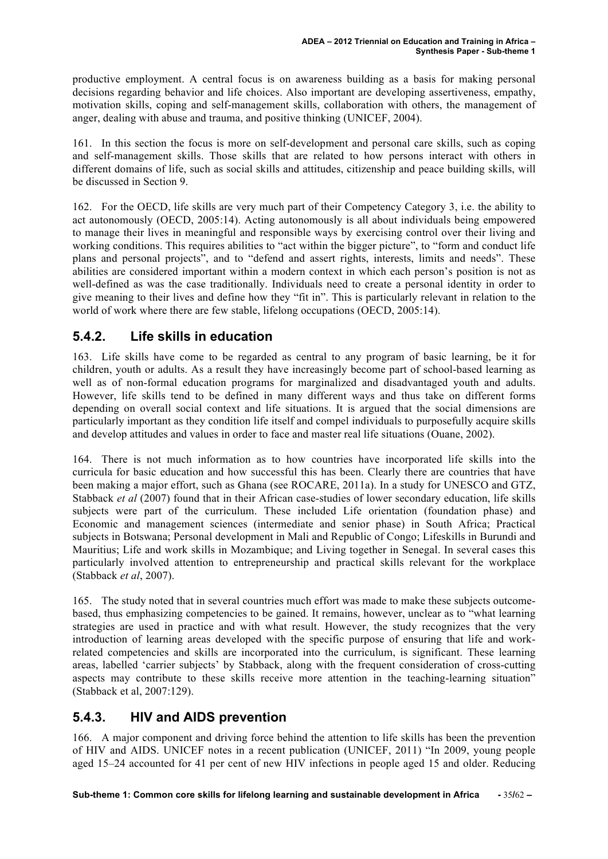productive employment. A central focus is on awareness building as a basis for making personal decisions regarding behavior and life choices. Also important are developing assertiveness, empathy, motivation skills, coping and self-management skills, collaboration with others, the management of anger, dealing with abuse and trauma, and positive thinking (UNICEF, 2004).

161. In this section the focus is more on self-development and personal care skills, such as coping and self-management skills. Those skills that are related to how persons interact with others in different domains of life, such as social skills and attitudes, citizenship and peace building skills, will be discussed in Section 9.

162. For the OECD, life skills are very much part of their Competency Category 3, i.e. the ability to act autonomously (OECD, 2005:14). Acting autonomously is all about individuals being empowered to manage their lives in meaningful and responsible ways by exercising control over their living and working conditions. This requires abilities to "act within the bigger picture", to "form and conduct life plans and personal projects", and to "defend and assert rights, interests, limits and needs". These abilities are considered important within a modern context in which each person's position is not as well-defined as was the case traditionally. Individuals need to create a personal identity in order to give meaning to their lives and define how they "fit in". This is particularly relevant in relation to the world of work where there are few stable, lifelong occupations (OECD, 2005:14).

#### **5.4.2. Life skills in education**

163. Life skills have come to be regarded as central to any program of basic learning, be it for children, youth or adults. As a result they have increasingly become part of school-based learning as well as of non-formal education programs for marginalized and disadvantaged youth and adults. However, life skills tend to be defined in many different ways and thus take on different forms depending on overall social context and life situations. It is argued that the social dimensions are particularly important as they condition life itself and compel individuals to purposefully acquire skills and develop attitudes and values in order to face and master real life situations (Ouane, 2002).

164. There is not much information as to how countries have incorporated life skills into the curricula for basic education and how successful this has been. Clearly there are countries that have been making a major effort, such as Ghana (see ROCARE, 2011a). In a study for UNESCO and GTZ, Stabback *et al* (2007) found that in their African case-studies of lower secondary education, life skills subjects were part of the curriculum. These included Life orientation (foundation phase) and Economic and management sciences (intermediate and senior phase) in South Africa; Practical subjects in Botswana; Personal development in Mali and Republic of Congo; Lifeskills in Burundi and Mauritius; Life and work skills in Mozambique; and Living together in Senegal. In several cases this particularly involved attention to entrepreneurship and practical skills relevant for the workplace (Stabback *et al*, 2007).

165. The study noted that in several countries much effort was made to make these subjects outcomebased, thus emphasizing competencies to be gained. It remains, however, unclear as to "what learning strategies are used in practice and with what result. However, the study recognizes that the very introduction of learning areas developed with the specific purpose of ensuring that life and workrelated competencies and skills are incorporated into the curriculum, is significant. These learning areas, labelled 'carrier subjects' by Stabback, along with the frequent consideration of cross-cutting aspects may contribute to these skills receive more attention in the teaching-learning situation" (Stabback et al, 2007:129).

#### **5.4.3. HIV and AIDS prevention**

166. A major component and driving force behind the attention to life skills has been the prevention of HIV and AIDS. UNICEF notes in a recent publication (UNICEF, 2011) "In 2009, young people aged 15–24 accounted for 41 per cent of new HIV infections in people aged 15 and older. Reducing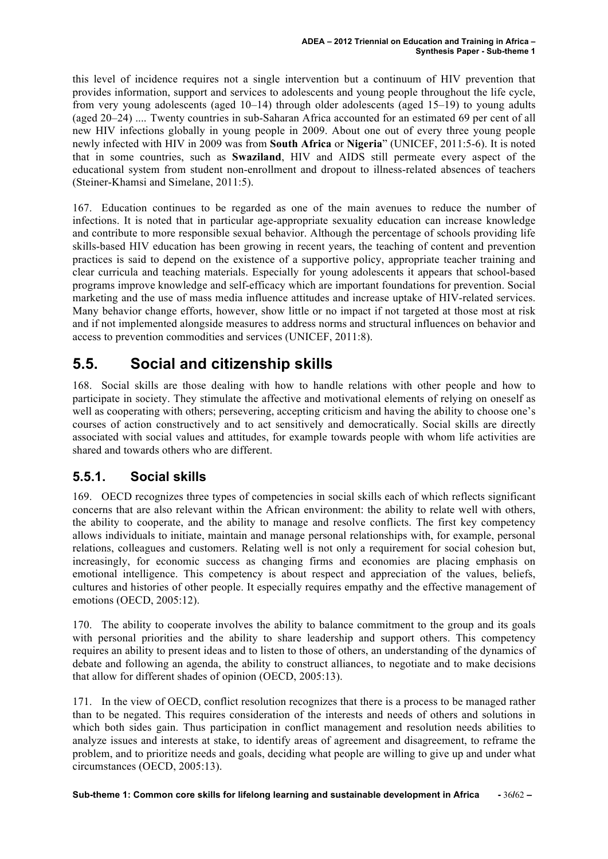this level of incidence requires not a single intervention but a continuum of HIV prevention that provides information, support and services to adolescents and young people throughout the life cycle, from very young adolescents (aged 10–14) through older adolescents (aged 15–19) to young adults (aged 20–24) .... Twenty countries in sub-Saharan Africa accounted for an estimated 69 per cent of all new HIV infections globally in young people in 2009. About one out of every three young people newly infected with HIV in 2009 was from **South Africa** or **Nigeria**" (UNICEF, 2011:5-6). It is noted that in some countries, such as **Swaziland**, HIV and AIDS still permeate every aspect of the educational system from student non-enrollment and dropout to illness-related absences of teachers (Steiner-Khamsi and Simelane, 2011:5).

167. Education continues to be regarded as one of the main avenues to reduce the number of infections. It is noted that in particular age-appropriate sexuality education can increase knowledge and contribute to more responsible sexual behavior. Although the percentage of schools providing life skills-based HIV education has been growing in recent years, the teaching of content and prevention practices is said to depend on the existence of a supportive policy, appropriate teacher training and clear curricula and teaching materials. Especially for young adolescents it appears that school-based programs improve knowledge and self-efficacy which are important foundations for prevention. Social marketing and the use of mass media influence attitudes and increase uptake of HIV-related services. Many behavior change efforts, however, show little or no impact if not targeted at those most at risk and if not implemented alongside measures to address norms and structural influences on behavior and access to prevention commodities and services (UNICEF, 2011:8).

## **5.5. Social and citizenship skills**

168. Social skills are those dealing with how to handle relations with other people and how to participate in society. They stimulate the affective and motivational elements of relying on oneself as well as cooperating with others; persevering, accepting criticism and having the ability to choose one's courses of action constructively and to act sensitively and democratically. Social skills are directly associated with social values and attitudes, for example towards people with whom life activities are shared and towards others who are different.

#### **5.5.1. Social skills**

169. OECD recognizes three types of competencies in social skills each of which reflects significant concerns that are also relevant within the African environment: the ability to relate well with others, the ability to cooperate, and the ability to manage and resolve conflicts. The first key competency allows individuals to initiate, maintain and manage personal relationships with, for example, personal relations, colleagues and customers. Relating well is not only a requirement for social cohesion but, increasingly, for economic success as changing firms and economies are placing emphasis on emotional intelligence. This competency is about respect and appreciation of the values, beliefs, cultures and histories of other people. It especially requires empathy and the effective management of emotions (OECD, 2005:12).

170. The ability to cooperate involves the ability to balance commitment to the group and its goals with personal priorities and the ability to share leadership and support others. This competency requires an ability to present ideas and to listen to those of others, an understanding of the dynamics of debate and following an agenda, the ability to construct alliances, to negotiate and to make decisions that allow for different shades of opinion (OECD, 2005:13).

171. In the view of OECD, conflict resolution recognizes that there is a process to be managed rather than to be negated. This requires consideration of the interests and needs of others and solutions in which both sides gain. Thus participation in conflict management and resolution needs abilities to analyze issues and interests at stake, to identify areas of agreement and disagreement, to reframe the problem, and to prioritize needs and goals, deciding what people are willing to give up and under what circumstances (OECD, 2005:13).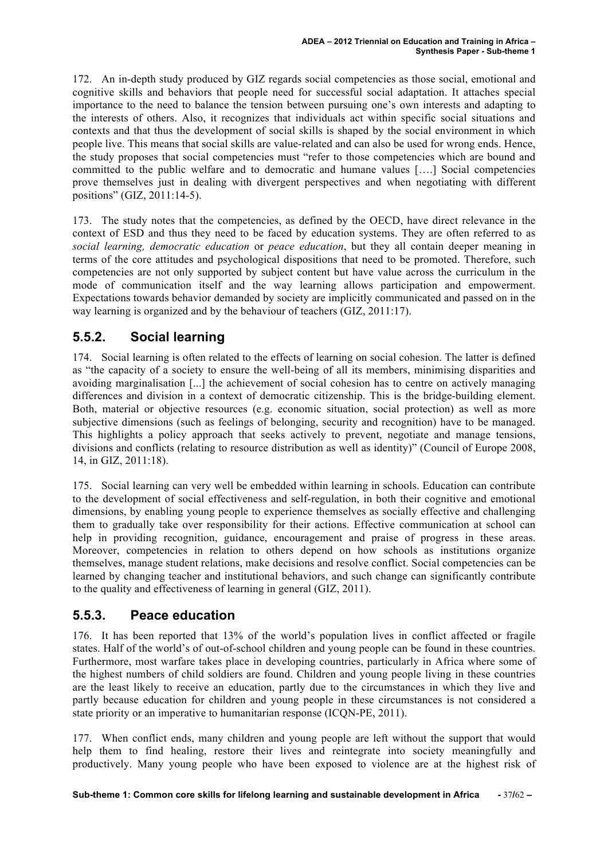172. An in-depth study produced by GIZ regards social competencies as those social, emotional and cognitive skills and behaviors that people need for successful social adaptation. It attaches special importance to the need to balance the tension between pursuing one's own interests and adapting to the interests of others. Also, it recognizes that individuals act within specific social situations and contexts and that thus the development of social skills is shaped by the social environment in which people live. This means that social skills are value-related and can also be used for wrong ends. Hence, the study proposes that social competencies must "refer to those competencies which are bound and committed to the public welfare and to democratic and humane values [….] Social competencies prove themselves just in dealing with divergent perspectives and when negotiating with different positions" (GIZ, 2011:14-5).

173. The study notes that the competencies, as defined by the OECD, have direct relevance in the context of ESD and thus they need to be faced by education systems. They are often referred to as *social learning, democratic education* or *peace education*, but they all contain deeper meaning in terms of the core attitudes and psychological dispositions that need to be promoted. Therefore, such competencies are not only supported by subject content but have value across the curriculum in the mode of communication itself and the way learning allows participation and empowerment. Expectations towards behavior demanded by society are implicitly communicated and passed on in the way learning is organized and by the behaviour of teachers (GIZ, 2011:17).

### **5.5.2. Social learning**

174. Social learning is often related to the effects of learning on social cohesion. The latter is defined as "the capacity of a society to ensure the well-being of all its members, minimising disparities and avoiding marginalisation [...] the achievement of social cohesion has to centre on actively managing differences and division in a context of democratic citizenship. This is the bridge-building element. Both, material or objective resources (e.g. economic situation, social protection) as well as more subjective dimensions (such as feelings of belonging, security and recognition) have to be managed. This highlights a policy approach that seeks actively to prevent, negotiate and manage tensions, divisions and conflicts (relating to resource distribution as well as identity)" (Council of Europe 2008, 14, in GIZ, 2011:18).

175. Social learning can very well be embedded within learning in schools. Education can contribute to the development of social effectiveness and self-regulation, in both their cognitive and emotional dimensions, by enabling young people to experience themselves as socially effective and challenging them to gradually take over responsibility for their actions. Effective communication at school can help in providing recognition, guidance, encouragement and praise of progress in these areas. Moreover, competencies in relation to others depend on how schools as institutions organize themselves, manage student relations, make decisions and resolve conflict. Social competencies can be learned by changing teacher and institutional behaviors, and such change can significantly contribute to the quality and effectiveness of learning in general (GIZ, 2011).

### **5.5.3. Peace education**

176. It has been reported that 13% of the world's population lives in conflict affected or fragile states. Half of the world's of out-of-school children and young people can be found in these countries. Furthermore, most warfare takes place in developing countries, particularly in Africa where some of the highest numbers of child soldiers are found. Children and young people living in these countries are the least likely to receive an education, partly due to the circumstances in which they live and partly because education for children and young people in these circumstances is not considered a state priority or an imperative to humanitarian response (ICQN-PE, 2011).

177. When conflict ends, many children and young people are left without the support that would help them to find healing, restore their lives and reintegrate into society meaningfully and productively. Many young people who have been exposed to violence are at the highest risk of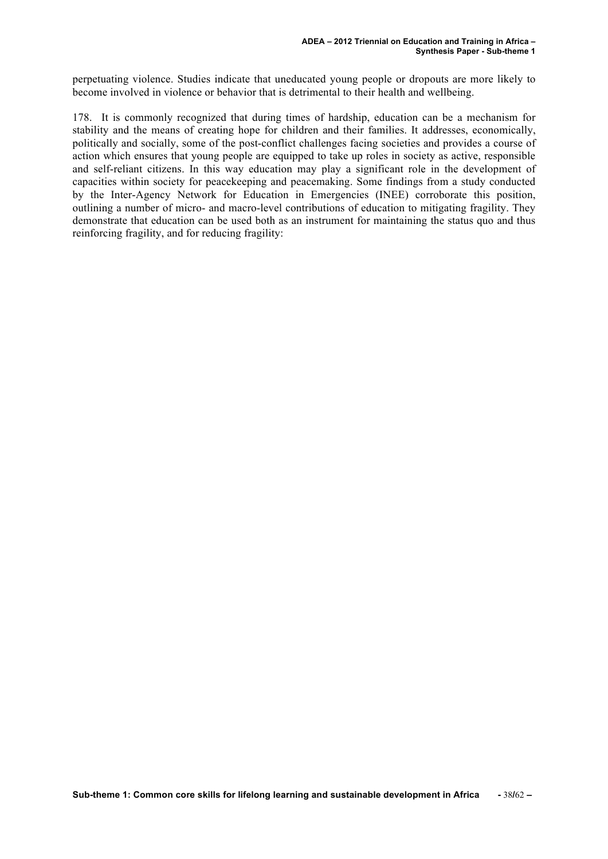perpetuating violence. Studies indicate that uneducated young people or dropouts are more likely to become involved in violence or behavior that is detrimental to their health and wellbeing.

178. It is commonly recognized that during times of hardship, education can be a mechanism for stability and the means of creating hope for children and their families. It addresses, economically, politically and socially, some of the post-conflict challenges facing societies and provides a course of action which ensures that young people are equipped to take up roles in society as active, responsible and self-reliant citizens. In this way education may play a significant role in the development of capacities within society for peacekeeping and peacemaking. Some findings from a study conducted by the Inter-Agency Network for Education in Emergencies (INEE) corroborate this position, outlining a number of micro- and macro-level contributions of education to mitigating fragility. They demonstrate that education can be used both as an instrument for maintaining the status quo and thus reinforcing fragility, and for reducing fragility: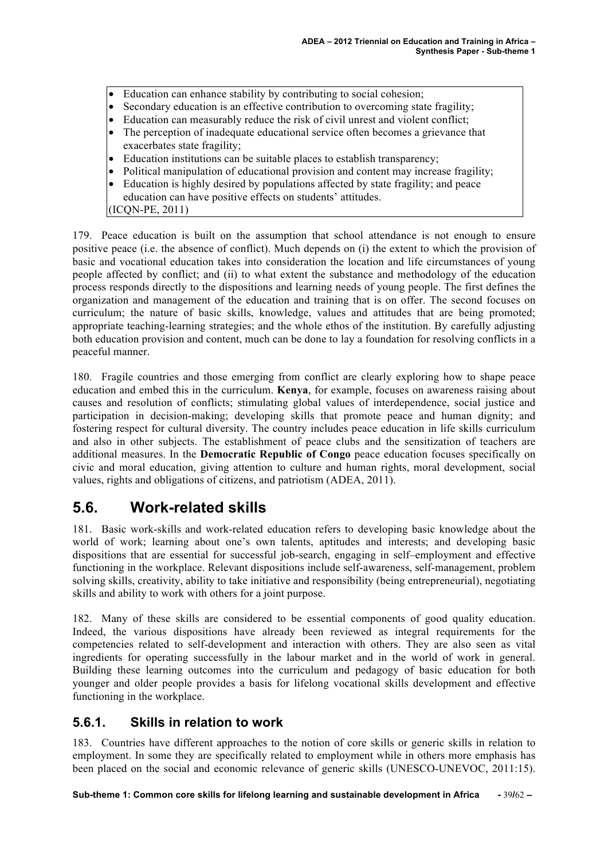- Education can enhance stability by contributing to social cohesion;
- Secondary education is an effective contribution to overcoming state fragility;
- Education can measurably reduce the risk of civil unrest and violent conflict;
- The perception of inadequate educational service often becomes a grievance that exacerbates state fragility;
- Education institutions can be suitable places to establish transparency;
- Political manipulation of educational provision and content may increase fragility;
- Education is highly desired by populations affected by state fragility; and peace education can have positive effects on students' attitudes.

(ICQN-PE, 2011)

179. Peace education is built on the assumption that school attendance is not enough to ensure positive peace (i.e. the absence of conflict). Much depends on (i) the extent to which the provision of basic and vocational education takes into consideration the location and life circumstances of young people affected by conflict; and (ii) to what extent the substance and methodology of the education process responds directly to the dispositions and learning needs of young people. The first defines the organization and management of the education and training that is on offer. The second focuses on curriculum; the nature of basic skills, knowledge, values and attitudes that are being promoted; appropriate teaching-learning strategies; and the whole ethos of the institution. By carefully adjusting both education provision and content, much can be done to lay a foundation for resolving conflicts in a peaceful manner.

180. Fragile countries and those emerging from conflict are clearly exploring how to shape peace education and embed this in the curriculum. **Kenya**, for example, focuses on awareness raising about causes and resolution of conflicts; stimulating global values of interdependence, social justice and participation in decision-making; developing skills that promote peace and human dignity; and fostering respect for cultural diversity. The country includes peace education in life skills curriculum and also in other subjects. The establishment of peace clubs and the sensitization of teachers are additional measures. In the **Democratic Republic of Congo** peace education focuses specifically on civic and moral education, giving attention to culture and human rights, moral development, social values, rights and obligations of citizens, and patriotism (ADEA, 2011).

### **5.6. Work-related skills**

181. Basic work-skills and work-related education refers to developing basic knowledge about the world of work; learning about one's own talents, aptitudes and interests; and developing basic dispositions that are essential for successful job-search, engaging in self–employment and effective functioning in the workplace. Relevant dispositions include self-awareness, self-management, problem solving skills, creativity, ability to take initiative and responsibility (being entrepreneurial), negotiating skills and ability to work with others for a joint purpose.

182. Many of these skills are considered to be essential components of good quality education. Indeed, the various dispositions have already been reviewed as integral requirements for the competencies related to self-development and interaction with others. They are also seen as vital ingredients for operating successfully in the labour market and in the world of work in general. Building these learning outcomes into the curriculum and pedagogy of basic education for both younger and older people provides a basis for lifelong vocational skills development and effective functioning in the workplace.

#### **5.6.1. Skills in relation to work**

183. Countries have different approaches to the notion of core skills or generic skills in relation to employment. In some they are specifically related to employment while in others more emphasis has been placed on the social and economic relevance of generic skills (UNESCO-UNEVOC, 2011:15).

**Sub-theme 1: Common core skills for lifelong learning and sustainable development in Africa -** 39**/**62 **–**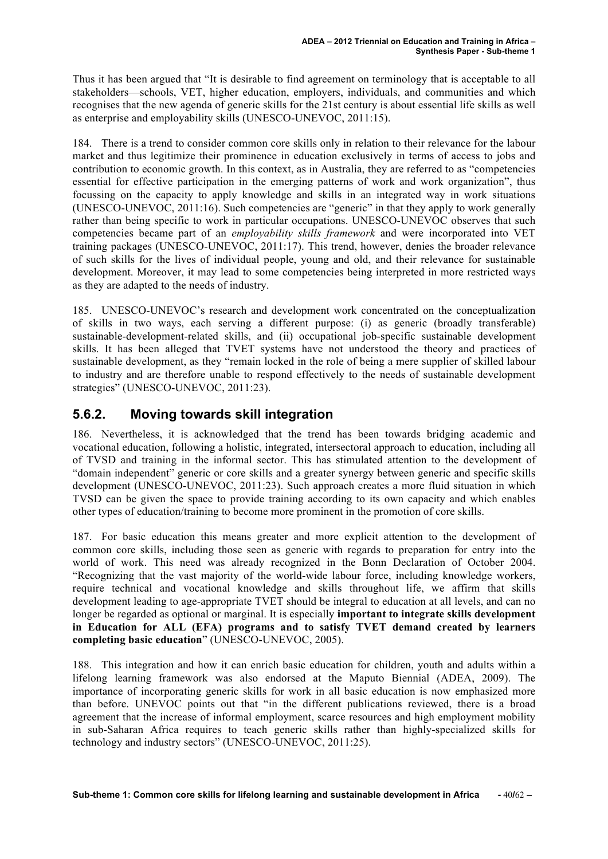Thus it has been argued that "It is desirable to find agreement on terminology that is acceptable to all stakeholders—schools, VET, higher education, employers, individuals, and communities and which recognises that the new agenda of generic skills for the 21st century is about essential life skills as well as enterprise and employability skills (UNESCO-UNEVOC, 2011:15).

184. There is a trend to consider common core skills only in relation to their relevance for the labour market and thus legitimize their prominence in education exclusively in terms of access to jobs and contribution to economic growth. In this context, as in Australia, they are referred to as "competencies essential for effective participation in the emerging patterns of work and work organization", thus focussing on the capacity to apply knowledge and skills in an integrated way in work situations (UNESCO-UNEVOC, 2011:16). Such competencies are "generic" in that they apply to work generally rather than being specific to work in particular occupations. UNESCO-UNEVOC observes that such competencies became part of an *employability skills framework* and were incorporated into VET training packages (UNESCO-UNEVOC, 2011:17). This trend, however, denies the broader relevance of such skills for the lives of individual people, young and old, and their relevance for sustainable development. Moreover, it may lead to some competencies being interpreted in more restricted ways as they are adapted to the needs of industry.

185. UNESCO-UNEVOC's research and development work concentrated on the conceptualization of skills in two ways, each serving a different purpose: (i) as generic (broadly transferable) sustainable-development-related skills, and (ii) occupational job-specific sustainable development skills. It has been alleged that TVET systems have not understood the theory and practices of sustainable development, as they "remain locked in the role of being a mere supplier of skilled labour to industry and are therefore unable to respond effectively to the needs of sustainable development strategies" (UNESCO-UNEVOC, 2011:23).

#### **5.6.2. Moving towards skill integration**

186. Nevertheless, it is acknowledged that the trend has been towards bridging academic and vocational education, following a holistic, integrated, intersectoral approach to education, including all of TVSD and training in the informal sector. This has stimulated attention to the development of "domain independent" generic or core skills and a greater synergy between generic and specific skills development (UNESCO-UNEVOC, 2011:23). Such approach creates a more fluid situation in which TVSD can be given the space to provide training according to its own capacity and which enables other types of education/training to become more prominent in the promotion of core skills.

187. For basic education this means greater and more explicit attention to the development of common core skills, including those seen as generic with regards to preparation for entry into the world of work. This need was already recognized in the Bonn Declaration of October 2004. "Recognizing that the vast majority of the world-wide labour force, including knowledge workers, require technical and vocational knowledge and skills throughout life, we affirm that skills development leading to age-appropriate TVET should be integral to education at all levels, and can no longer be regarded as optional or marginal. It is especially **important to integrate skills development in Education for ALL (EFA) programs and to satisfy TVET demand created by learners completing basic education**" (UNESCO-UNEVOC, 2005).

188. This integration and how it can enrich basic education for children, youth and adults within a lifelong learning framework was also endorsed at the Maputo Biennial (ADEA, 2009). The importance of incorporating generic skills for work in all basic education is now emphasized more than before. UNEVOC points out that "in the different publications reviewed, there is a broad agreement that the increase of informal employment, scarce resources and high employment mobility in sub-Saharan Africa requires to teach generic skills rather than highly-specialized skills for technology and industry sectors" (UNESCO-UNEVOC, 2011:25).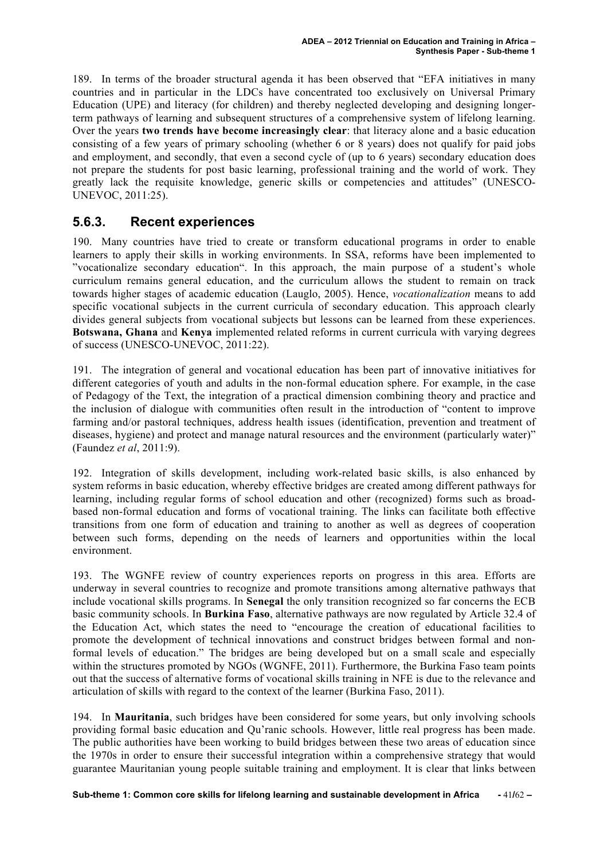189. In terms of the broader structural agenda it has been observed that "EFA initiatives in many countries and in particular in the LDCs have concentrated too exclusively on Universal Primary Education (UPE) and literacy (for children) and thereby neglected developing and designing longerterm pathways of learning and subsequent structures of a comprehensive system of lifelong learning. Over the years **two trends have become increasingly clear**: that literacy alone and a basic education consisting of a few years of primary schooling (whether 6 or 8 years) does not qualify for paid jobs and employment, and secondly, that even a second cycle of (up to 6 years) secondary education does not prepare the students for post basic learning, professional training and the world of work. They greatly lack the requisite knowledge, generic skills or competencies and attitudes" (UNESCO-UNEVOC, 2011:25).

#### **5.6.3. Recent experiences**

190. Many countries have tried to create or transform educational programs in order to enable learners to apply their skills in working environments. In SSA, reforms have been implemented to "vocationalize secondary education". In this approach, the main purpose of a student's whole curriculum remains general education, and the curriculum allows the student to remain on track towards higher stages of academic education (Lauglo, 2005). Hence, *vocationalization* means to add specific vocational subjects in the current curricula of secondary education. This approach clearly divides general subjects from vocational subjects but lessons can be learned from these experiences. **Botswana, Ghana** and **Kenya** implemented related reforms in current curricula with varying degrees of success (UNESCO-UNEVOC, 2011:22).

191. The integration of general and vocational education has been part of innovative initiatives for different categories of youth and adults in the non-formal education sphere. For example, in the case of Pedagogy of the Text, the integration of a practical dimension combining theory and practice and the inclusion of dialogue with communities often result in the introduction of "content to improve farming and/or pastoral techniques, address health issues (identification, prevention and treatment of diseases, hygiene) and protect and manage natural resources and the environment (particularly water)" (Faundez *et al*, 2011:9).

192. Integration of skills development, including work-related basic skills, is also enhanced by system reforms in basic education, whereby effective bridges are created among different pathways for learning, including regular forms of school education and other (recognized) forms such as broadbased non-formal education and forms of vocational training. The links can facilitate both effective transitions from one form of education and training to another as well as degrees of cooperation between such forms, depending on the needs of learners and opportunities within the local environment.

193. The WGNFE review of country experiences reports on progress in this area. Efforts are underway in several countries to recognize and promote transitions among alternative pathways that include vocational skills programs. In **Senegal** the only transition recognized so far concerns the ECB basic community schools. In **Burkina Faso**, alternative pathways are now regulated by Article 32.4 of the Education Act, which states the need to "encourage the creation of educational facilities to promote the development of technical innovations and construct bridges between formal and nonformal levels of education." The bridges are being developed but on a small scale and especially within the structures promoted by NGOs (WGNFE, 2011). Furthermore, the Burkina Faso team points out that the success of alternative forms of vocational skills training in NFE is due to the relevance and articulation of skills with regard to the context of the learner (Burkina Faso, 2011).

194. In **Mauritania**, such bridges have been considered for some years, but only involving schools providing formal basic education and Qu'ranic schools. However, little real progress has been made. The public authorities have been working to build bridges between these two areas of education since the 1970s in order to ensure their successful integration within a comprehensive strategy that would guarantee Mauritanian young people suitable training and employment. It is clear that links between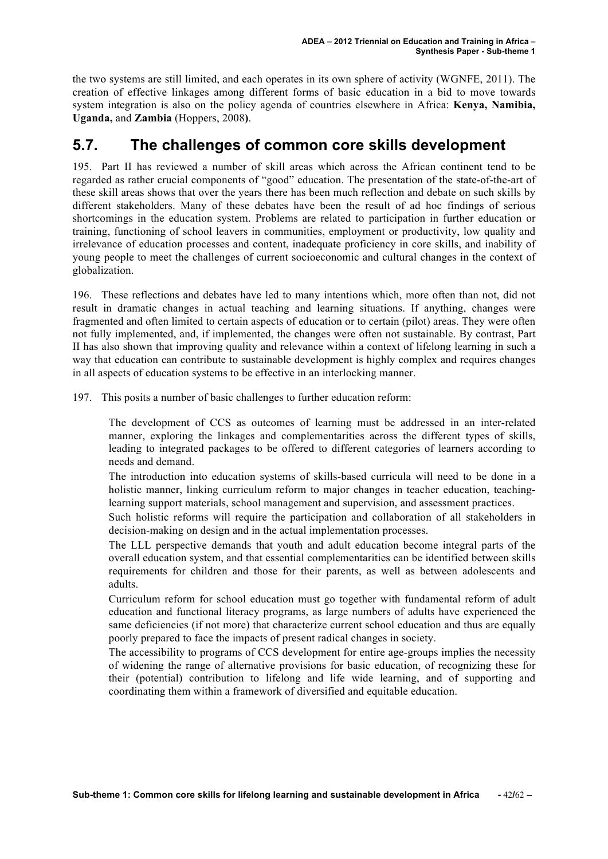the two systems are still limited, and each operates in its own sphere of activity (WGNFE, 2011). The creation of effective linkages among different forms of basic education in a bid to move towards system integration is also on the policy agenda of countries elsewhere in Africa: **Kenya, Namibia, Uganda,** and **Zambia** (Hoppers, 2008**)**.

### **5.7. The challenges of common core skills development**

195. Part II has reviewed a number of skill areas which across the African continent tend to be regarded as rather crucial components of "good" education. The presentation of the state-of-the-art of these skill areas shows that over the years there has been much reflection and debate on such skills by different stakeholders. Many of these debates have been the result of ad hoc findings of serious shortcomings in the education system. Problems are related to participation in further education or training, functioning of school leavers in communities, employment or productivity, low quality and irrelevance of education processes and content, inadequate proficiency in core skills, and inability of young people to meet the challenges of current socioeconomic and cultural changes in the context of globalization.

196. These reflections and debates have led to many intentions which, more often than not, did not result in dramatic changes in actual teaching and learning situations. If anything, changes were fragmented and often limited to certain aspects of education or to certain (pilot) areas. They were often not fully implemented, and, if implemented, the changes were often not sustainable. By contrast, Part II has also shown that improving quality and relevance within a context of lifelong learning in such a way that education can contribute to sustainable development is highly complex and requires changes in all aspects of education systems to be effective in an interlocking manner.

197. This posits a number of basic challenges to further education reform:

The development of CCS as outcomes of learning must be addressed in an inter-related manner, exploring the linkages and complementarities across the different types of skills, leading to integrated packages to be offered to different categories of learners according to needs and demand.

The introduction into education systems of skills-based curricula will need to be done in a holistic manner, linking curriculum reform to major changes in teacher education, teachinglearning support materials, school management and supervision, and assessment practices.

Such holistic reforms will require the participation and collaboration of all stakeholders in decision-making on design and in the actual implementation processes.

The LLL perspective demands that youth and adult education become integral parts of the overall education system, and that essential complementarities can be identified between skills requirements for children and those for their parents, as well as between adolescents and adults.

Curriculum reform for school education must go together with fundamental reform of adult education and functional literacy programs, as large numbers of adults have experienced the same deficiencies (if not more) that characterize current school education and thus are equally poorly prepared to face the impacts of present radical changes in society.

The accessibility to programs of CCS development for entire age-groups implies the necessity of widening the range of alternative provisions for basic education, of recognizing these for their (potential) contribution to lifelong and life wide learning, and of supporting and coordinating them within a framework of diversified and equitable education.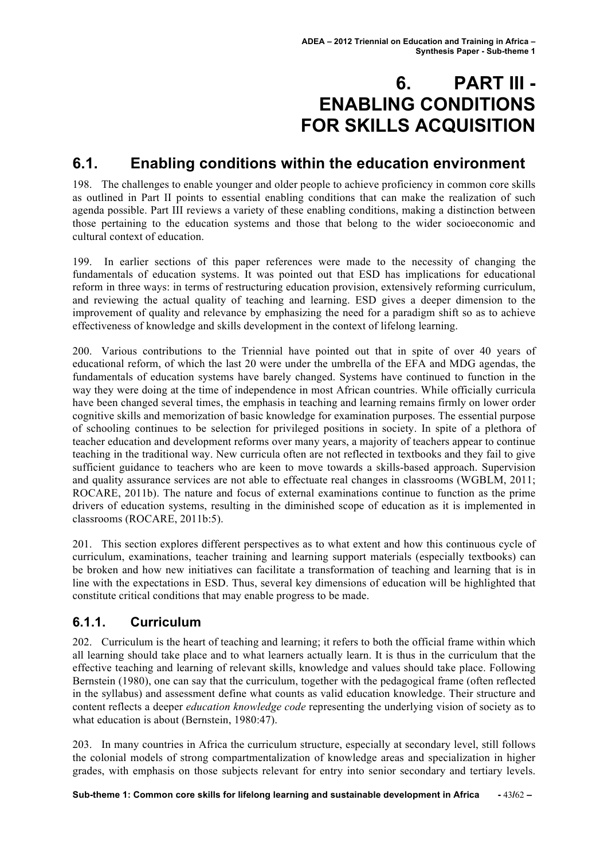# **6. PART III - ENABLING CONDITIONS FOR SKILLS ACQUISITION**

## **6.1. Enabling conditions within the education environment**

198. The challenges to enable younger and older people to achieve proficiency in common core skills as outlined in Part II points to essential enabling conditions that can make the realization of such agenda possible. Part III reviews a variety of these enabling conditions, making a distinction between those pertaining to the education systems and those that belong to the wider socioeconomic and cultural context of education.

199. In earlier sections of this paper references were made to the necessity of changing the fundamentals of education systems. It was pointed out that ESD has implications for educational reform in three ways: in terms of restructuring education provision, extensively reforming curriculum, and reviewing the actual quality of teaching and learning. ESD gives a deeper dimension to the improvement of quality and relevance by emphasizing the need for a paradigm shift so as to achieve effectiveness of knowledge and skills development in the context of lifelong learning.

200. Various contributions to the Triennial have pointed out that in spite of over 40 years of educational reform, of which the last 20 were under the umbrella of the EFA and MDG agendas, the fundamentals of education systems have barely changed. Systems have continued to function in the way they were doing at the time of independence in most African countries. While officially curricula have been changed several times, the emphasis in teaching and learning remains firmly on lower order cognitive skills and memorization of basic knowledge for examination purposes. The essential purpose of schooling continues to be selection for privileged positions in society. In spite of a plethora of teacher education and development reforms over many years, a majority of teachers appear to continue teaching in the traditional way. New curricula often are not reflected in textbooks and they fail to give sufficient guidance to teachers who are keen to move towards a skills-based approach. Supervision and quality assurance services are not able to effectuate real changes in classrooms (WGBLM, 2011; ROCARE, 2011b). The nature and focus of external examinations continue to function as the prime drivers of education systems, resulting in the diminished scope of education as it is implemented in classrooms (ROCARE, 2011b:5).

201. This section explores different perspectives as to what extent and how this continuous cycle of curriculum, examinations, teacher training and learning support materials (especially textbooks) can be broken and how new initiatives can facilitate a transformation of teaching and learning that is in line with the expectations in ESD. Thus, several key dimensions of education will be highlighted that constitute critical conditions that may enable progress to be made.

#### **6.1.1. Curriculum**

202. Curriculum is the heart of teaching and learning; it refers to both the official frame within which all learning should take place and to what learners actually learn. It is thus in the curriculum that the effective teaching and learning of relevant skills, knowledge and values should take place. Following Bernstein (1980), one can say that the curriculum, together with the pedagogical frame (often reflected in the syllabus) and assessment define what counts as valid education knowledge. Their structure and content reflects a deeper *education knowledge code* representing the underlying vision of society as to what education is about (Bernstein, 1980:47).

203. In many countries in Africa the curriculum structure, especially at secondary level, still follows the colonial models of strong compartmentalization of knowledge areas and specialization in higher grades, with emphasis on those subjects relevant for entry into senior secondary and tertiary levels.

**Sub-theme 1: Common core skills for lifelong learning and sustainable development in Africa -** 43**/**62 **–**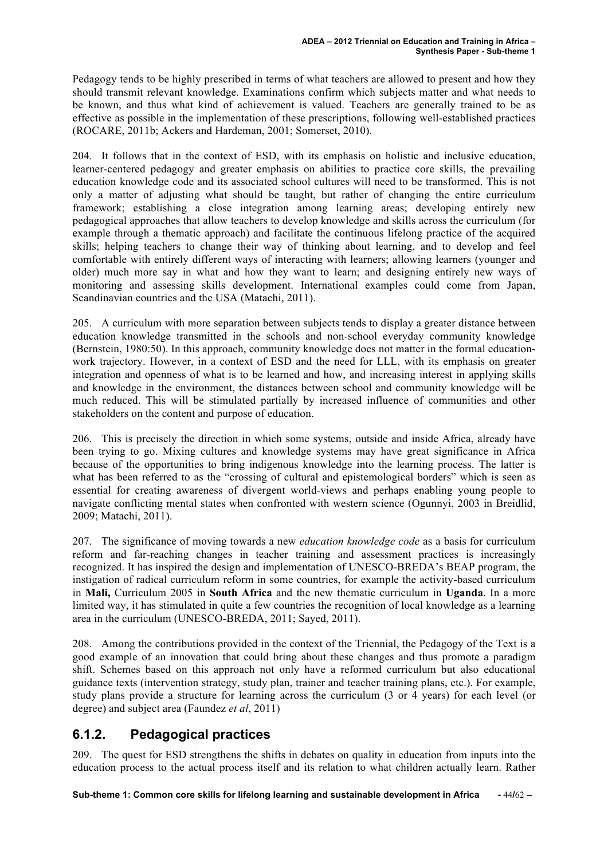Pedagogy tends to be highly prescribed in terms of what teachers are allowed to present and how they should transmit relevant knowledge. Examinations confirm which subjects matter and what needs to be known, and thus what kind of achievement is valued. Teachers are generally trained to be as effective as possible in the implementation of these prescriptions, following well-established practices (ROCARE, 2011b; Ackers and Hardeman, 2001; Somerset, 2010).

204. It follows that in the context of ESD, with its emphasis on holistic and inclusive education, learner-centered pedagogy and greater emphasis on abilities to practice core skills, the prevailing education knowledge code and its associated school cultures will need to be transformed. This is not only a matter of adjusting what should be taught, but rather of changing the entire curriculum framework; establishing a close integration among learning areas; developing entirely new pedagogical approaches that allow teachers to develop knowledge and skills across the curriculum (for example through a thematic approach) and facilitate the continuous lifelong practice of the acquired skills; helping teachers to change their way of thinking about learning, and to develop and feel comfortable with entirely different ways of interacting with learners; allowing learners (younger and older) much more say in what and how they want to learn; and designing entirely new ways of monitoring and assessing skills development. International examples could come from Japan, Scandinavian countries and the USA (Matachi, 2011).

205. A curriculum with more separation between subjects tends to display a greater distance between education knowledge transmitted in the schools and non-school everyday community knowledge (Bernstein, 1980:50). In this approach, community knowledge does not matter in the formal educationwork trajectory. However, in a context of ESD and the need for LLL, with its emphasis on greater integration and openness of what is to be learned and how, and increasing interest in applying skills and knowledge in the environment, the distances between school and community knowledge will be much reduced. This will be stimulated partially by increased influence of communities and other stakeholders on the content and purpose of education.

206. This is precisely the direction in which some systems, outside and inside Africa, already have been trying to go. Mixing cultures and knowledge systems may have great significance in Africa because of the opportunities to bring indigenous knowledge into the learning process. The latter is what has been referred to as the "crossing of cultural and epistemological borders" which is seen as essential for creating awareness of divergent world-views and perhaps enabling young people to navigate conflicting mental states when confronted with western science (Ogunnyi, 2003 in Breidlid, 2009; Matachi, 2011).

207. The significance of moving towards a new *education knowledge code* as a basis for curriculum reform and far-reaching changes in teacher training and assessment practices is increasingly recognized. It has inspired the design and implementation of UNESCO-BREDA's BEAP program, the instigation of radical curriculum reform in some countries, for example the activity-based curriculum in **Mali,** Curriculum 2005 in **South Africa** and the new thematic curriculum in **Uganda**. In a more limited way, it has stimulated in quite a few countries the recognition of local knowledge as a learning area in the curriculum (UNESCO-BREDA, 2011; Sayed, 2011).

208. Among the contributions provided in the context of the Triennial, the Pedagogy of the Text is a good example of an innovation that could bring about these changes and thus promote a paradigm shift. Schemes based on this approach not only have a reformed curriculum but also educational guidance texts (intervention strategy, study plan, trainer and teacher training plans, etc.). For example, study plans provide a structure for learning across the curriculum (3 or 4 years) for each level (or degree) and subject area (Faundez *et al*, 2011)

### **6.1.2. Pedagogical practices**

209. The quest for ESD strengthens the shifts in debates on quality in education from inputs into the education process to the actual process itself and its relation to what children actually learn. Rather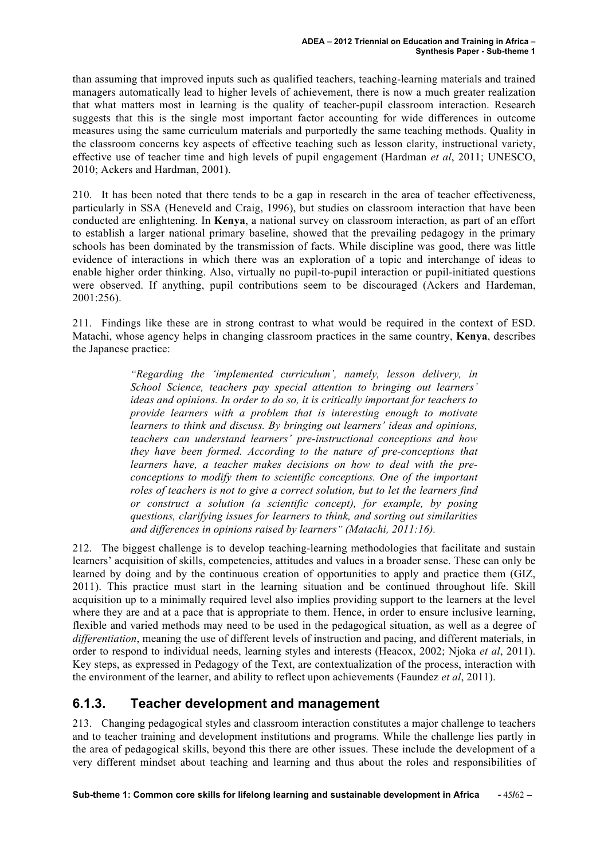than assuming that improved inputs such as qualified teachers, teaching-learning materials and trained managers automatically lead to higher levels of achievement, there is now a much greater realization that what matters most in learning is the quality of teacher-pupil classroom interaction. Research suggests that this is the single most important factor accounting for wide differences in outcome measures using the same curriculum materials and purportedly the same teaching methods. Quality in the classroom concerns key aspects of effective teaching such as lesson clarity, instructional variety, effective use of teacher time and high levels of pupil engagement (Hardman *et al*, 2011; UNESCO, 2010; Ackers and Hardman, 2001).

210. It has been noted that there tends to be a gap in research in the area of teacher effectiveness, particularly in SSA (Heneveld and Craig, 1996), but studies on classroom interaction that have been conducted are enlightening. In **Kenya**, a national survey on classroom interaction, as part of an effort to establish a larger national primary baseline, showed that the prevailing pedagogy in the primary schools has been dominated by the transmission of facts. While discipline was good, there was little evidence of interactions in which there was an exploration of a topic and interchange of ideas to enable higher order thinking. Also, virtually no pupil-to-pupil interaction or pupil-initiated questions were observed. If anything, pupil contributions seem to be discouraged (Ackers and Hardeman, 2001:256).

211. Findings like these are in strong contrast to what would be required in the context of ESD. Matachi, whose agency helps in changing classroom practices in the same country, **Kenya**, describes the Japanese practice:

> *"Regarding the 'implemented curriculum', namely, lesson delivery, in School Science, teachers pay special attention to bringing out learners' ideas and opinions. In order to do so, it is critically important for teachers to provide learners with a problem that is interesting enough to motivate learners to think and discuss. By bringing out learners' ideas and opinions, teachers can understand learners' pre-instructional conceptions and how they have been formed. According to the nature of pre-conceptions that learners have, a teacher makes decisions on how to deal with the preconceptions to modify them to scientific conceptions. One of the important roles of teachers is not to give a correct solution, but to let the learners find or construct a solution (a scientific concept), for example, by posing questions, clarifying issues for learners to think, and sorting out similarities and differences in opinions raised by learners" (Matachi, 2011:16).*

212. The biggest challenge is to develop teaching-learning methodologies that facilitate and sustain learners' acquisition of skills, competencies, attitudes and values in a broader sense. These can only be learned by doing and by the continuous creation of opportunities to apply and practice them (GIZ, 2011). This practice must start in the learning situation and be continued throughout life. Skill acquisition up to a minimally required level also implies providing support to the learners at the level where they are and at a pace that is appropriate to them. Hence, in order to ensure inclusive learning. flexible and varied methods may need to be used in the pedagogical situation, as well as a degree of *differentiation*, meaning the use of different levels of instruction and pacing, and different materials, in order to respond to individual needs, learning styles and interests (Heacox, 2002; Njoka *et al*, 2011). Key steps, as expressed in Pedagogy of the Text, are contextualization of the process, interaction with the environment of the learner, and ability to reflect upon achievements (Faundez *et al*, 2011).

#### **6.1.3. Teacher development and management**

213. Changing pedagogical styles and classroom interaction constitutes a major challenge to teachers and to teacher training and development institutions and programs. While the challenge lies partly in the area of pedagogical skills, beyond this there are other issues. These include the development of a very different mindset about teaching and learning and thus about the roles and responsibilities of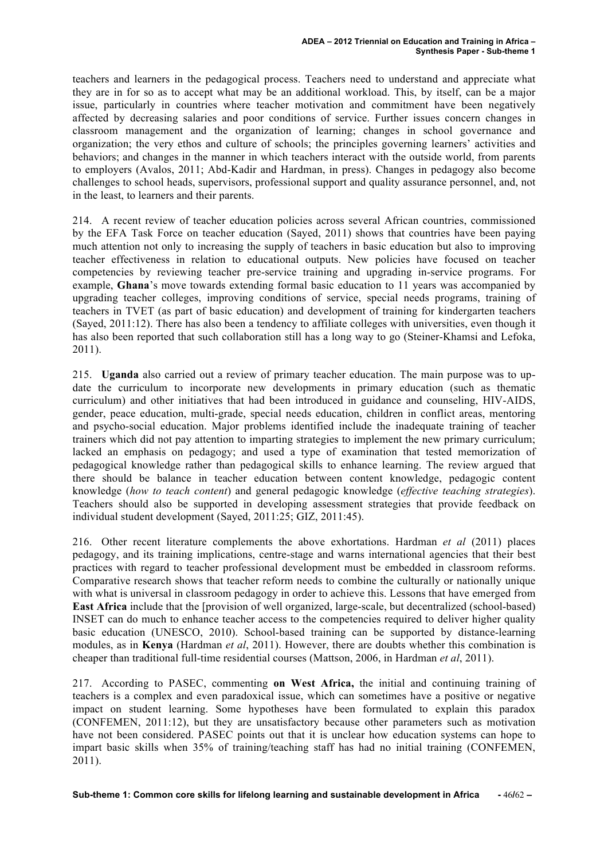teachers and learners in the pedagogical process. Teachers need to understand and appreciate what they are in for so as to accept what may be an additional workload. This, by itself, can be a major issue, particularly in countries where teacher motivation and commitment have been negatively affected by decreasing salaries and poor conditions of service. Further issues concern changes in classroom management and the organization of learning; changes in school governance and organization; the very ethos and culture of schools; the principles governing learners' activities and behaviors; and changes in the manner in which teachers interact with the outside world, from parents to employers (Avalos, 2011; Abd-Kadir and Hardman, in press). Changes in pedagogy also become challenges to school heads, supervisors, professional support and quality assurance personnel, and, not in the least, to learners and their parents.

214. A recent review of teacher education policies across several African countries, commissioned by the EFA Task Force on teacher education (Sayed, 2011) shows that countries have been paying much attention not only to increasing the supply of teachers in basic education but also to improving teacher effectiveness in relation to educational outputs. New policies have focused on teacher competencies by reviewing teacher pre-service training and upgrading in-service programs. For example, **Ghana**'s move towards extending formal basic education to 11 years was accompanied by upgrading teacher colleges, improving conditions of service, special needs programs, training of teachers in TVET (as part of basic education) and development of training for kindergarten teachers (Sayed, 2011:12). There has also been a tendency to affiliate colleges with universities, even though it has also been reported that such collaboration still has a long way to go (Steiner-Khamsi and Lefoka, 2011).

215. **Uganda** also carried out a review of primary teacher education. The main purpose was to update the curriculum to incorporate new developments in primary education (such as thematic curriculum) and other initiatives that had been introduced in guidance and counseling, HIV-AIDS, gender, peace education, multi-grade, special needs education, children in conflict areas, mentoring and psycho-social education. Major problems identified include the inadequate training of teacher trainers which did not pay attention to imparting strategies to implement the new primary curriculum; lacked an emphasis on pedagogy; and used a type of examination that tested memorization of pedagogical knowledge rather than pedagogical skills to enhance learning. The review argued that there should be balance in teacher education between content knowledge, pedagogic content knowledge (*how to teach content*) and general pedagogic knowledge (*effective teaching strategies*). Teachers should also be supported in developing assessment strategies that provide feedback on individual student development (Sayed, 2011:25; GIZ, 2011:45).

216. Other recent literature complements the above exhortations. Hardman *et al* (2011) places pedagogy, and its training implications, centre-stage and warns international agencies that their best practices with regard to teacher professional development must be embedded in classroom reforms. Comparative research shows that teacher reform needs to combine the culturally or nationally unique with what is universal in classroom pedagogy in order to achieve this. Lessons that have emerged from **East Africa** include that the [provision of well organized, large-scale, but decentralized (school-based) INSET can do much to enhance teacher access to the competencies required to deliver higher quality basic education (UNESCO, 2010). School-based training can be supported by distance-learning modules, as in **Kenya** (Hardman *et al*, 2011). However, there are doubts whether this combination is cheaper than traditional full-time residential courses (Mattson, 2006, in Hardman *et al*, 2011).

217. According to PASEC, commenting **on West Africa,** the initial and continuing training of teachers is a complex and even paradoxical issue, which can sometimes have a positive or negative impact on student learning. Some hypotheses have been formulated to explain this paradox (CONFEMEN, 2011:12), but they are unsatisfactory because other parameters such as motivation have not been considered. PASEC points out that it is unclear how education systems can hope to impart basic skills when 35% of training/teaching staff has had no initial training (CONFEMEN, 2011).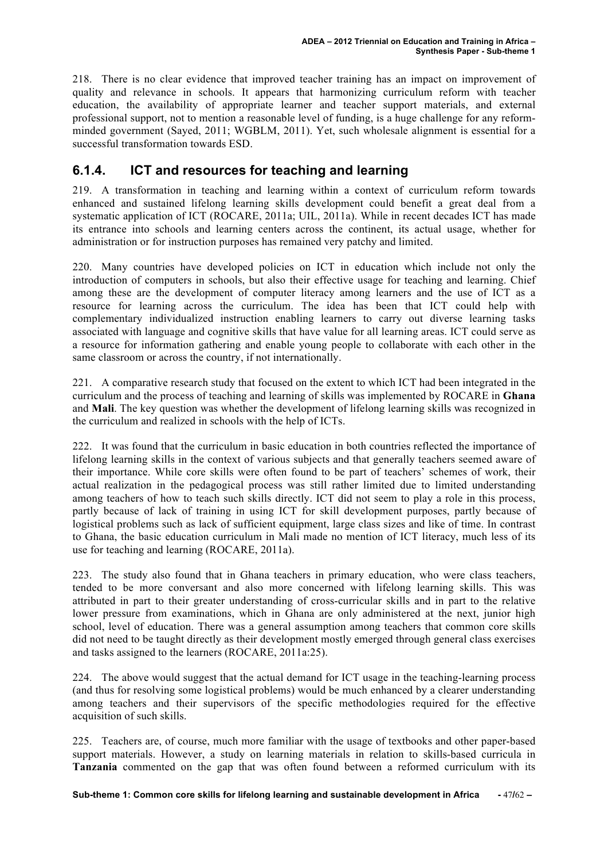218. There is no clear evidence that improved teacher training has an impact on improvement of quality and relevance in schools. It appears that harmonizing curriculum reform with teacher education, the availability of appropriate learner and teacher support materials, and external professional support, not to mention a reasonable level of funding, is a huge challenge for any reformminded government (Sayed, 2011; WGBLM, 2011). Yet, such wholesale alignment is essential for a successful transformation towards ESD.

#### **6.1.4. ICT and resources for teaching and learning**

219. A transformation in teaching and learning within a context of curriculum reform towards enhanced and sustained lifelong learning skills development could benefit a great deal from a systematic application of ICT (ROCARE, 2011a; UIL, 2011a). While in recent decades ICT has made its entrance into schools and learning centers across the continent, its actual usage, whether for administration or for instruction purposes has remained very patchy and limited.

220. Many countries have developed policies on ICT in education which include not only the introduction of computers in schools, but also their effective usage for teaching and learning. Chief among these are the development of computer literacy among learners and the use of ICT as a resource for learning across the curriculum. The idea has been that ICT could help with complementary individualized instruction enabling learners to carry out diverse learning tasks associated with language and cognitive skills that have value for all learning areas. ICT could serve as a resource for information gathering and enable young people to collaborate with each other in the same classroom or across the country, if not internationally.

221. A comparative research study that focused on the extent to which ICT had been integrated in the curriculum and the process of teaching and learning of skills was implemented by ROCARE in **Ghana** and **Mali**. The key question was whether the development of lifelong learning skills was recognized in the curriculum and realized in schools with the help of ICTs.

222. It was found that the curriculum in basic education in both countries reflected the importance of lifelong learning skills in the context of various subjects and that generally teachers seemed aware of their importance. While core skills were often found to be part of teachers' schemes of work, their actual realization in the pedagogical process was still rather limited due to limited understanding among teachers of how to teach such skills directly. ICT did not seem to play a role in this process, partly because of lack of training in using ICT for skill development purposes, partly because of logistical problems such as lack of sufficient equipment, large class sizes and like of time. In contrast to Ghana, the basic education curriculum in Mali made no mention of ICT literacy, much less of its use for teaching and learning (ROCARE, 2011a).

223. The study also found that in Ghana teachers in primary education, who were class teachers, tended to be more conversant and also more concerned with lifelong learning skills. This was attributed in part to their greater understanding of cross-curricular skills and in part to the relative lower pressure from examinations, which in Ghana are only administered at the next, junior high school, level of education. There was a general assumption among teachers that common core skills did not need to be taught directly as their development mostly emerged through general class exercises and tasks assigned to the learners (ROCARE, 2011a:25).

224. The above would suggest that the actual demand for ICT usage in the teaching-learning process (and thus for resolving some logistical problems) would be much enhanced by a clearer understanding among teachers and their supervisors of the specific methodologies required for the effective acquisition of such skills.

225. Teachers are, of course, much more familiar with the usage of textbooks and other paper-based support materials. However, a study on learning materials in relation to skills-based curricula in **Tanzania** commented on the gap that was often found between a reformed curriculum with its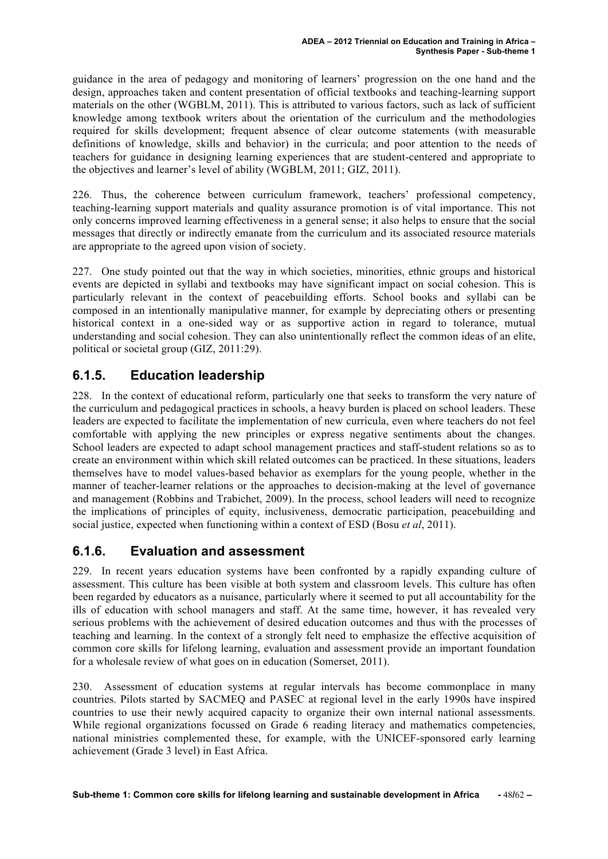guidance in the area of pedagogy and monitoring of learners' progression on the one hand and the design, approaches taken and content presentation of official textbooks and teaching-learning support materials on the other (WGBLM, 2011). This is attributed to various factors, such as lack of sufficient knowledge among textbook writers about the orientation of the curriculum and the methodologies required for skills development; frequent absence of clear outcome statements (with measurable definitions of knowledge, skills and behavior) in the curricula; and poor attention to the needs of teachers for guidance in designing learning experiences that are student-centered and appropriate to the objectives and learner's level of ability (WGBLM, 2011; GIZ, 2011).

226. Thus, the coherence between curriculum framework, teachers' professional competency, teaching-learning support materials and quality assurance promotion is of vital importance. This not only concerns improved learning effectiveness in a general sense; it also helps to ensure that the social messages that directly or indirectly emanate from the curriculum and its associated resource materials are appropriate to the agreed upon vision of society.

227. One study pointed out that the way in which societies, minorities, ethnic groups and historical events are depicted in syllabi and textbooks may have significant impact on social cohesion. This is particularly relevant in the context of peacebuilding efforts. School books and syllabi can be composed in an intentionally manipulative manner, for example by depreciating others or presenting historical context in a one-sided way or as supportive action in regard to tolerance, mutual understanding and social cohesion. They can also unintentionally reflect the common ideas of an elite, political or societal group (GIZ, 2011:29).

### **6.1.5. Education leadership**

228. In the context of educational reform, particularly one that seeks to transform the very nature of the curriculum and pedagogical practices in schools, a heavy burden is placed on school leaders. These leaders are expected to facilitate the implementation of new curricula, even where teachers do not feel comfortable with applying the new principles or express negative sentiments about the changes. School leaders are expected to adapt school management practices and staff-student relations so as to create an environment within which skill related outcomes can be practiced. In these situations, leaders themselves have to model values-based behavior as exemplars for the young people, whether in the manner of teacher-learner relations or the approaches to decision-making at the level of governance and management (Robbins and Trabichet, 2009). In the process, school leaders will need to recognize the implications of principles of equity, inclusiveness, democratic participation, peacebuilding and social justice, expected when functioning within a context of ESD (Bosu *et al*, 2011).

#### **6.1.6. Evaluation and assessment**

229. In recent years education systems have been confronted by a rapidly expanding culture of assessment. This culture has been visible at both system and classroom levels. This culture has often been regarded by educators as a nuisance, particularly where it seemed to put all accountability for the ills of education with school managers and staff. At the same time, however, it has revealed very serious problems with the achievement of desired education outcomes and thus with the processes of teaching and learning. In the context of a strongly felt need to emphasize the effective acquisition of common core skills for lifelong learning, evaluation and assessment provide an important foundation for a wholesale review of what goes on in education (Somerset, 2011).

230. Assessment of education systems at regular intervals has become commonplace in many countries. Pilots started by SACMEQ and PASEC at regional level in the early 1990s have inspired countries to use their newly acquired capacity to organize their own internal national assessments. While regional organizations focussed on Grade 6 reading literacy and mathematics competencies, national ministries complemented these, for example, with the UNICEF-sponsored early learning achievement (Grade 3 level) in East Africa.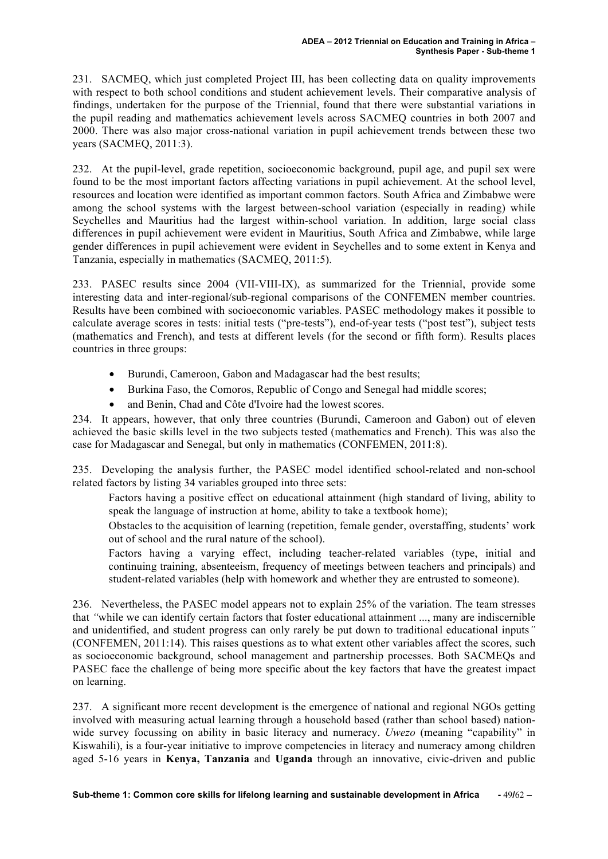231. SACMEQ, which just completed Project III, has been collecting data on quality improvements with respect to both school conditions and student achievement levels. Their comparative analysis of findings, undertaken for the purpose of the Triennial, found that there were substantial variations in the pupil reading and mathematics achievement levels across SACMEQ countries in both 2007 and 2000. There was also major cross-national variation in pupil achievement trends between these two years (SACMEQ, 2011:3).

232. At the pupil-level, grade repetition, socioeconomic background, pupil age, and pupil sex were found to be the most important factors affecting variations in pupil achievement. At the school level, resources and location were identified as important common factors. South Africa and Zimbabwe were among the school systems with the largest between-school variation (especially in reading) while Seychelles and Mauritius had the largest within-school variation. In addition, large social class differences in pupil achievement were evident in Mauritius, South Africa and Zimbabwe, while large gender differences in pupil achievement were evident in Seychelles and to some extent in Kenya and Tanzania, especially in mathematics (SACMEQ, 2011:5).

233. PASEC results since 2004 (VII-VIII-IX), as summarized for the Triennial, provide some interesting data and inter-regional/sub-regional comparisons of the CONFEMEN member countries. Results have been combined with socioeconomic variables. PASEC methodology makes it possible to calculate average scores in tests: initial tests ("pre-tests"), end-of-year tests ("post test"), subject tests (mathematics and French), and tests at different levels (for the second or fifth form). Results places countries in three groups:

- Burundi, Cameroon, Gabon and Madagascar had the best results;
- Burkina Faso, the Comoros, Republic of Congo and Senegal had middle scores;
- and Benin, Chad and Côte d'Ivoire had the lowest scores.

234. It appears, however, that only three countries (Burundi, Cameroon and Gabon) out of eleven achieved the basic skills level in the two subjects tested (mathematics and French). This was also the case for Madagascar and Senegal, but only in mathematics (CONFEMEN, 2011:8).

235. Developing the analysis further, the PASEC model identified school-related and non-school related factors by listing 34 variables grouped into three sets:

Factors having a positive effect on educational attainment (high standard of living, ability to speak the language of instruction at home, ability to take a textbook home);

Obstacles to the acquisition of learning (repetition, female gender, overstaffing, students' work out of school and the rural nature of the school).

Factors having a varying effect, including teacher-related variables (type, initial and continuing training, absenteeism, frequency of meetings between teachers and principals) and student-related variables (help with homework and whether they are entrusted to someone).

236. Nevertheless, the PASEC model appears not to explain 25% of the variation. The team stresses that *"*while we can identify certain factors that foster educational attainment ..., many are indiscernible and unidentified, and student progress can only rarely be put down to traditional educational inputs*"* (CONFEMEN, 2011:14). This raises questions as to what extent other variables affect the scores, such as socioeconomic background, school management and partnership processes. Both SACMEQs and PASEC face the challenge of being more specific about the key factors that have the greatest impact on learning.

237. A significant more recent development is the emergence of national and regional NGOs getting involved with measuring actual learning through a household based (rather than school based) nationwide survey focussing on ability in basic literacy and numeracy. *Uwezo* (meaning "capability" in Kiswahili), is a four-year initiative to improve competencies in literacy and numeracy among children aged 5-16 years in **Kenya, Tanzania** and **Uganda** through an innovative, civic-driven and public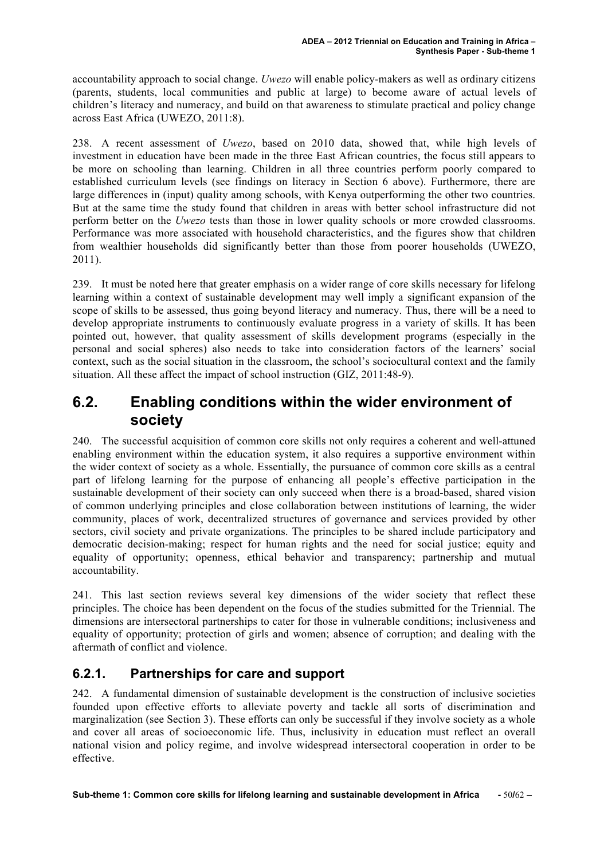accountability approach to social change. *Uwezo* will enable policy-makers as well as ordinary citizens (parents, students, local communities and public at large) to become aware of actual levels of children's literacy and numeracy, and build on that awareness to stimulate practical and policy change across East Africa (UWEZO, 2011:8).

238. A recent assessment of *Uwezo*, based on 2010 data, showed that, while high levels of investment in education have been made in the three East African countries, the focus still appears to be more on schooling than learning. Children in all three countries perform poorly compared to established curriculum levels (see findings on literacy in Section 6 above). Furthermore, there are large differences in (input) quality among schools, with Kenya outperforming the other two countries. But at the same time the study found that children in areas with better school infrastructure did not perform better on the *Uwezo* tests than those in lower quality schools or more crowded classrooms. Performance was more associated with household characteristics, and the figures show that children from wealthier households did significantly better than those from poorer households (UWEZO, 2011).

239. It must be noted here that greater emphasis on a wider range of core skills necessary for lifelong learning within a context of sustainable development may well imply a significant expansion of the scope of skills to be assessed, thus going beyond literacy and numeracy. Thus, there will be a need to develop appropriate instruments to continuously evaluate progress in a variety of skills. It has been pointed out, however, that quality assessment of skills development programs (especially in the personal and social spheres) also needs to take into consideration factors of the learners' social context, such as the social situation in the classroom, the school's sociocultural context and the family situation. All these affect the impact of school instruction (GIZ, 2011:48-9).

### **6.2. Enabling conditions within the wider environment of society**

240. The successful acquisition of common core skills not only requires a coherent and well-attuned enabling environment within the education system, it also requires a supportive environment within the wider context of society as a whole. Essentially, the pursuance of common core skills as a central part of lifelong learning for the purpose of enhancing all people's effective participation in the sustainable development of their society can only succeed when there is a broad-based, shared vision of common underlying principles and close collaboration between institutions of learning, the wider community, places of work, decentralized structures of governance and services provided by other sectors, civil society and private organizations. The principles to be shared include participatory and democratic decision-making; respect for human rights and the need for social justice; equity and equality of opportunity; openness, ethical behavior and transparency; partnership and mutual accountability.

241. This last section reviews several key dimensions of the wider society that reflect these principles. The choice has been dependent on the focus of the studies submitted for the Triennial. The dimensions are intersectoral partnerships to cater for those in vulnerable conditions; inclusiveness and equality of opportunity; protection of girls and women; absence of corruption; and dealing with the aftermath of conflict and violence.

#### **6.2.1. Partnerships for care and support**

242. A fundamental dimension of sustainable development is the construction of inclusive societies founded upon effective efforts to alleviate poverty and tackle all sorts of discrimination and marginalization (see Section 3). These efforts can only be successful if they involve society as a whole and cover all areas of socioeconomic life. Thus, inclusivity in education must reflect an overall national vision and policy regime, and involve widespread intersectoral cooperation in order to be effective.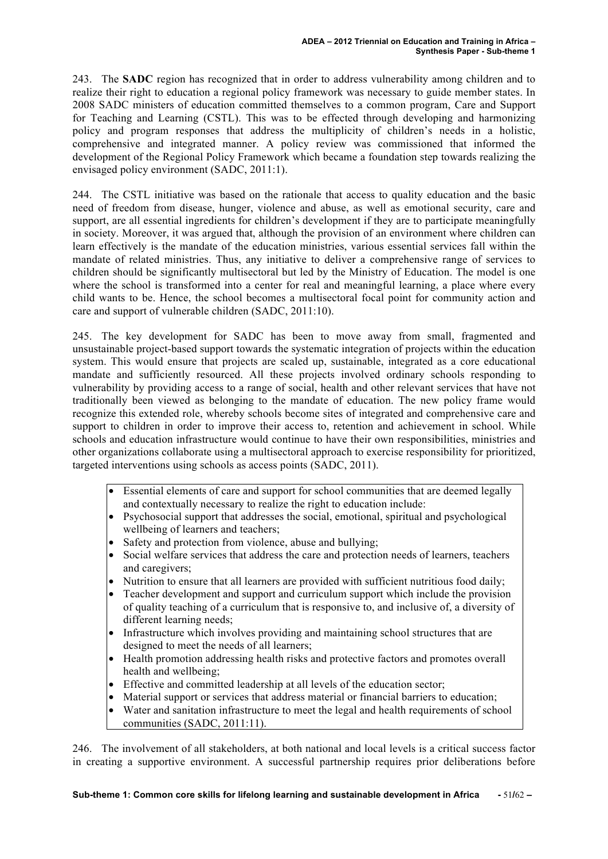243. The **SADC** region has recognized that in order to address vulnerability among children and to realize their right to education a regional policy framework was necessary to guide member states. In 2008 SADC ministers of education committed themselves to a common program, Care and Support for Teaching and Learning (CSTL). This was to be effected through developing and harmonizing policy and program responses that address the multiplicity of children's needs in a holistic, comprehensive and integrated manner. A policy review was commissioned that informed the development of the Regional Policy Framework which became a foundation step towards realizing the envisaged policy environment (SADC, 2011:1).

244. The CSTL initiative was based on the rationale that access to quality education and the basic need of freedom from disease, hunger, violence and abuse, as well as emotional security, care and support, are all essential ingredients for children's development if they are to participate meaningfully in society. Moreover, it was argued that, although the provision of an environment where children can learn effectively is the mandate of the education ministries, various essential services fall within the mandate of related ministries. Thus, any initiative to deliver a comprehensive range of services to children should be significantly multisectoral but led by the Ministry of Education. The model is one where the school is transformed into a center for real and meaningful learning, a place where every child wants to be. Hence, the school becomes a multisectoral focal point for community action and care and support of vulnerable children (SADC, 2011:10).

245. The key development for SADC has been to move away from small, fragmented and unsustainable project-based support towards the systematic integration of projects within the education system. This would ensure that projects are scaled up, sustainable, integrated as a core educational mandate and sufficiently resourced. All these projects involved ordinary schools responding to vulnerability by providing access to a range of social, health and other relevant services that have not traditionally been viewed as belonging to the mandate of education. The new policy frame would recognize this extended role, whereby schools become sites of integrated and comprehensive care and support to children in order to improve their access to, retention and achievement in school. While schools and education infrastructure would continue to have their own responsibilities, ministries and other organizations collaborate using a multisectoral approach to exercise responsibility for prioritized, targeted interventions using schools as access points (SADC, 2011).

- Essential elements of care and support for school communities that are deemed legally and contextually necessary to realize the right to education include:
- Psychosocial support that addresses the social, emotional, spiritual and psychological wellbeing of learners and teachers;
- Safety and protection from violence, abuse and bullying;
- Social welfare services that address the care and protection needs of learners, teachers and caregivers;
- Nutrition to ensure that all learners are provided with sufficient nutritious food daily:
- Teacher development and support and curriculum support which include the provision of quality teaching of a curriculum that is responsive to, and inclusive of, a diversity of different learning needs;
- Infrastructure which involves providing and maintaining school structures that are designed to meet the needs of all learners;
- Health promotion addressing health risks and protective factors and promotes overall health and wellbeing;
- Effective and committed leadership at all levels of the education sector:
- Material support or services that address material or financial barriers to education;
- Water and sanitation infrastructure to meet the legal and health requirements of school communities (SADC, 2011:11).

246. The involvement of all stakeholders, at both national and local levels is a critical success factor in creating a supportive environment. A successful partnership requires prior deliberations before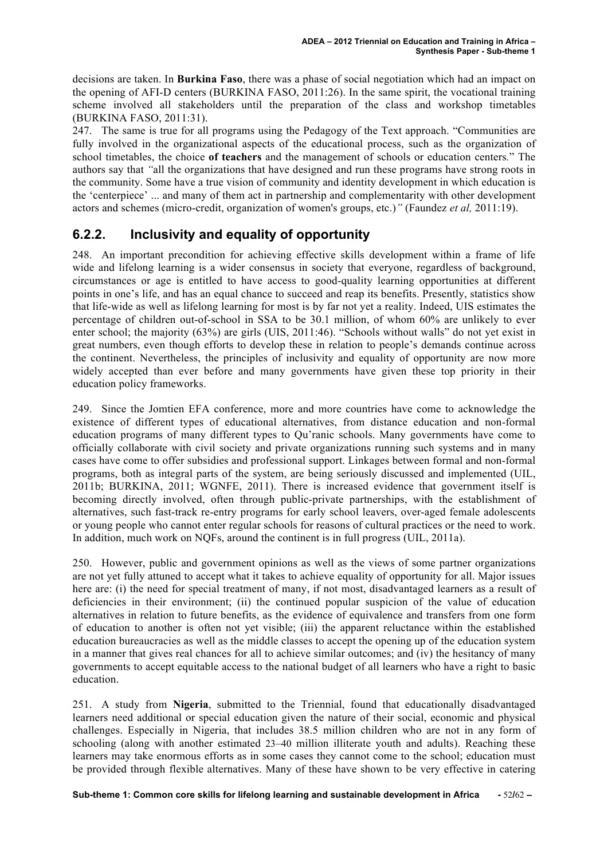decisions are taken. In **Burkina Faso**, there was a phase of social negotiation which had an impact on the opening of AFI-D centers (BURKINA FASO, 2011:26). In the same spirit, the vocational training scheme involved all stakeholders until the preparation of the class and workshop timetables (BURKINA FASO, 2011:31).

247. The same is true for all programs using the Pedagogy of the Text approach. "Communities are fully involved in the organizational aspects of the educational process, such as the organization of school timetables, the choice **of teachers** and the management of schools or education centers*.*" The authors say that *"*all the organizations that have designed and run these programs have strong roots in the community. Some have a true vision of community and identity development in which education is the 'centerpiece' ... and many of them act in partnership and complementarity with other development actors and schemes (micro-credit, organization of women's groups, etc.)*"* (Faundez *et al,* 2011:19).

### **6.2.2. Inclusivity and equality of opportunity**

248. An important precondition for achieving effective skills development within a frame of life wide and lifelong learning is a wider consensus in society that everyone, regardless of background, circumstances or age is entitled to have access to good-quality learning opportunities at different points in one's life, and has an equal chance to succeed and reap its benefits. Presently, statistics show that life-wide as well as lifelong learning for most is by far not yet a reality. Indeed, UIS estimates the percentage of children out-of-school in SSA to be 30.1 million, of whom 60% are unlikely to ever enter school; the majority (63%) are girls (UIS, 2011:46). "Schools without walls" do not yet exist in great numbers, even though efforts to develop these in relation to people's demands continue across the continent. Nevertheless, the principles of inclusivity and equality of opportunity are now more widely accepted than ever before and many governments have given these top priority in their education policy frameworks.

249. Since the Jomtien EFA conference, more and more countries have come to acknowledge the existence of different types of educational alternatives, from distance education and non-formal education programs of many different types to Qu'ranic schools. Many governments have come to officially collaborate with civil society and private organizations running such systems and in many cases have come to offer subsidies and professional support. Linkages between formal and non-formal programs, both as integral parts of the system, are being seriously discussed and implemented (UIL, 2011b; BURKINA, 2011; WGNFE, 2011). There is increased evidence that government itself is becoming directly involved, often through public-private partnerships, with the establishment of alternatives, such fast-track re-entry programs for early school leavers, over-aged female adolescents or young people who cannot enter regular schools for reasons of cultural practices or the need to work. In addition, much work on NQFs, around the continent is in full progress (UIL, 2011a).

250. However, public and government opinions as well as the views of some partner organizations are not yet fully attuned to accept what it takes to achieve equality of opportunity for all. Major issues here are: (i) the need for special treatment of many, if not most, disadvantaged learners as a result of deficiencies in their environment; (ii) the continued popular suspicion of the value of education alternatives in relation to future benefits, as the evidence of equivalence and transfers from one form of education to another is often not yet visible; (iii) the apparent reluctance within the established education bureaucracies as well as the middle classes to accept the opening up of the education system in a manner that gives real chances for all to achieve similar outcomes; and (iv) the hesitancy of many governments to accept equitable access to the national budget of all learners who have a right to basic education.

251. A study from **Nigeria**, submitted to the Triennial, found that educationally disadvantaged learners need additional or special education given the nature of their social, economic and physical challenges. Especially in Nigeria, that includes 38.5 million children who are not in any form of schooling (along with another estimated 23–40 million illiterate youth and adults). Reaching these learners may take enormous efforts as in some cases they cannot come to the school; education must be provided through flexible alternatives. Many of these have shown to be very effective in catering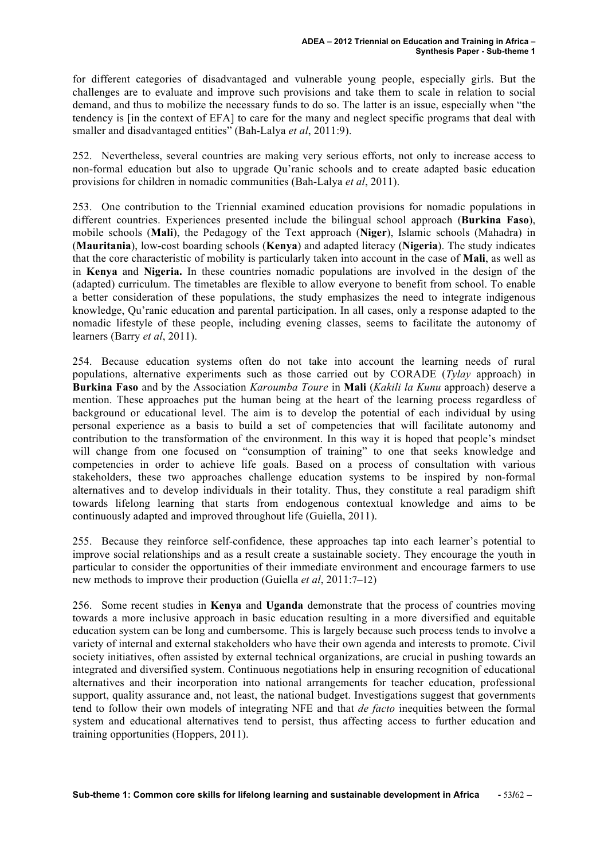for different categories of disadvantaged and vulnerable young people, especially girls. But the challenges are to evaluate and improve such provisions and take them to scale in relation to social demand, and thus to mobilize the necessary funds to do so. The latter is an issue, especially when "the tendency is [in the context of EFA] to care for the many and neglect specific programs that deal with smaller and disadvantaged entities" (Bah-Lalya *et al*, 2011:9).

252. Nevertheless, several countries are making very serious efforts, not only to increase access to non-formal education but also to upgrade Qu'ranic schools and to create adapted basic education provisions for children in nomadic communities (Bah-Lalya *et al*, 2011).

253. One contribution to the Triennial examined education provisions for nomadic populations in different countries. Experiences presented include the bilingual school approach (**Burkina Faso**), mobile schools (**Mali**), the Pedagogy of the Text approach (**Niger**), Islamic schools (Mahadra) in (**Mauritania**), low-cost boarding schools (**Kenya**) and adapted literacy (**Nigeria**). The study indicates that the core characteristic of mobility is particularly taken into account in the case of **Mali**, as well as in **Kenya** and **Nigeria.** In these countries nomadic populations are involved in the design of the (adapted) curriculum. The timetables are flexible to allow everyone to benefit from school. To enable a better consideration of these populations, the study emphasizes the need to integrate indigenous knowledge, Qu'ranic education and parental participation. In all cases, only a response adapted to the nomadic lifestyle of these people, including evening classes, seems to facilitate the autonomy of learners (Barry *et al*, 2011).

254. Because education systems often do not take into account the learning needs of rural populations, alternative experiments such as those carried out by CORADE (*Tylay* approach) in **Burkina Faso** and by the Association *Karoumba Toure* in **Mali** (*Kakili la Kunu* approach) deserve a mention. These approaches put the human being at the heart of the learning process regardless of background or educational level. The aim is to develop the potential of each individual by using personal experience as a basis to build a set of competencies that will facilitate autonomy and contribution to the transformation of the environment. In this way it is hoped that people's mindset will change from one focused on "consumption of training" to one that seeks knowledge and competencies in order to achieve life goals. Based on a process of consultation with various stakeholders, these two approaches challenge education systems to be inspired by non-formal alternatives and to develop individuals in their totality. Thus, they constitute a real paradigm shift towards lifelong learning that starts from endogenous contextual knowledge and aims to be continuously adapted and improved throughout life (Guiella, 2011).

255. Because they reinforce self-confidence, these approaches tap into each learner's potential to improve social relationships and as a result create a sustainable society. They encourage the youth in particular to consider the opportunities of their immediate environment and encourage farmers to use new methods to improve their production (Guiella *et al*, 2011:7–12)

256. Some recent studies in **Kenya** and **Uganda** demonstrate that the process of countries moving towards a more inclusive approach in basic education resulting in a more diversified and equitable education system can be long and cumbersome. This is largely because such process tends to involve a variety of internal and external stakeholders who have their own agenda and interests to promote. Civil society initiatives, often assisted by external technical organizations, are crucial in pushing towards an integrated and diversified system. Continuous negotiations help in ensuring recognition of educational alternatives and their incorporation into national arrangements for teacher education, professional support, quality assurance and, not least, the national budget. Investigations suggest that governments tend to follow their own models of integrating NFE and that *de facto* inequities between the formal system and educational alternatives tend to persist, thus affecting access to further education and training opportunities (Hoppers, 2011).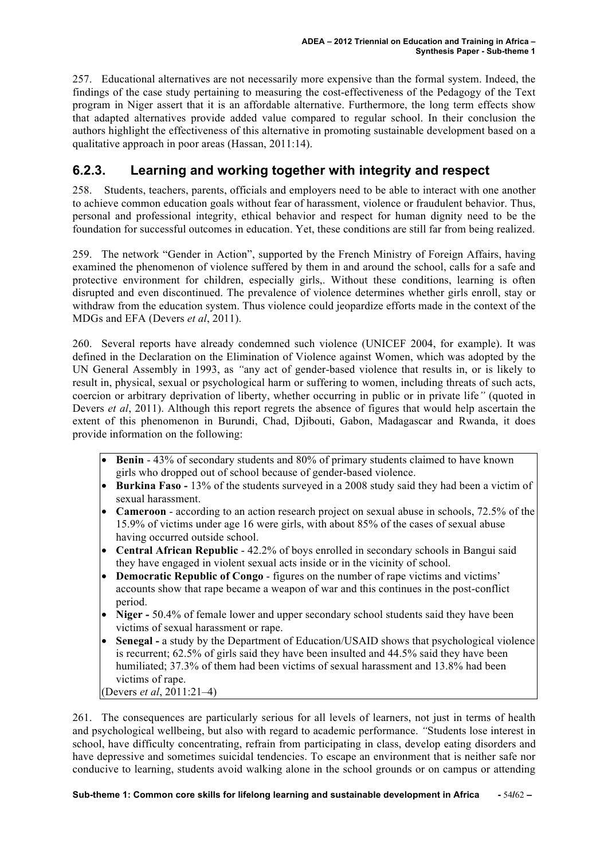257. Educational alternatives are not necessarily more expensive than the formal system. Indeed, the findings of the case study pertaining to measuring the cost-effectiveness of the Pedagogy of the Text program in Niger assert that it is an affordable alternative. Furthermore, the long term effects show that adapted alternatives provide added value compared to regular school. In their conclusion the authors highlight the effectiveness of this alternative in promoting sustainable development based on a qualitative approach in poor areas (Hassan, 2011:14).

#### **6.2.3. Learning and working together with integrity and respect**

258. Students, teachers, parents, officials and employers need to be able to interact with one another to achieve common education goals without fear of harassment, violence or fraudulent behavior. Thus, personal and professional integrity, ethical behavior and respect for human dignity need to be the foundation for successful outcomes in education. Yet, these conditions are still far from being realized.

259. The network "Gender in Action", supported by the French Ministry of Foreign Affairs, having examined the phenomenon of violence suffered by them in and around the school, calls for a safe and protective environment for children, especially girls,. Without these conditions, learning is often disrupted and even discontinued. The prevalence of violence determines whether girls enroll, stay or withdraw from the education system. Thus violence could jeopardize efforts made in the context of the MDGs and EFA (Devers *et al*, 2011).

260. Several reports have already condemned such violence (UNICEF 2004, for example). It was defined in the Declaration on the Elimination of Violence against Women, which was adopted by the UN General Assembly in 1993, as *"*any act of gender-based violence that results in, or is likely to result in, physical, sexual or psychological harm or suffering to women, including threats of such acts, coercion or arbitrary deprivation of liberty, whether occurring in public or in private life*"* (quoted in Devers *et al*, 2011). Although this report regrets the absence of figures that would help ascertain the extent of this phenomenon in Burundi, Chad, Djibouti, Gabon, Madagascar and Rwanda, it does provide information on the following:

- **Benin**  43% of secondary students and 80% of primary students claimed to have known girls who dropped out of school because of gender-based violence.
- **Burkina Faso -** 13% of the students surveyed in a 2008 study said they had been a victim of sexual harassment.
- **Cameroon** according to an action research project on sexual abuse in schools, 72.5% of the 15.9% of victims under age 16 were girls, with about 85% of the cases of sexual abuse having occurred outside school.
- **Central African Republic** 42.2% of boys enrolled in secondary schools in Bangui said they have engaged in violent sexual acts inside or in the vicinity of school.
- **Democratic Republic of Congo** figures on the number of rape victims and victims' accounts show that rape became a weapon of war and this continues in the post-conflict period.
- **Niger** 50.4% of female lower and upper secondary school students said they have been victims of sexual harassment or rape.
- **Senegal -** a study by the Department of Education/USAID shows that psychological violence is recurrent; 62.5% of girls said they have been insulted and 44.5% said they have been humiliated; 37.3% of them had been victims of sexual harassment and 13.8% had been victims of rape.

(Devers *et al*, 2011:21–4)

261. The consequences are particularly serious for all levels of learners, not just in terms of health and psychological wellbeing, but also with regard to academic performance. *"*Students lose interest in school, have difficulty concentrating, refrain from participating in class, develop eating disorders and have depressive and sometimes suicidal tendencies. To escape an environment that is neither safe nor conducive to learning, students avoid walking alone in the school grounds or on campus or attending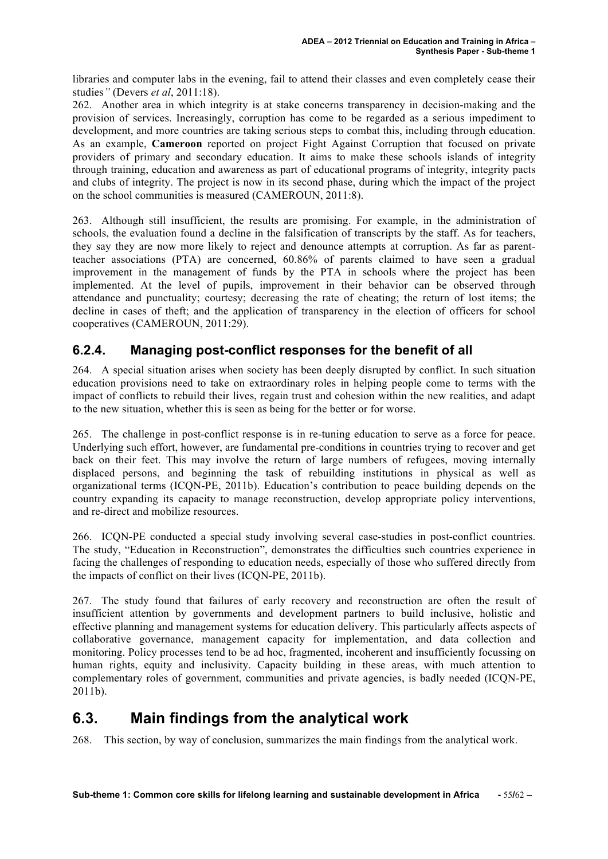libraries and computer labs in the evening, fail to attend their classes and even completely cease their studies*"* (Devers *et al*, 2011:18).

262. Another area in which integrity is at stake concerns transparency in decision-making and the provision of services. Increasingly, corruption has come to be regarded as a serious impediment to development, and more countries are taking serious steps to combat this, including through education. As an example, **Cameroon** reported on project Fight Against Corruption that focused on private providers of primary and secondary education. It aims to make these schools islands of integrity through training, education and awareness as part of educational programs of integrity, integrity pacts and clubs of integrity. The project is now in its second phase, during which the impact of the project on the school communities is measured (CAMEROUN, 2011:8).

263. Although still insufficient, the results are promising. For example, in the administration of schools, the evaluation found a decline in the falsification of transcripts by the staff. As for teachers, they say they are now more likely to reject and denounce attempts at corruption. As far as parentteacher associations (PTA) are concerned, 60.86% of parents claimed to have seen a gradual improvement in the management of funds by the PTA in schools where the project has been implemented. At the level of pupils, improvement in their behavior can be observed through attendance and punctuality; courtesy; decreasing the rate of cheating; the return of lost items; the decline in cases of theft; and the application of transparency in the election of officers for school cooperatives (CAMEROUN, 2011:29).

#### **6.2.4. Managing post-conflict responses for the benefit of all**

264. A special situation arises when society has been deeply disrupted by conflict. In such situation education provisions need to take on extraordinary roles in helping people come to terms with the impact of conflicts to rebuild their lives, regain trust and cohesion within the new realities, and adapt to the new situation, whether this is seen as being for the better or for worse.

265. The challenge in post-conflict response is in re-tuning education to serve as a force for peace. Underlying such effort, however, are fundamental pre-conditions in countries trying to recover and get back on their feet. This may involve the return of large numbers of refugees, moving internally displaced persons, and beginning the task of rebuilding institutions in physical as well as organizational terms (ICQN-PE, 2011b). Education's contribution to peace building depends on the country expanding its capacity to manage reconstruction, develop appropriate policy interventions, and re-direct and mobilize resources.

266. ICQN-PE conducted a special study involving several case-studies in post-conflict countries. The study, "Education in Reconstruction", demonstrates the difficulties such countries experience in facing the challenges of responding to education needs, especially of those who suffered directly from the impacts of conflict on their lives (ICQN-PE, 2011b).

267. The study found that failures of early recovery and reconstruction are often the result of insufficient attention by governments and development partners to build inclusive, holistic and effective planning and management systems for education delivery. This particularly affects aspects of collaborative governance, management capacity for implementation, and data collection and monitoring. Policy processes tend to be ad hoc, fragmented, incoherent and insufficiently focussing on human rights, equity and inclusivity. Capacity building in these areas, with much attention to complementary roles of government, communities and private agencies, is badly needed (ICQN-PE,  $2011b$ ).

## **6.3. Main findings from the analytical work**

268. This section, by way of conclusion, summarizes the main findings from the analytical work.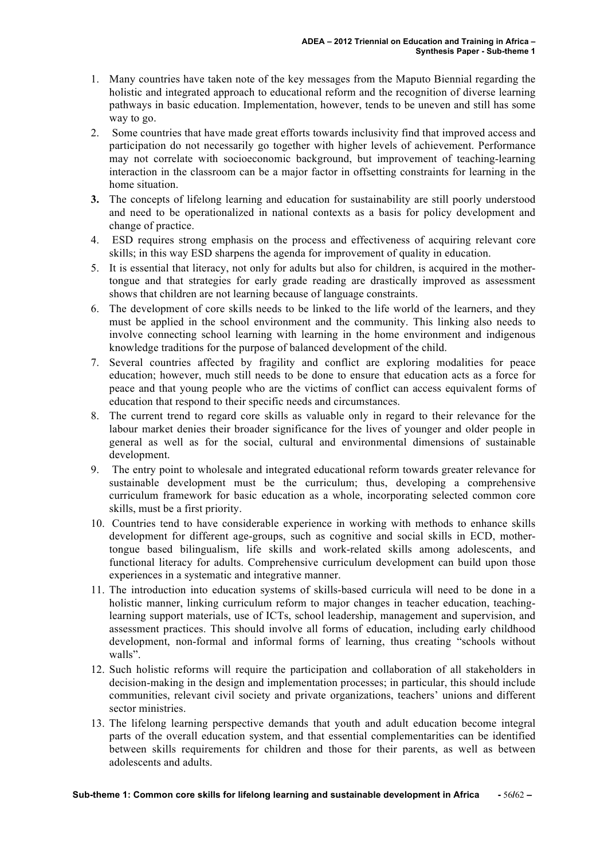- 1. Many countries have taken note of the key messages from the Maputo Biennial regarding the holistic and integrated approach to educational reform and the recognition of diverse learning pathways in basic education. Implementation, however, tends to be uneven and still has some way to go.
- 2. Some countries that have made great efforts towards inclusivity find that improved access and participation do not necessarily go together with higher levels of achievement. Performance may not correlate with socioeconomic background, but improvement of teaching-learning interaction in the classroom can be a major factor in offsetting constraints for learning in the home situation.
- **3.** The concepts of lifelong learning and education for sustainability are still poorly understood and need to be operationalized in national contexts as a basis for policy development and change of practice.
- 4. ESD requires strong emphasis on the process and effectiveness of acquiring relevant core skills; in this way ESD sharpens the agenda for improvement of quality in education.
- 5. It is essential that literacy, not only for adults but also for children, is acquired in the mothertongue and that strategies for early grade reading are drastically improved as assessment shows that children are not learning because of language constraints.
- 6. The development of core skills needs to be linked to the life world of the learners, and they must be applied in the school environment and the community. This linking also needs to involve connecting school learning with learning in the home environment and indigenous knowledge traditions for the purpose of balanced development of the child.
- 7. Several countries affected by fragility and conflict are exploring modalities for peace education; however, much still needs to be done to ensure that education acts as a force for peace and that young people who are the victims of conflict can access equivalent forms of education that respond to their specific needs and circumstances.
- 8. The current trend to regard core skills as valuable only in regard to their relevance for the labour market denies their broader significance for the lives of younger and older people in general as well as for the social, cultural and environmental dimensions of sustainable development.
- 9. The entry point to wholesale and integrated educational reform towards greater relevance for sustainable development must be the curriculum; thus, developing a comprehensive curriculum framework for basic education as a whole, incorporating selected common core skills, must be a first priority.
- 10. Countries tend to have considerable experience in working with methods to enhance skills development for different age-groups, such as cognitive and social skills in ECD, mothertongue based bilingualism, life skills and work-related skills among adolescents, and functional literacy for adults. Comprehensive curriculum development can build upon those experiences in a systematic and integrative manner.
- 11. The introduction into education systems of skills-based curricula will need to be done in a holistic manner, linking curriculum reform to major changes in teacher education, teachinglearning support materials, use of ICTs, school leadership, management and supervision, and assessment practices. This should involve all forms of education, including early childhood development, non-formal and informal forms of learning, thus creating "schools without walls".
- 12. Such holistic reforms will require the participation and collaboration of all stakeholders in decision-making in the design and implementation processes; in particular, this should include communities, relevant civil society and private organizations, teachers' unions and different sector ministries.
- 13. The lifelong learning perspective demands that youth and adult education become integral parts of the overall education system, and that essential complementarities can be identified between skills requirements for children and those for their parents, as well as between adolescents and adults.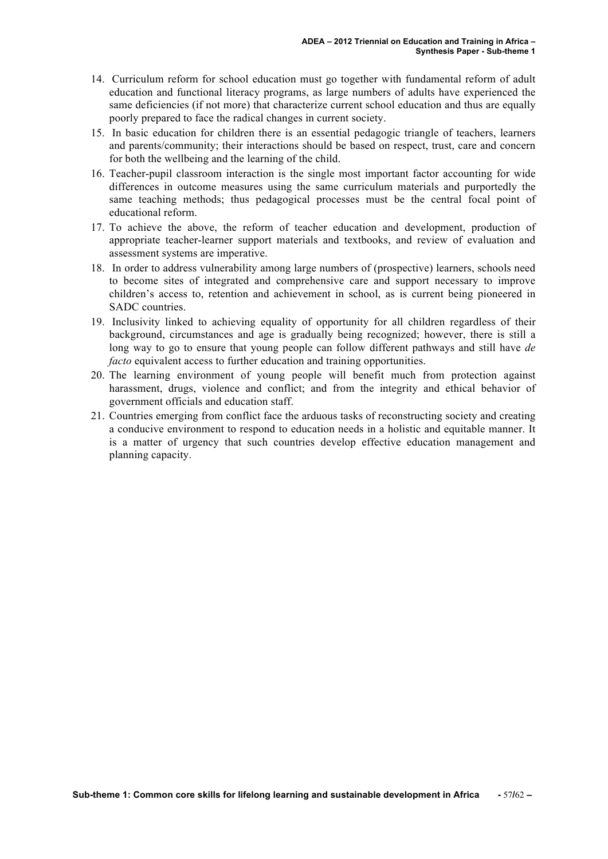- 14. Curriculum reform for school education must go together with fundamental reform of adult education and functional literacy programs, as large numbers of adults have experienced the same deficiencies (if not more) that characterize current school education and thus are equally poorly prepared to face the radical changes in current society.
- 15. In basic education for children there is an essential pedagogic triangle of teachers, learners and parents/community; their interactions should be based on respect, trust, care and concern for both the wellbeing and the learning of the child.
- 16. Teacher-pupil classroom interaction is the single most important factor accounting for wide differences in outcome measures using the same curriculum materials and purportedly the same teaching methods; thus pedagogical processes must be the central focal point of educational reform.
- 17. To achieve the above, the reform of teacher education and development, production of appropriate teacher-learner support materials and textbooks, and review of evaluation and assessment systems are imperative.
- 18. In order to address vulnerability among large numbers of (prospective) learners, schools need to become sites of integrated and comprehensive care and support necessary to improve children's access to, retention and achievement in school, as is current being pioneered in SADC countries.
- 19. Inclusivity linked to achieving equality of opportunity for all children regardless of their background, circumstances and age is gradually being recognized; however, there is still a long way to go to ensure that young people can follow different pathways and still have *de facto* equivalent access to further education and training opportunities.
- 20. The learning environment of young people will benefit much from protection against harassment, drugs, violence and conflict; and from the integrity and ethical behavior of government officials and education staff.
- 21. Countries emerging from conflict face the arduous tasks of reconstructing society and creating a conducive environment to respond to education needs in a holistic and equitable manner. It is a matter of urgency that such countries develop effective education management and planning capacity.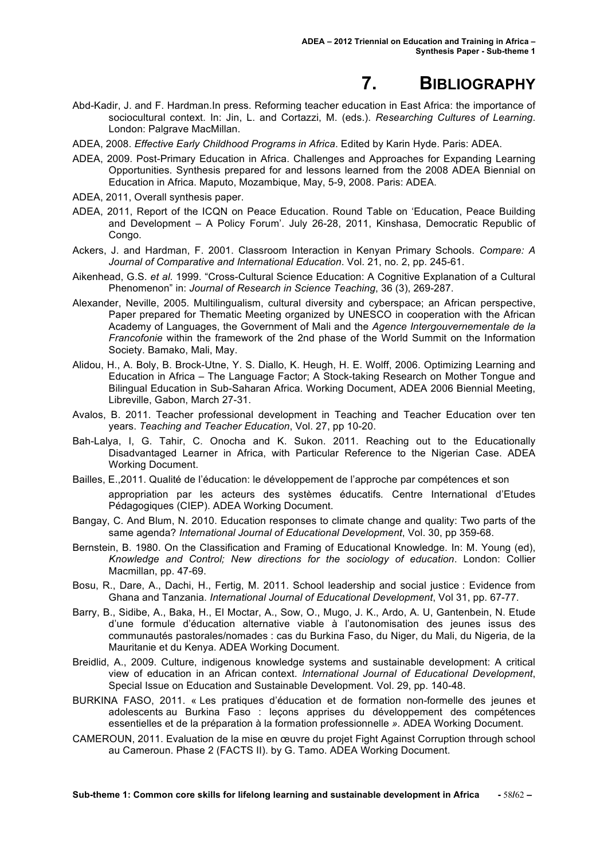# **7. BIBLIOGRAPHY**

- Abd-Kadir, J. and F. Hardman.In press. Reforming teacher education in East Africa: the importance of sociocultural context. In: Jin, L. and Cortazzi, M. (eds.). *Researching Cultures of Learning*. London: Palgrave MacMillan.
- ADEA, 2008. *Effective Early Childhood Programs in Africa*. Edited by Karin Hyde. Paris: ADEA.
- ADEA, 2009. Post-Primary Education in Africa. Challenges and Approaches for Expanding Learning Opportunities. Synthesis prepared for and lessons learned from the 2008 ADEA Biennial on Education in Africa. Maputo, Mozambique, May, 5-9, 2008. Paris: ADEA.
- ADEA, 2011, Overall synthesis paper.
- ADEA, 2011, Report of the ICQN on Peace Education. Round Table on 'Education, Peace Building and Development – A Policy Forum'. July 26-28, 2011, Kinshasa, Democratic Republic of Congo.
- Ackers, J. and Hardman, F. 2001. Classroom Interaction in Kenyan Primary Schools. *Compare: A Journal of Comparative and International Education*. Vol. 21, no. 2, pp. 245-61.
- Aikenhead, G.S. *et al*. 1999. "Cross-Cultural Science Education: A Cognitive Explanation of a Cultural Phenomenon" in: *Journal of Research in Science Teaching*, 36 (3), 269-287.
- Alexander, Neville, 2005. Multilingualism, cultural diversity and cyberspace; an African perspective, Paper prepared for Thematic Meeting organized by UNESCO in cooperation with the African Academy of Languages, the Government of Mali and the *Agence Intergouvernementale de la Francofonie* within the framework of the 2nd phase of the World Summit on the Information Society. Bamako, Mali, May.
- Alidou, H., A. Boly, B. Brock-Utne, Y. S. Diallo, K. Heugh, H. E. Wolff, 2006. Optimizing Learning and Education in Africa – The Language Factor; A Stock-taking Research on Mother Tongue and Bilingual Education in Sub-Saharan Africa. Working Document, ADEA 2006 Biennial Meeting, Libreville, Gabon, March 27-31.
- Avalos, B. 2011. Teacher professional development in Teaching and Teacher Education over ten years. *Teaching and Teacher Education*, Vol. 27, pp 10-20.
- Bah-Lalya, I, G. Tahir, C. Onocha and K. Sukon. 2011. Reaching out to the Educationally Disadvantaged Learner in Africa, with Particular Reference to the Nigerian Case. ADEA Working Document.
- Bailles, E.,2011. Qualité de l'éducation: le développement de l'approche par compétences et son appropriation par les acteurs des systèmes éducatifs*.* Centre International d'Etudes Pédagogiques (CIEP). ADEA Working Document.
- Bangay, C. And Blum, N. 2010. Education responses to climate change and quality: Two parts of the same agenda? *International Journal of Educational Development*, Vol. 30, pp 359-68.
- Bernstein, B. 1980. On the Classification and Framing of Educational Knowledge. In: M. Young (ed), *Knowledge and Control; New directions for the sociology of education*. London: Collier Macmillan, pp. 47-69.
- Bosu, R., Dare, A., Dachi, H., Fertig, M. 2011. School leadership and social justice : Evidence from Ghana and Tanzania. *International Journal of Educational Development*, Vol 31, pp. 67-77.
- Barry, B., Sidibe, A., Baka, H., El Moctar, A., Sow, O., Mugo, J. K., Ardo, A. U, Gantenbein, N. Etude d'une formule d'éducation alternative viable à l'autonomisation des jeunes issus des communautés pastorales/nomades : cas du Burkina Faso, du Niger, du Mali, du Nigeria, de la Mauritanie et du Kenya. ADEA Working Document.
- Breidlid, A., 2009. Culture, indigenous knowledge systems and sustainable development: A critical view of education in an African context. *International Journal of Educational Development*, Special Issue on Education and Sustainable Development. Vol. 29, pp. 140-48.
- BURKINA FASO, 2011. « Les pratiques d'éducation et de formation non-formelle des jeunes et adolescents au Burkina Faso : leçons apprises du développement des compétences essentielles et de la préparation à la formation professionnelle *».* ADEA Working Document.
- CAMEROUN, 2011. Evaluation de la mise en œuvre du projet Fight Against Corruption through school au Cameroun. Phase 2 (FACTS II). by G. Tamo. ADEA Working Document.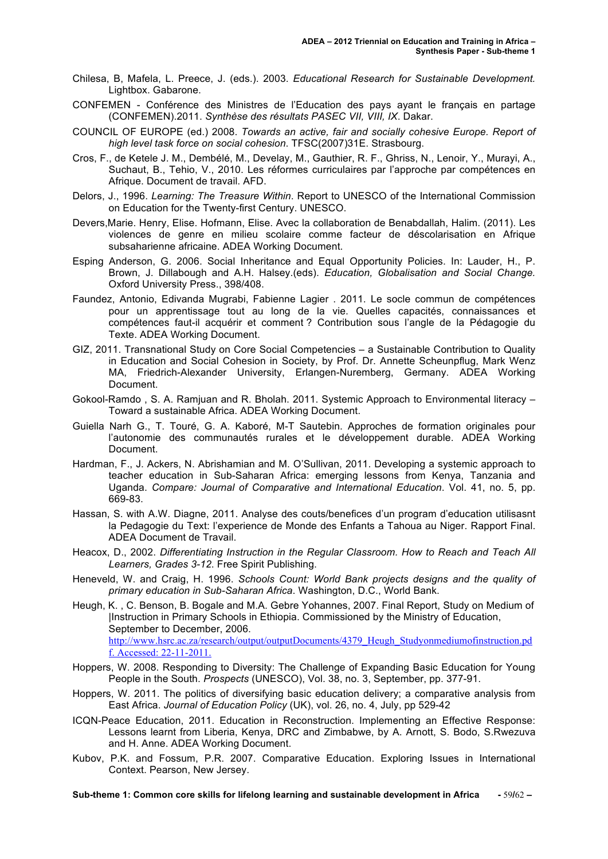- Chilesa, B, Mafela, L. Preece, J. (eds.). 2003. *Educational Research for Sustainable Development.* Lightbox. Gabarone.
- CONFEMEN Conférence des Ministres de l'Education des pays ayant le français en partage (CONFEMEN).2011. *Synthèse des résultats PASEC VII, VIII, IX*. Dakar.
- COUNCIL OF EUROPE (ed.) 2008. *Towards an active, fair and socially cohesive Europe. Report of high level task force on social cohesion*. TFSC(2007)31E. Strasbourg.
- Cros, F., de Ketele J. M., Dembélé, M., Develay, M., Gauthier, R. F., Ghriss, N., Lenoir, Y., Murayi, A., Suchaut, B., Tehio, V., 2010. Les réformes curriculaires par l'approche par compétences en Afrique. Document de travail. AFD.
- Delors, J., 1996. *Learning: The Treasure Within*. Report to UNESCO of the International Commission on Education for the Twenty-first Century. UNESCO.
- Devers,Marie. Henry, Elise. Hofmann, Elise. Avec la collaboration de Benabdallah, Halim. (2011). Les violences de genre en milieu scolaire comme facteur de déscolarisation en Afrique subsaharienne africaine. ADEA Working Document.
- Esping Anderson, G. 2006. Social Inheritance and Equal Opportunity Policies. In: Lauder, H., P. Brown, J. Dillabough and A.H. Halsey.(eds). *Education, Globalisation and Social Change.* Oxford University Press., 398/408.
- Faundez, Antonio, Edivanda Mugrabi, Fabienne Lagier . 2011. Le socle commun de compétences pour un apprentissage tout au long de la vie. Quelles capacités, connaissances et compétences faut-il acquérir et comment ? Contribution sous l'angle de la Pédagogie du Texte. ADEA Working Document.
- GIZ, 2011. Transnational Study on Core Social Competencies a Sustainable Contribution to Quality in Education and Social Cohesion in Society, by Prof. Dr. Annette Scheunpflug, Mark Wenz MA, Friedrich-Alexander University, Erlangen-Nuremberg, Germany. ADEA Working Document.
- Gokool-Ramdo , S. A. Ramjuan and R. Bholah. 2011. Systemic Approach to Environmental literacy Toward a sustainable Africa. ADEA Working Document.
- Guiella Narh G., T. Touré, G. A. Kaboré, M-T Sautebin. Approches de formation originales pour l'autonomie des communautés rurales et le développement durable. ADEA Working Document.
- Hardman, F., J. Ackers, N. Abrishamian and M. O'Sullivan, 2011. Developing a systemic approach to teacher education in Sub-Saharan Africa: emerging lessons from Kenya, Tanzania and Uganda. *Compare: Journal of Comparative and International Education*. Vol. 41, no. 5, pp. 669-83.
- Hassan, S. with A.W. Diagne, 2011. Analyse des couts/benefices d'un program d'education utilisasnt la Pedagogie du Text: l'experience de Monde des Enfants a Tahoua au Niger. Rapport Final. ADEA Document de Travail.
- Heacox, D., 2002. *Differentiating Instruction in the Regular Classroom. How to Reach and Teach All Learners, Grades 3-12*. Free Spirit Publishing.
- Heneveld, W. and Craig, H. 1996. *Schools Count: World Bank projects designs and the quality of primary education in Sub-Saharan Africa*. Washington, D.C., World Bank.
- Heugh, K. , C. Benson, B. Bogale and M.A. Gebre Yohannes, 2007. Final Report, Study on Medium of |Instruction in Primary Schools in Ethiopia. Commissioned by the Ministry of Education, September to December, 2006. http://www.hsrc.ac.za/research/output/outputDocuments/4379\_Heugh\_Studyonmediumofinstruction.pd f. Accessed: 22-11-2011.
- Hoppers, W. 2008. Responding to Diversity: The Challenge of Expanding Basic Education for Young People in the South. *Prospects* (UNESCO), Vol. 38, no. 3, September, pp. 377-91.
- Hoppers, W. 2011. The politics of diversifying basic education delivery; a comparative analysis from East Africa. *Journal of Education Policy* (UK), vol. 26, no. 4, July, pp 529-42
- ICQN-Peace Education, 2011. Education in Reconstruction. Implementing an Effective Response: Lessons learnt from Liberia, Kenya, DRC and Zimbabwe, by A. Arnott, S. Bodo, S.Rwezuva and H. Anne. ADEA Working Document.
- Kubov, P.K. and Fossum, P.R. 2007. Comparative Education. Exploring Issues in International Context. Pearson, New Jersey.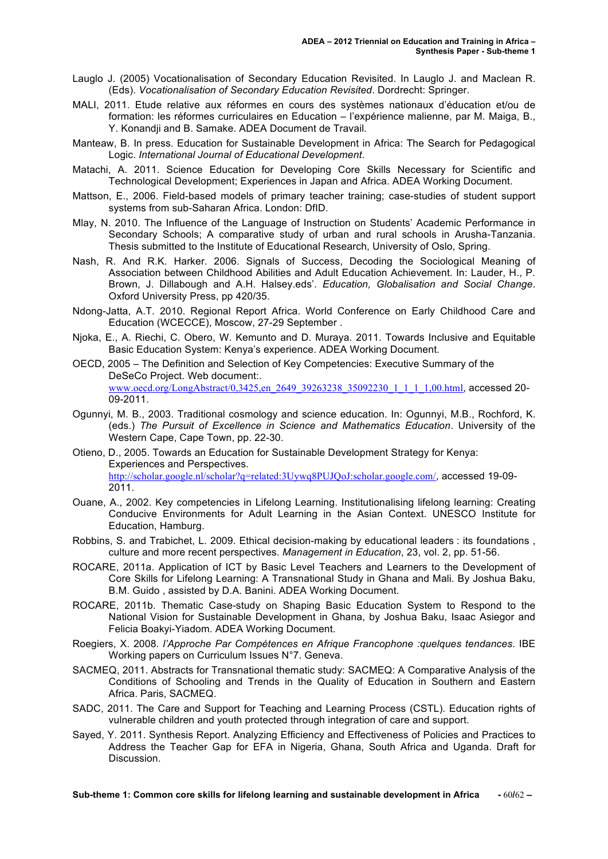- Lauglo J. (2005) Vocationalisation of Secondary Education Revisited. In Lauglo J. and Maclean R. (Eds). *Vocationalisation of Secondary Education Revisited*. Dordrecht: Springer.
- MALI, 2011. Etude relative aux réformes en cours des systèmes nationaux d'éducation et/ou de formation: les réformes curriculaires en Education – l'expérience malienne, par M. Maiga, B., Y. Konandji and B. Samake. ADEA Document de Travail.
- Manteaw, B. In press. Education for Sustainable Development in Africa: The Search for Pedagogical Logic. *International Journal of Educational Development*.
- Matachi, A. 2011. Science Education for Developing Core Skills Necessary for Scientific and Technological Development; Experiences in Japan and Africa. ADEA Working Document.
- Mattson, E., 2006. Field-based models of primary teacher training; case-studies of student support systems from sub-Saharan Africa. London: DfID.
- Mlay, N. 2010. The Influence of the Language of Instruction on Students' Academic Performance in Secondary Schools; A comparative study of urban and rural schools in Arusha-Tanzania. Thesis submitted to the Institute of Educational Research, University of Oslo, Spring.
- Nash, R. And R.K. Harker. 2006. Signals of Success, Decoding the Sociological Meaning of Association between Childhood Abilities and Adult Education Achievement. In: Lauder, H., P. Brown, J. Dillabough and A.H. Halsey.eds'. *Education, Globalisation and Social Change*. Oxford University Press, pp 420/35.
- Ndong-Jatta, A.T. 2010. Regional Report Africa. World Conference on Early Childhood Care and Education (WCECCE), Moscow, 27-29 September .
- Njoka, E., A. Riechi, C. Obero, W. Kemunto and D. Muraya. 2011. Towards Inclusive and Equitable Basic Education System: Kenya's experience. ADEA Working Document.
- OECD, 2005 The Definition and Selection of Key Competencies: Executive Summary of the DeSeCo Project. Web document:. www.oecd.org/LongAbstract/0,3425,en\_2649\_39263238\_35092230\_1\_1\_1\_1,00.html, accessed 20- 09-2011.
- Ogunnyi, M. B., 2003. Traditional cosmology and science education. In: Ogunnyi, M.B., Rochford, K. (eds.) *The Pursuit of Excellence in Science and Mathematics Education*. University of the Western Cape, Cape Town, pp. 22-30.
- Otieno, D., 2005. Towards an Education for Sustainable Development Strategy for Kenya: Experiences and Perspectives. http://scholar.google.nl/scholar?q=related:3Uywq8PUJQoJ:scholar.google.com/, accessed 19-09- 2011.
- Ouane, A., 2002. Key competencies in Lifelong Learning. Institutionalising lifelong learning: Creating Conducive Environments for Adult Learning in the Asian Context. UNESCO Institute for Education, Hamburg.
- Robbins, S. and Trabichet, L. 2009. Ethical decision-making by educational leaders : its foundations , culture and more recent perspectives. *Management in Education*, 23, vol. 2, pp. 51-56.
- ROCARE, 2011a. Application of ICT by Basic Level Teachers and Learners to the Development of Core Skills for Lifelong Learning: A Transnational Study in Ghana and Mali. By Joshua Baku, B.M. Guido , assisted by D.A. Banini. ADEA Working Document.
- ROCARE, 2011b. Thematic Case-study on Shaping Basic Education System to Respond to the National Vision for Sustainable Development in Ghana, by Joshua Baku, Isaac Asiegor and Felicia Boakyi-Yiadom. ADEA Working Document.
- Roegiers, X. 2008*. l'Approche Par Compétences en Afrique Francophone :quelques tendances*. IBE Working papers on Curriculum Issues N°7. Geneva.
- SACMEQ, 2011. Abstracts for Transnational thematic study: SACMEQ: A Comparative Analysis of the Conditions of Schooling and Trends in the Quality of Education in Southern and Eastern Africa. Paris, SACMEQ.
- SADC, 2011. The Care and Support for Teaching and Learning Process (CSTL). Education rights of vulnerable children and youth protected through integration of care and support.
- Sayed, Y. 2011. Synthesis Report. Analyzing Efficiency and Effectiveness of Policies and Practices to Address the Teacher Gap for EFA in Nigeria, Ghana, South Africa and Uganda. Draft for Discussion.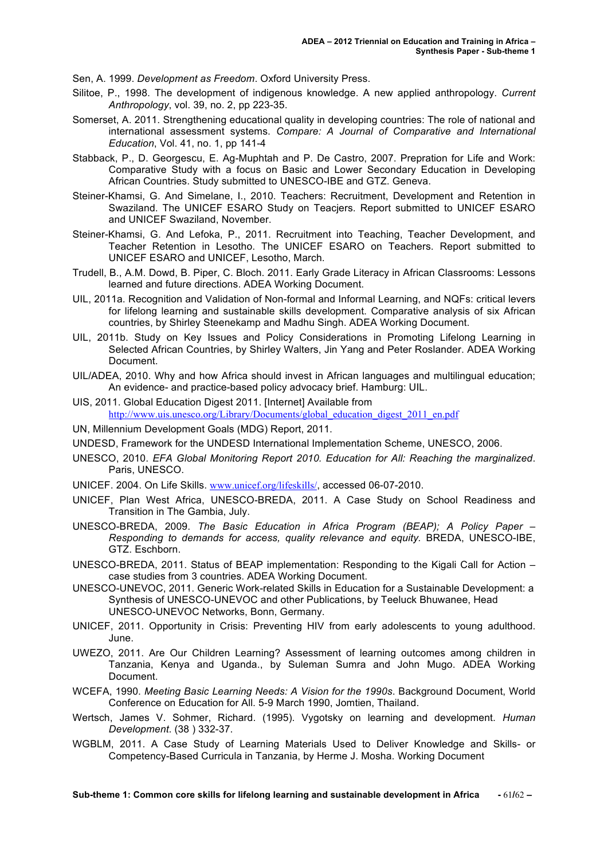Sen, A. 1999. *Development as Freedom*. Oxford University Press.

- Silitoe, P., 1998. The development of indigenous knowledge. A new applied anthropology. *Current Anthropology*, vol. 39, no. 2, pp 223-35.
- Somerset, A. 2011. Strengthening educational quality in developing countries: The role of national and international assessment systems. *Compare: A Journal of Comparative and International Education*, Vol. 41, no. 1, pp 141-4
- Stabback, P., D. Georgescu, E. Ag-Muphtah and P. De Castro, 2007. Prepration for Life and Work: Comparative Study with a focus on Basic and Lower Secondary Education in Developing African Countries. Study submitted to UNESCO-IBE and GTZ. Geneva.
- Steiner-Khamsi, G. And Simelane, I., 2010. Teachers: Recruitment, Development and Retention in Swaziland. The UNICEF ESARO Study on Teacjers. Report submitted to UNICEF ESARO and UNICEF Swaziland, November.
- Steiner-Khamsi, G. And Lefoka, P., 2011. Recruitment into Teaching, Teacher Development, and Teacher Retention in Lesotho. The UNICEF ESARO on Teachers. Report submitted to UNICEF ESARO and UNICEF, Lesotho, March.
- Trudell, B., A.M. Dowd, B. Piper, C. Bloch. 2011. Early Grade Literacy in African Classrooms: Lessons learned and future directions. ADEA Working Document.
- UIL, 2011a. Recognition and Validation of Non-formal and Informal Learning, and NQFs: critical levers for lifelong learning and sustainable skills development. Comparative analysis of six African countries, by Shirley Steenekamp and Madhu Singh. ADEA Working Document.
- UIL, 2011b. Study on Key Issues and Policy Considerations in Promoting Lifelong Learning in Selected African Countries, by Shirley Walters, Jin Yang and Peter Roslander. ADEA Working Document.
- UIL/ADEA, 2010. Why and how Africa should invest in African languages and multilingual education; An evidence- and practice-based policy advocacy brief. Hamburg: UIL.
- UIS, 2011. Global Education Digest 2011. [Internet] Available from http://www.uis.unesco.org/Library/Documents/global\_education\_digest\_2011\_en.pdf
- UN, Millennium Development Goals (MDG) Report, 2011.
- UNDESD, Framework for the UNDESD International Implementation Scheme, UNESCO, 2006.
- UNESCO, 2010. *EFA Global Monitoring Report 2010. Education for All: Reaching the marginalized*. Paris, UNESCO.
- UNICEF. 2004. On Life Skills. www.unicef.org/lifeskills/, accessed 06-07-2010.
- UNICEF, Plan West Africa, UNESCO-BREDA, 2011. A Case Study on School Readiness and Transition in The Gambia, July.
- UNESCO-BREDA, 2009. *The Basic Education in Africa Program (BEAP); A Policy Paper – Responding to demands for access, quality relevance and equity.* BREDA, UNESCO-IBE, GTZ. Eschborn.
- UNESCO-BREDA, 2011. Status of BEAP implementation: Responding to the Kigali Call for Action case studies from 3 countries. ADEA Working Document.
- UNESCO-UNEVOC, 2011. Generic Work-related Skills in Education for a Sustainable Development: a Synthesis of UNESCO-UNEVOC and other Publications, by Teeluck Bhuwanee, Head UNESCO-UNEVOC Networks, Bonn, Germany.
- UNICEF, 2011. Opportunity in Crisis: Preventing HIV from early adolescents to young adulthood. June.
- UWEZO, 2011. Are Our Children Learning? Assessment of learning outcomes among children in Tanzania, Kenya and Uganda., by Suleman Sumra and John Mugo. ADEA Working Document.
- WCEFA, 1990. *Meeting Basic Learning Needs: A Vision for the 1990s*. Background Document, World Conference on Education for All. 5-9 March 1990, Jomtien, Thailand.
- Wertsch, James V. Sohmer, Richard. (1995). Vygotsky on learning and development. *Human Development*. (38 ) 332-37.
- WGBLM, 2011. A Case Study of Learning Materials Used to Deliver Knowledge and Skills- or Competency-Based Curricula in Tanzania, by Herme J. Mosha. Working Document